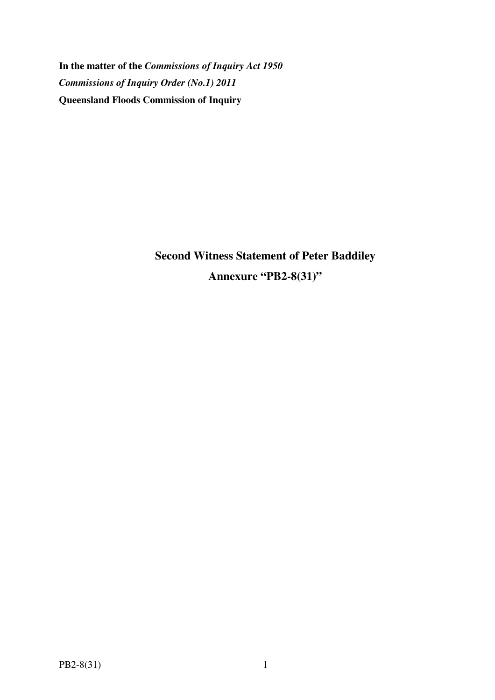**In the matter of the** *Commissions of Inquiry Act 1950 Commissions of Inquiry Order (No.1) 2011* **Queensland Floods Commission of Inquiry** 

> **Second Witness Statement of Peter Baddiley Annexure "PB2-8(31)"**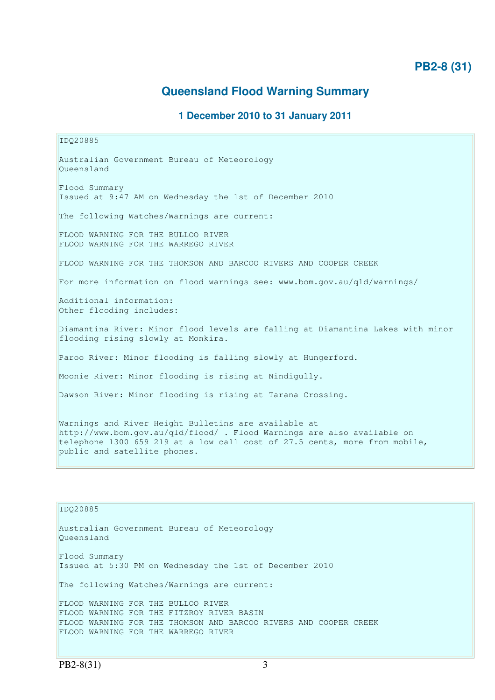# **PB2-8 (31)**

# **Queensland Flood Warning Summary**

# **1 December 2010 to 31 January 2011**

IDQ20885 Australian Government Bureau of Meteorology Queensland Flood Summary Issued at 9:47 AM on Wednesday the 1st of December 2010 The following Watches/Warnings are current: FLOOD WARNING FOR THE BULLOO RIVER FLOOD WARNING FOR THE WARREGO RIVER FLOOD WARNING FOR THE THOMSON AND BARCOO RIVERS AND COOPER CREEK For more information on flood warnings see: www.bom.gov.au/qld/warnings/ Additional information: Other flooding includes: Diamantina River: Minor flood levels are falling at Diamantina Lakes with minor flooding rising slowly at Monkira. Paroo River: Minor flooding is falling slowly at Hungerford. Moonie River: Minor flooding is rising at Nindigully. Dawson River: Minor flooding is rising at Tarana Crossing. Warnings and River Height Bulletins are available at http://www.bom.gov.au/qld/flood/ . Flood Warnings are also available on telephone 1300 659 219 at a low call cost of 27.5 cents, more from mobile, public and satellite phones.

IDQ20885 Australian Government Bureau of Meteorology Queensland Flood Summary Issued at 5:30 PM on Wednesday the 1st of December 2010 The following Watches/Warnings are current: FLOOD WARNING FOR THE BULLOO RIVER FLOOD WARNING FOR THE FITZROY RIVER BASIN FLOOD WARNING FOR THE THOMSON AND BARCOO RIVERS AND COOPER CREEK FLOOD WARNING FOR THE WARREGO RIVER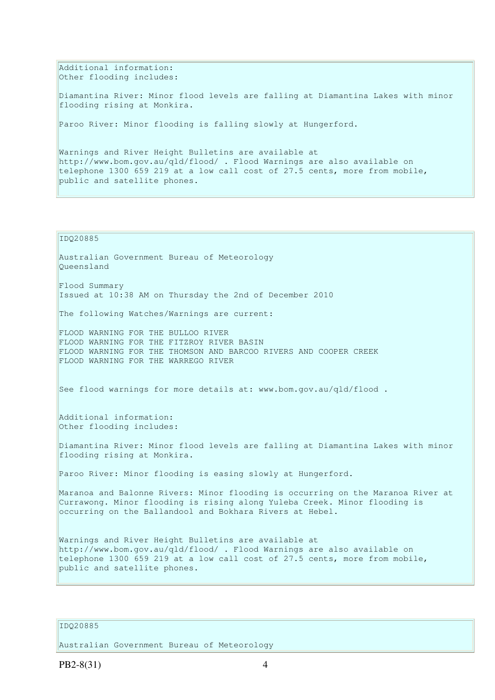Additional information: Other flooding includes:

Diamantina River: Minor flood levels are falling at Diamantina Lakes with minor flooding rising at Monkira.

Paroo River: Minor flooding is falling slowly at Hungerford.

Warnings and River Height Bulletins are available at http://www.bom.gov.au/qld/flood/ . Flood Warnings are also available on telephone 1300 659 219 at a low call cost of 27.5 cents, more from mobile, public and satellite phones.

## IDQ20885

Australian Government Bureau of Meteorology Queensland Flood Summary

Issued at 10:38 AM on Thursday the 2nd of December 2010

The following Watches/Warnings are current:

FLOOD WARNING FOR THE BULLOO RIVER FLOOD WARNING FOR THE FITZROY RIVER BASIN FLOOD WARNING FOR THE THOMSON AND BARCOO RIVERS AND COOPER CREEK FLOOD WARNING FOR THE WARREGO RIVER

See flood warnings for more details at: www.bom.gov.au/qld/flood .

Additional information: Other flooding includes:

Diamantina River: Minor flood levels are falling at Diamantina Lakes with minor flooding rising at Monkira.

Paroo River: Minor flooding is easing slowly at Hungerford.

Maranoa and Balonne Rivers: Minor flooding is occurring on the Maranoa River at Currawong. Minor flooding is rising along Yuleba Creek. Minor flooding is occurring on the Ballandool and Bokhara Rivers at Hebel.

Warnings and River Height Bulletins are available at http://www.bom.gov.au/qld/flood/ . Flood Warnings are also available on telephone 1300 659 219 at a low call cost of 27.5 cents, more from mobile, public and satellite phones.

# IDQ20885

Australian Government Bureau of Meteorology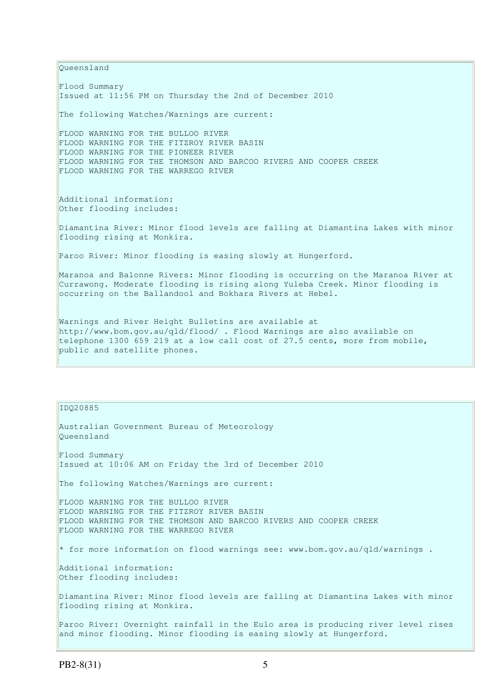Queensland Flood Summary Issued at 11:56 PM on Thursday the 2nd of December 2010 The following Watches/Warnings are current: FLOOD WARNING FOR THE BULLOO RIVER FLOOD WARNING FOR THE FITZROY RIVER BASIN FLOOD WARNING FOR THE PIONEER RIVER FLOOD WARNING FOR THE THOMSON AND BARCOO RIVERS AND COOPER CREEK FLOOD WARNING FOR THE WARREGO RIVER Additional information: Other flooding includes: Diamantina River: Minor flood levels are falling at Diamantina Lakes with minor flooding rising at Monkira. Paroo River: Minor flooding is easing slowly at Hungerford. Maranoa and Balonne Rivers: Minor flooding is occurring on the Maranoa River at Currawong. Moderate flooding is rising along Yuleba Creek. Minor flooding is occurring on the Ballandool and Bokhara Rivers at Hebel. Warnings and River Height Bulletins are available at http://www.bom.gov.au/qld/flood/ . Flood Warnings are also available on telephone 1300 659 219 at a low call cost of 27.5 cents, more from mobile, public and satellite phones.

#### IDQ20885

Australian Government Bureau of Meteorology Queensland Flood Summary Issued at 10:06 AM on Friday the 3rd of December 2010 The following Watches/Warnings are current: FLOOD WARNING FOR THE BULLOO RIVER FLOOD WARNING FOR THE FITZROY RIVER BASIN FLOOD WARNING FOR THE THOMSON AND BARCOO RIVERS AND COOPER CREEK FLOOD WARNING FOR THE WARREGO RIVER \* for more information on flood warnings see: www.bom.gov.au/qld/warnings . Additional information: Other flooding includes: Diamantina River: Minor flood levels are falling at Diamantina Lakes with minor flooding rising at Monkira. Paroo River: Overnight rainfall in the Eulo area is producing river level rises and minor flooding. Minor flooding is easing slowly at Hungerford.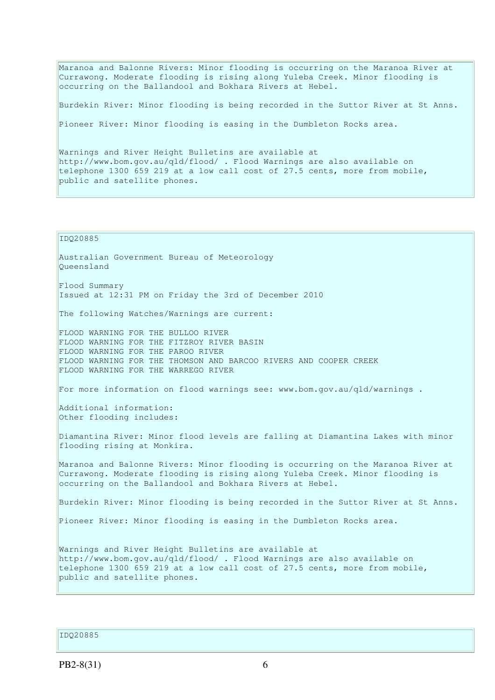Maranoa and Balonne Rivers: Minor flooding is occurring on the Maranoa River at Currawong. Moderate flooding is rising along Yuleba Creek. Minor flooding is occurring on the Ballandool and Bokhara Rivers at Hebel.

Burdekin River: Minor flooding is being recorded in the Suttor River at St Anns.

Pioneer River: Minor flooding is easing in the Dumbleton Rocks area.

Warnings and River Height Bulletins are available at http://www.bom.gov.au/qld/flood/ . Flood Warnings are also available on telephone 1300 659 219 at a low call cost of 27.5 cents, more from mobile, public and satellite phones.

#### IDQ20885

Australian Government Bureau of Meteorology Queensland Flood Summary Issued at 12:31 PM on Friday the 3rd of December 2010 The following Watches/Warnings are current: FLOOD WARNING FOR THE BULLOO RIVER FLOOD WARNING FOR THE FITZROY RIVER BASIN FLOOD WARNING FOR THE PAROO RIVER FLOOD WARNING FOR THE THOMSON AND BARCOO RIVERS AND COOPER CREEK FLOOD WARNING FOR THE WARREGO RIVER For more information on flood warnings see: www.bom.gov.au/qld/warnings . Additional information: Other flooding includes: Diamantina River: Minor flood levels are falling at Diamantina Lakes with minor flooding rising at Monkira. Maranoa and Balonne Rivers: Minor flooding is occurring on the Maranoa River at Currawong. Moderate flooding is rising along Yuleba Creek. Minor flooding is occurring on the Ballandool and Bokhara Rivers at Hebel. Burdekin River: Minor flooding is being recorded in the Suttor River at St Anns. Pioneer River: Minor flooding is easing in the Dumbleton Rocks area.

Warnings and River Height Bulletins are available at http://www.bom.gov.au/qld/flood/ . Flood Warnings are also available on telephone 1300 659 219 at a low call cost of 27.5 cents, more from mobile, public and satellite phones.

IDQ20885

 $PB2-8(31)$  6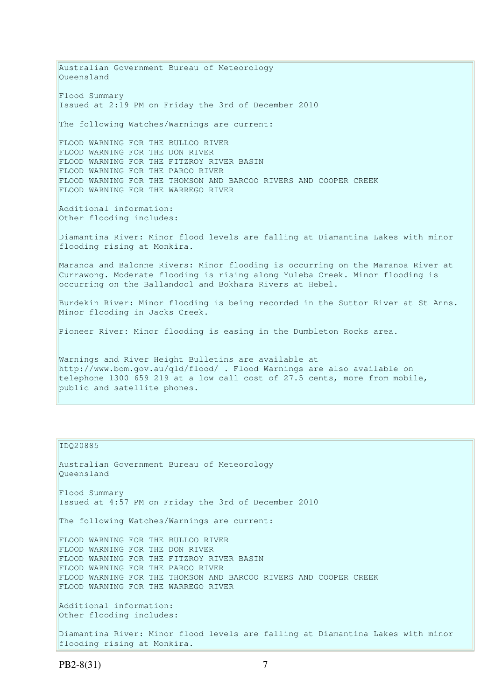Australian Government Bureau of Meteorology Queensland Flood Summary Issued at 2:19 PM on Friday the 3rd of December 2010 The following Watches/Warnings are current: FLOOD WARNING FOR THE BULLOO RIVER FLOOD WARNING FOR THE DON RIVER FLOOD WARNING FOR THE FITZROY RIVER BASIN FLOOD WARNING FOR THE PAROO RIVER FLOOD WARNING FOR THE THOMSON AND BARCOO RIVERS AND COOPER CREEK FLOOD WARNING FOR THE WARREGO RIVER Additional information: Other flooding includes: Diamantina River: Minor flood levels are falling at Diamantina Lakes with minor flooding rising at Monkira. Maranoa and Balonne Rivers: Minor flooding is occurring on the Maranoa River at Currawong. Moderate flooding is rising along Yuleba Creek. Minor flooding is occurring on the Ballandool and Bokhara Rivers at Hebel. Burdekin River: Minor flooding is being recorded in the Suttor River at St Anns. Minor flooding in Jacks Creek. Pioneer River: Minor flooding is easing in the Dumbleton Rocks area. Warnings and River Height Bulletins are available at http://www.bom.gov.au/qld/flood/ . Flood Warnings are also available on telephone 1300 659 219 at a low call cost of 27.5 cents, more from mobile, public and satellite phones.

## IDQ20885

Australian Government Bureau of Meteorology Queensland Flood Summary Issued at 4:57 PM on Friday the 3rd of December 2010 The following Watches/Warnings are current: FLOOD WARNING FOR THE BULLOO RIVER FLOOD WARNING FOR THE DON RIVER FLOOD WARNING FOR THE FITZROY RIVER BASIN FLOOD WARNING FOR THE PAROO RIVER FLOOD WARNING FOR THE THOMSON AND BARCOO RIVERS AND COOPER CREEK FLOOD WARNING FOR THE WARREGO RIVER Additional information: Other flooding includes: Diamantina River: Minor flood levels are falling at Diamantina Lakes with minor

flooding rising at Monkira.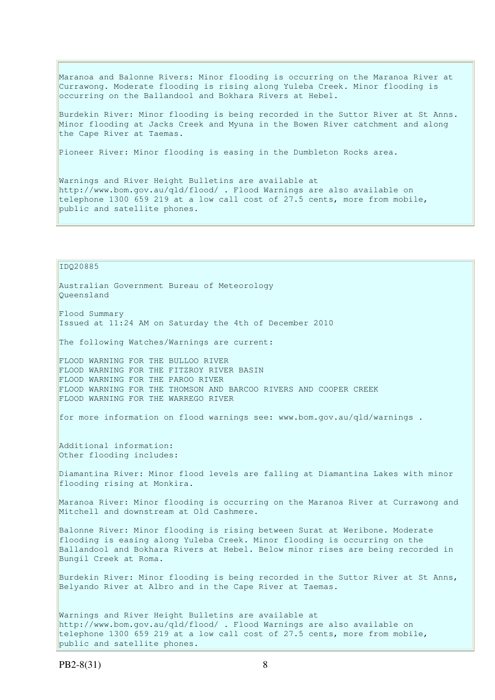Maranoa and Balonne Rivers: Minor flooding is occurring on the Maranoa River at Currawong. Moderate flooding is rising along Yuleba Creek. Minor flooding is occurring on the Ballandool and Bokhara Rivers at Hebel.

Burdekin River: Minor flooding is being recorded in the Suttor River at St Anns. Minor flooding at Jacks Creek and Myuna in the Bowen River catchment and along the Cape River at Taemas.

Pioneer River: Minor flooding is easing in the Dumbleton Rocks area.

Warnings and River Height Bulletins are available at http://www.bom.gov.au/qld/flood/ . Flood Warnings are also available on telephone 1300 659 219 at a low call cost of 27.5 cents, more from mobile, public and satellite phones.

IDQ20885

Australian Government Bureau of Meteorology Queensland

Flood Summary Issued at 11:24 AM on Saturday the 4th of December 2010

The following Watches/Warnings are current:

FLOOD WARNING FOR THE BULLOO RIVER FLOOD WARNING FOR THE FITZROY RIVER BASIN FLOOD WARNING FOR THE PAROO RIVER FLOOD WARNING FOR THE THOMSON AND BARCOO RIVERS AND COOPER CREEK FLOOD WARNING FOR THE WARREGO RIVER

for more information on flood warnings see: www.bom.gov.au/qld/warnings .

Additional information: Other flooding includes:

Diamantina River: Minor flood levels are falling at Diamantina Lakes with minor flooding rising at Monkira.

Maranoa River: Minor flooding is occurring on the Maranoa River at Currawong and Mitchell and downstream at Old Cashmere.

Balonne River: Minor flooding is rising between Surat at Weribone. Moderate flooding is easing along Yuleba Creek. Minor flooding is occurring on the Ballandool and Bokhara Rivers at Hebel. Below minor rises are being recorded in Bungil Creek at Roma.

Burdekin River: Minor flooding is being recorded in the Suttor River at St Anns, Belyando River at Albro and in the Cape River at Taemas.

Warnings and River Height Bulletins are available at http://www.bom.gov.au/qld/flood/ . Flood Warnings are also available on telephone 1300 659 219 at a low call cost of 27.5 cents, more from mobile, public and satellite phones.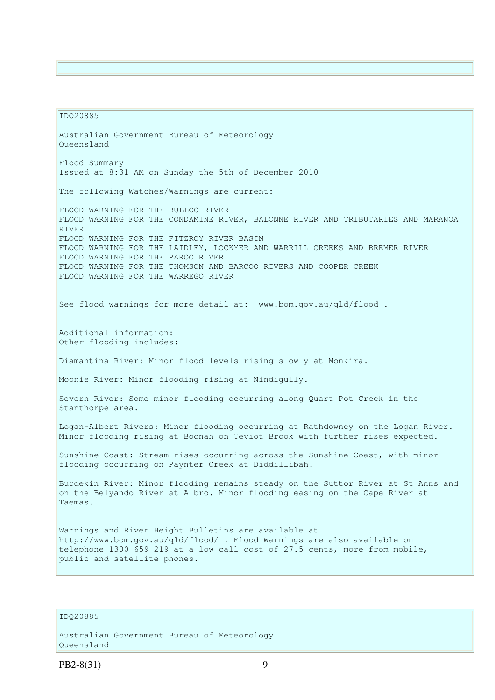#### IDQ20885

Australian Government Bureau of Meteorology Queensland Flood Summary Issued at 8:31 AM on Sunday the 5th of December 2010 The following Watches/Warnings are current: FLOOD WARNING FOR THE BULLOO RIVER FLOOD WARNING FOR THE CONDAMINE RIVER, BALONNE RIVER AND TRIBUTARIES AND MARANOA RIVER FLOOD WARNING FOR THE FITZROY RIVER BASIN FLOOD WARNING FOR THE LAIDLEY, LOCKYER AND WARRILL CREEKS AND BREMER RIVER FLOOD WARNING FOR THE PAROO RIVER FLOOD WARNING FOR THE THOMSON AND BARCOO RIVERS AND COOPER CREEK FLOOD WARNING FOR THE WARREGO RIVER See flood warnings for more detail at: www.bom.gov.au/qld/flood. Additional information: Other flooding includes: Diamantina River: Minor flood levels rising slowly at Monkira. Moonie River: Minor flooding rising at Nindigully. Severn River: Some minor flooding occurring along Quart Pot Creek in the Stanthorpe area. Logan-Albert Rivers: Minor flooding occurring at Rathdowney on the Logan River. Minor flooding rising at Boonah on Teviot Brook with further rises expected. Sunshine Coast: Stream rises occurring across the Sunshine Coast, with minor flooding occurring on Paynter Creek at Diddillibah. Burdekin River: Minor flooding remains steady on the Suttor River at St Anns and on the Belyando River at Albro. Minor flooding easing on the Cape River at Taemas. Warnings and River Height Bulletins are available at http://www.bom.gov.au/qld/flood/ . Flood Warnings are also available on telephone 1300 659 219 at a low call cost of 27.5 cents, more from mobile, public and satellite phones.

# IDQ20885

Australian Government Bureau of Meteorology Queensland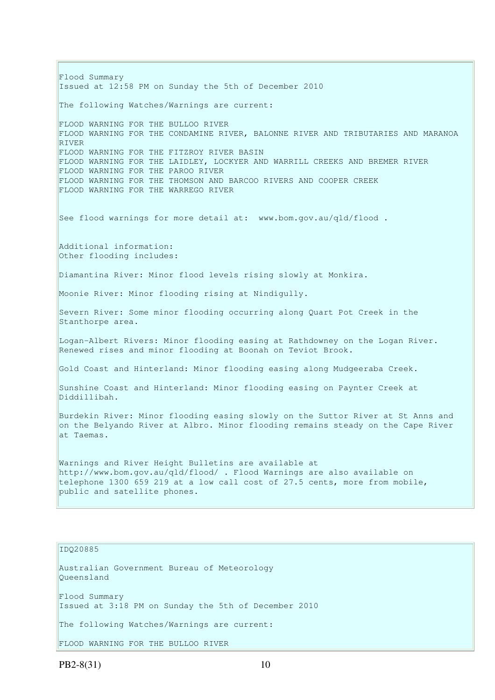Flood Summary Issued at 12:58 PM on Sunday the 5th of December 2010 The following Watches/Warnings are current: FLOOD WARNING FOR THE BULLOO RIVER FLOOD WARNING FOR THE CONDAMINE RIVER, BALONNE RIVER AND TRIBUTARIES AND MARANOA RIVER FLOOD WARNING FOR THE FITZROY RIVER BASIN FLOOD WARNING FOR THE LAIDLEY, LOCKYER AND WARRILL CREEKS AND BREMER RIVER FLOOD WARNING FOR THE PAROO RIVER FLOOD WARNING FOR THE THOMSON AND BARCOO RIVERS AND COOPER CREEK FLOOD WARNING FOR THE WARREGO RIVER See flood warnings for more detail at: www.bom.gov.au/qld/flood. Additional information: Other flooding includes: Diamantina River: Minor flood levels rising slowly at Monkira. Moonie River: Minor flooding rising at Nindigully. Severn River: Some minor flooding occurring along Quart Pot Creek in the Stanthorpe area. Logan-Albert Rivers: Minor flooding easing at Rathdowney on the Logan River. Renewed rises and minor flooding at Boonah on Teviot Brook. Gold Coast and Hinterland: Minor flooding easing along Mudgeeraba Creek. Sunshine Coast and Hinterland: Minor flooding easing on Paynter Creek at Diddillibah. Burdekin River: Minor flooding easing slowly on the Suttor River at St Anns and on the Belyando River at Albro. Minor flooding remains steady on the Cape River at Taemas. Warnings and River Height Bulletins are available at http://www.bom.gov.au/qld/flood/ . Flood Warnings are also available on telephone 1300 659 219 at a low call cost of 27.5 cents, more from mobile, public and satellite phones.

## IDQ20885

Australian Government Bureau of Meteorology Queensland Flood Summary Issued at 3:18 PM on Sunday the 5th of December 2010 The following Watches/Warnings are current: FLOOD WARNING FOR THE BULLOO RIVER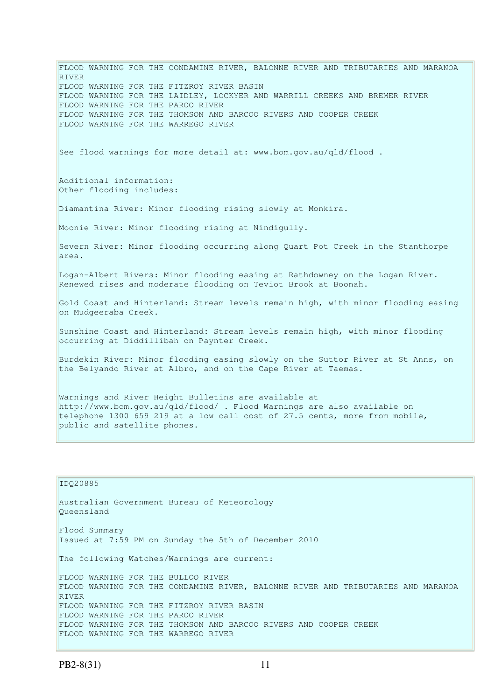FLOOD WARNING FOR THE CONDAMINE RIVER, BALONNE RIVER AND TRIBUTARIES AND MARANOA RIVER FLOOD WARNING FOR THE FITZROY RIVER BASIN FLOOD WARNING FOR THE LAIDLEY, LOCKYER AND WARRILL CREEKS AND BREMER RIVER FLOOD WARNING FOR THE PAROO RIVER FLOOD WARNING FOR THE THOMSON AND BARCOO RIVERS AND COOPER CREEK FLOOD WARNING FOR THE WARREGO RIVER See flood warnings for more detail at: www.bom.gov.au/qld/flood . Additional information: Other flooding includes: Diamantina River: Minor flooding rising slowly at Monkira. Moonie River: Minor flooding rising at Nindigully. Severn River: Minor flooding occurring along Quart Pot Creek in the Stanthorpe area. Logan-Albert Rivers: Minor flooding easing at Rathdowney on the Logan River. Renewed rises and moderate flooding on Teviot Brook at Boonah. Gold Coast and Hinterland: Stream levels remain high, with minor flooding easing on Mudgeeraba Creek. Sunshine Coast and Hinterland: Stream levels remain high, with minor flooding occurring at Diddillibah on Paynter Creek. Burdekin River: Minor flooding easing slowly on the Suttor River at St Anns, on the Belyando River at Albro, and on the Cape River at Taemas. Warnings and River Height Bulletins are available at http://www.bom.gov.au/qld/flood/ . Flood Warnings are also available on telephone 1300 659 219 at a low call cost of 27.5 cents, more from mobile, public and satellite phones.

# IDQ20885 Australian Government Bureau of Meteorology Queensland Flood Summary Issued at 7:59 PM on Sunday the 5th of December 2010 The following Watches/Warnings are current: FLOOD WARNING FOR THE BULLOO RIVER FLOOD WARNING FOR THE CONDAMINE RIVER, BALONNE RIVER AND TRIBUTARIES AND MARANOA RIVER FLOOD WARNING FOR THE FITZROY RIVER BASIN FLOOD WARNING FOR THE PAROO RIVER FLOOD WARNING FOR THE THOMSON AND BARCOO RIVERS AND COOPER CREEK FLOOD WARNING FOR THE WARREGO RIVER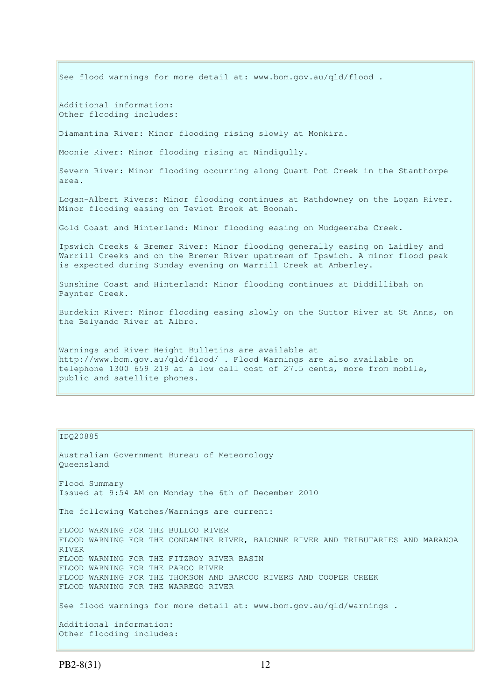See flood warnings for more detail at: www.bom.gov.au/qld/flood. Additional information: Other flooding includes: Diamantina River: Minor flooding rising slowly at Monkira. Moonie River: Minor flooding rising at Nindigully. Severn River: Minor flooding occurring along Quart Pot Creek in the Stanthorpe area. Logan-Albert Rivers: Minor flooding continues at Rathdowney on the Logan River. Minor flooding easing on Teviot Brook at Boonah. Gold Coast and Hinterland: Minor flooding easing on Mudgeeraba Creek. Ipswich Creeks & Bremer River: Minor flooding generally easing on Laidley and Warrill Creeks and on the Bremer River upstream of Ipswich. A minor flood peak is expected during Sunday evening on Warrill Creek at Amberley. Sunshine Coast and Hinterland: Minor flooding continues at Diddillibah on Paynter Creek. Burdekin River: Minor flooding easing slowly on the Suttor River at St Anns, on the Belyando River at Albro. Warnings and River Height Bulletins are available at http://www.bom.gov.au/qld/flood/ . Flood Warnings are also available on telephone 1300 659 219 at a low call cost of 27.5 cents, more from mobile, public and satellite phones.

### IDQ20885

Australian Government Bureau of Meteorology Queensland Flood Summary Issued at 9:54 AM on Monday the 6th of December 2010 The following Watches/Warnings are current: FLOOD WARNING FOR THE BULLOO RIVER FLOOD WARNING FOR THE CONDAMINE RIVER, BALONNE RIVER AND TRIBUTARIES AND MARANOA RIVER FLOOD WARNING FOR THE FITZROY RIVER BASIN FLOOD WARNING FOR THE PAROO RIVER FLOOD WARNING FOR THE THOMSON AND BARCOO RIVERS AND COOPER CREEK FLOOD WARNING FOR THE WARREGO RIVER See flood warnings for more detail at: www.bom.gov.au/qld/warnings . Additional information: Other flooding includes: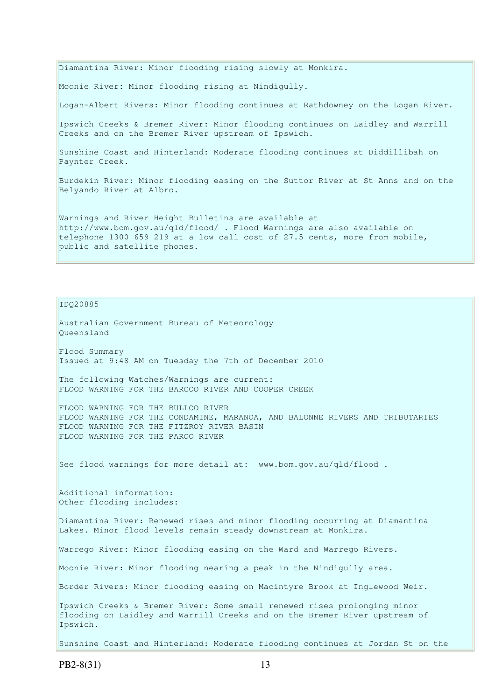Diamantina River: Minor flooding rising slowly at Monkira. Moonie River: Minor flooding rising at Nindigully. Logan-Albert Rivers: Minor flooding continues at Rathdowney on the Logan River. Ipswich Creeks & Bremer River: Minor flooding continues on Laidley and Warrill Creeks and on the Bremer River upstream of Ipswich. Sunshine Coast and Hinterland: Moderate flooding continues at Diddillibah on Paynter Creek. Burdekin River: Minor flooding easing on the Suttor River at St Anns and on the Belyando River at Albro. Warnings and River Height Bulletins are available at http://www.bom.gov.au/qld/flood/ . Flood Warnings are also available on telephone 1300 659 219 at a low call cost of 27.5 cents, more from mobile,

IDQ20885

public and satellite phones.

Australian Government Bureau of Meteorology Queensland Flood Summary Issued at 9:48 AM on Tuesday the 7th of December 2010 The following Watches/Warnings are current: FLOOD WARNING FOR THE BARCOO RIVER AND COOPER CREEK FLOOD WARNING FOR THE BULLOO RIVER FLOOD WARNING FOR THE CONDAMINE, MARANOA, AND BALONNE RIVERS AND TRIBUTARIES FLOOD WARNING FOR THE FITZROY RIVER BASIN FLOOD WARNING FOR THE PAROO RIVER See flood warnings for more detail at: www.bom.gov.au/gld/flood. Additional information: Other flooding includes: Diamantina River: Renewed rises and minor flooding occurring at Diamantina Lakes. Minor flood levels remain steady downstream at Monkira. Warrego River: Minor flooding easing on the Ward and Warrego Rivers. Moonie River: Minor flooding nearing a peak in the Nindigully area. Border Rivers: Minor flooding easing on Macintyre Brook at Inglewood Weir. Ipswich Creeks & Bremer River: Some small renewed rises prolonging minor flooding on Laidley and Warrill Creeks and on the Bremer River upstream of Ipswich.

Sunshine Coast and Hinterland: Moderate flooding continues at Jordan St on the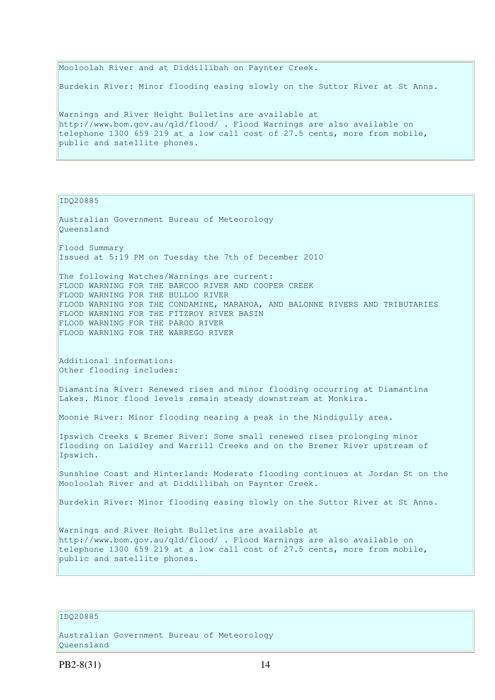Mooloolah River and at Diddillibah on Paynter Creek. Burdekin River: Minor flooding easing slowly on the Suttor River at St Anns. Warnings and River Height Bulletins are available at http://www.bom.gov.au/qld/flood/ . Flood Warnings are also available on telephone 1300 659 219 at a low call cost of 27.5 cents, more from mobile,

IDQ20885

public and satellite phones.

Australian Government Bureau of Meteorology Queensland Flood Summary Issued at 5:19 PM on Tuesday the 7th of December 2010 The following Watches/Warnings are current: FLOOD WARNING FOR THE BARCOO RIVER AND COOPER CREEK FLOOD WARNING FOR THE BULLOO RIVER FLOOD WARNING FOR THE CONDAMINE, MARANOA, AND BALONNE RIVERS AND TRIBUTARIES FLOOD WARNING FOR THE FITZROY RIVER BASIN FLOOD WARNING FOR THE PAROO RIVER FLOOD WARNING FOR THE WARREGO RIVER Additional information: Other flooding includes: Diamantina River: Renewed rises and minor flooding occurring at Diamantina Lakes. Minor flood levels remain steady downstream at Monkira. Moonie River: Minor flooding nearing a peak in the Nindigully area. Ipswich Creeks & Bremer River: Some small renewed rises prolonging minor flooding on Laidley and Warrill Creeks and on the Bremer River upstream of Ipswich. Sunshine Coast and Hinterland: Moderate flooding continues at Jordan St on the Mooloolah River and at Diddillibah on Paynter Creek. Burdekin River: Minor flooding easing slowly on the Suttor River at St Anns. Warnings and River Height Bulletins are available at http://www.bom.gov.au/qld/flood/ . Flood Warnings are also available on telephone 1300 659 219 at a low call cost of 27.5 cents, more from mobile, public and satellite phones.

IDQ20885

Australian Government Bureau of Meteorology Queensland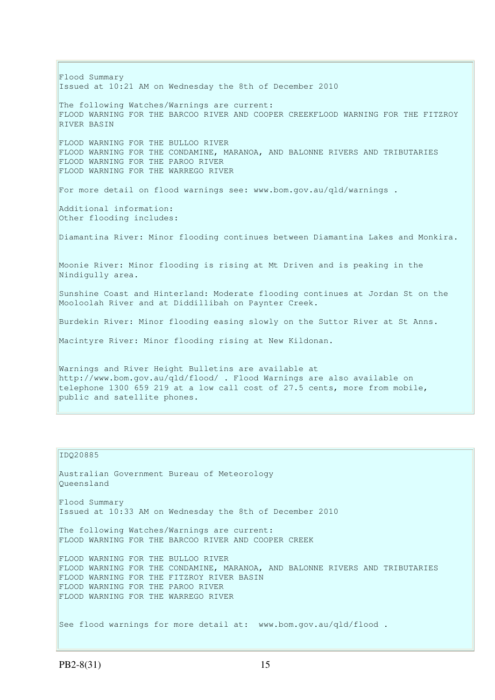Flood Summary Issued at 10:21 AM on Wednesday the 8th of December 2010 The following Watches/Warnings are current: FLOOD WARNING FOR THE BARCOO RIVER AND COOPER CREEKFLOOD WARNING FOR THE FITZROY RIVER BASIN FLOOD WARNING FOR THE BULLOO RIVER FLOOD WARNING FOR THE CONDAMINE, MARANOA, AND BALONNE RIVERS AND TRIBUTARIES FLOOD WARNING FOR THE PAROO RIVER FLOOD WARNING FOR THE WARREGO RIVER For more detail on flood warnings see: www.bom.gov.au/qld/warnings . Additional information: Other flooding includes: Diamantina River: Minor flooding continues between Diamantina Lakes and Monkira. Moonie River: Minor flooding is rising at Mt Driven and is peaking in the Nindigully area. Sunshine Coast and Hinterland: Moderate flooding continues at Jordan St on the Mooloolah River and at Diddillibah on Paynter Creek. Burdekin River: Minor flooding easing slowly on the Suttor River at St Anns. Macintyre River: Minor flooding rising at New Kildonan. Warnings and River Height Bulletins are available at http://www.bom.gov.au/qld/flood/ . Flood Warnings are also available on telephone 1300 659 219 at a low call cost of 27.5 cents, more from mobile, public and satellite phones.

## IDQ20885

Australian Government Bureau of Meteorology Queensland Flood Summary Issued at 10:33 AM on Wednesday the 8th of December 2010 The following Watches/Warnings are current: FLOOD WARNING FOR THE BARCOO RIVER AND COOPER CREEK FLOOD WARNING FOR THE BULLOO RIVER FLOOD WARNING FOR THE CONDAMINE, MARANOA, AND BALONNE RIVERS AND TRIBUTARIES FLOOD WARNING FOR THE FITZROY RIVER BASIN FLOOD WARNING FOR THE PAROO RIVER FLOOD WARNING FOR THE WARREGO RIVER See flood warnings for more detail at: www.bom.gov.au/qld/flood.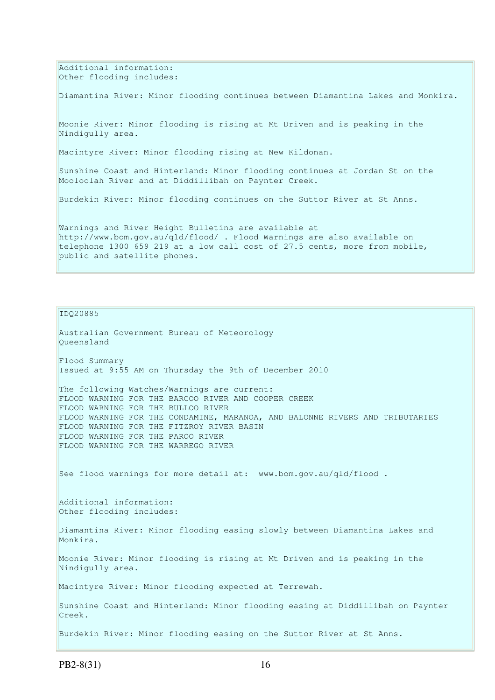Additional information: Other flooding includes:

Diamantina River: Minor flooding continues between Diamantina Lakes and Monkira.

Moonie River: Minor flooding is rising at Mt Driven and is peaking in the Nindigully area.

Macintyre River: Minor flooding rising at New Kildonan.

Sunshine Coast and Hinterland: Minor flooding continues at Jordan St on the Mooloolah River and at Diddillibah on Paynter Creek.

Burdekin River: Minor flooding continues on the Suttor River at St Anns.

Warnings and River Height Bulletins are available at http://www.bom.gov.au/qld/flood/ . Flood Warnings are also available on telephone 1300 659 219 at a low call cost of 27.5 cents, more from mobile, public and satellite phones.

IDQ20885

Australian Government Bureau of Meteorology Queensland Flood Summary Issued at 9:55 AM on Thursday the 9th of December 2010 The following Watches/Warnings are current: FLOOD WARNING FOR THE BARCOO RIVER AND COOPER CREEK FLOOD WARNING FOR THE BULLOO RIVER FLOOD WARNING FOR THE CONDAMINE, MARANOA, AND BALONNE RIVERS AND TRIBUTARIES FLOOD WARNING FOR THE FITZROY RIVER BASIN FLOOD WARNING FOR THE PAROO RIVER FLOOD WARNING FOR THE WARREGO RIVER See flood warnings for more detail at: www.bom.gov.au/qld/flood. Additional information: Other flooding includes: Diamantina River: Minor flooding easing slowly between Diamantina Lakes and Monkira. Moonie River: Minor flooding is rising at Mt Driven and is peaking in the Nindigully area. Macintyre River: Minor flooding expected at Terrewah. Sunshine Coast and Hinterland: Minor flooding easing at Diddillibah on Paynter Creek. Burdekin River: Minor flooding easing on the Suttor River at St Anns.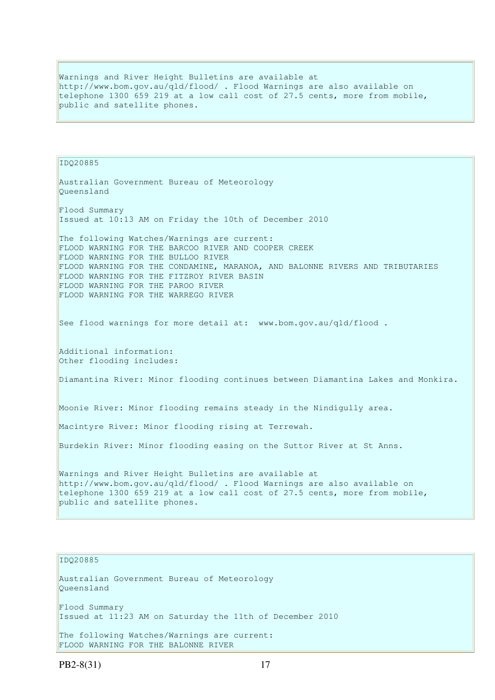Warnings and River Height Bulletins are available at http://www.bom.gov.au/qld/flood/ . Flood Warnings are also available on telephone 1300 659 219 at a low call cost of 27.5 cents, more from mobile, public and satellite phones.

IDQ20885 Australian Government Bureau of Meteorology Queensland Flood Summary Issued at 10:13 AM on Friday the 10th of December 2010 The following Watches/Warnings are current: FLOOD WARNING FOR THE BARCOO RIVER AND COOPER CREEK FLOOD WARNING FOR THE BULLOO RIVER FLOOD WARNING FOR THE CONDAMINE, MARANOA, AND BALONNE RIVERS AND TRIBUTARIES FLOOD WARNING FOR THE FITZROY RIVER BASIN FLOOD WARNING FOR THE PAROO RIVER FLOOD WARNING FOR THE WARREGO RIVER See flood warnings for more detail at: www.bom.gov.au/qld/flood. Additional information: Other flooding includes: Diamantina River: Minor flooding continues between Diamantina Lakes and Monkira. Moonie River: Minor flooding remains steady in the Nindigully area. Macintyre River: Minor flooding rising at Terrewah. Burdekin River: Minor flooding easing on the Suttor River at St Anns. Warnings and River Height Bulletins are available at http://www.bom.gov.au/qld/flood/ . Flood Warnings are also available on telephone 1300 659 219 at a low call cost of 27.5 cents, more from mobile, public and satellite phones.

## IDQ20885

Australian Government Bureau of Meteorology Queensland Flood Summary

Issued at 11:23 AM on Saturday the 11th of December 2010

The following Watches/Warnings are current: FLOOD WARNING FOR THE BALONNE RIVER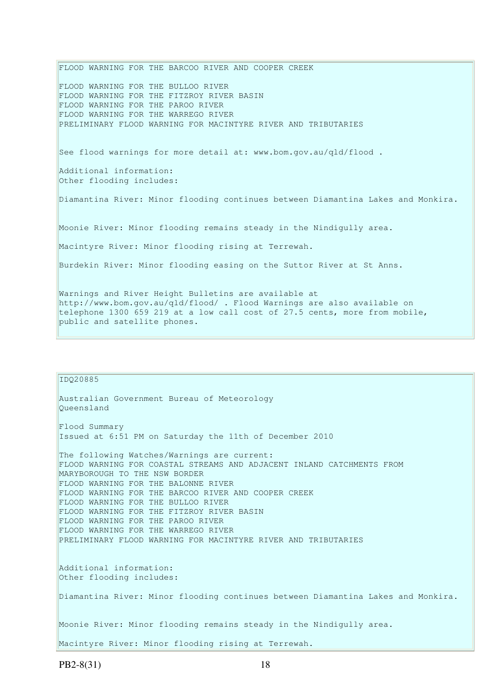FLOOD WARNING FOR THE BARCOO RIVER AND COOPER CREEK FLOOD WARNING FOR THE BULLOO RIVER FLOOD WARNING FOR THE FITZROY RIVER BASIN FLOOD WARNING FOR THE PAROO RIVER FLOOD WARNING FOR THE WARREGO RIVER PRELIMINARY FLOOD WARNING FOR MACINTYRE RIVER AND TRIBUTARIES See flood warnings for more detail at: www.bom.gov.au/qld/flood . Additional information: Other flooding includes: Diamantina River: Minor flooding continues between Diamantina Lakes and Monkira. Moonie River: Minor flooding remains steady in the Nindigully area. Macintyre River: Minor flooding rising at Terrewah. Burdekin River: Minor flooding easing on the Suttor River at St Anns. Warnings and River Height Bulletins are available at http://www.bom.gov.au/qld/flood/ . Flood Warnings are also available on telephone 1300 659 219 at a low call cost of 27.5 cents, more from mobile, public and satellite phones.

### IDQ20885

Queensland Flood Summary Issued at 6:51 PM on Saturday the 11th of December 2010 The following Watches/Warnings are current: FLOOD WARNING FOR COASTAL STREAMS AND ADJACENT INLAND CATCHMENTS FROM MARYBOROUGH TO THE NSW BORDER FLOOD WARNING FOR THE BALONNE RIVER FLOOD WARNING FOR THE BARCOO RIVER AND COOPER CREEK FLOOD WARNING FOR THE BULLOO RIVER FLOOD WARNING FOR THE FITZROY RIVER BASIN FLOOD WARNING FOR THE PAROO RIVER FLOOD WARNING FOR THE WARREGO RIVER PRELIMINARY FLOOD WARNING FOR MACINTYRE RIVER AND TRIBUTARIES Additional information: Other flooding includes: Diamantina River: Minor flooding continues between Diamantina Lakes and Monkira.

Moonie River: Minor flooding remains steady in the Nindigully area.

Macintyre River: Minor flooding rising at Terrewah.

Australian Government Bureau of Meteorology

PB2-8(31) 18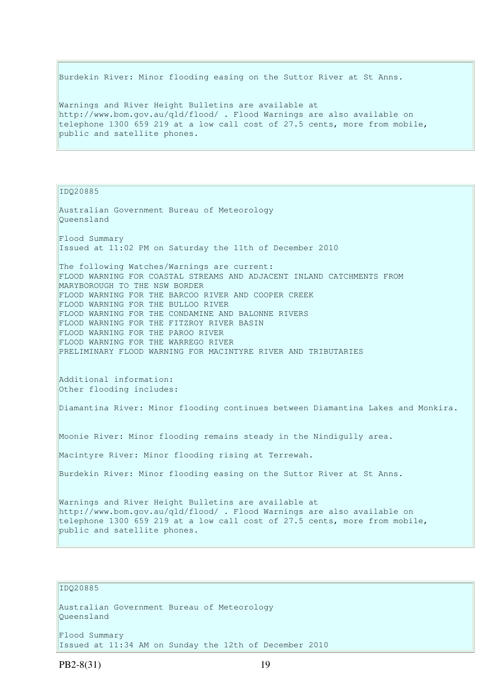Burdekin River: Minor flooding easing on the Suttor River at St Anns. Warnings and River Height Bulletins are available at http://www.bom.gov.au/qld/flood/ . Flood Warnings are also available on telephone 1300 659 219 at a low call cost of 27.5 cents, more from mobile, public and satellite phones.

IDQ20885

Australian Government Bureau of Meteorology Queensland Flood Summary Issued at 11:02 PM on Saturday the 11th of December 2010 The following Watches/Warnings are current: FLOOD WARNING FOR COASTAL STREAMS AND ADJACENT INLAND CATCHMENTS FROM MARYBOROUGH TO THE NSW BORDER FLOOD WARNING FOR THE BARCOO RIVER AND COOPER CREEK FLOOD WARNING FOR THE BULLOO RIVER FLOOD WARNING FOR THE CONDAMINE AND BALONNE RIVERS FLOOD WARNING FOR THE FITZROY RIVER BASIN FLOOD WARNING FOR THE PAROO RIVER FLOOD WARNING FOR THE WARREGO RIVER PRELIMINARY FLOOD WARNING FOR MACINTYRE RIVER AND TRIBUTARIES Additional information: Other flooding includes: Diamantina River: Minor flooding continues between Diamantina Lakes and Monkira. Moonie River: Minor flooding remains steady in the Nindigully area. Macintyre River: Minor flooding rising at Terrewah. Burdekin River: Minor flooding easing on the Suttor River at St Anns. Warnings and River Height Bulletins are available at http://www.bom.gov.au/qld/flood/ . Flood Warnings are also available on telephone 1300 659 219 at a low call cost of 27.5 cents, more from mobile, public and satellite phones.

# IDQ20885

Australian Government Bureau of Meteorology Queensland

Flood Summary Issued at 11:34 AM on Sunday the 12th of December 2010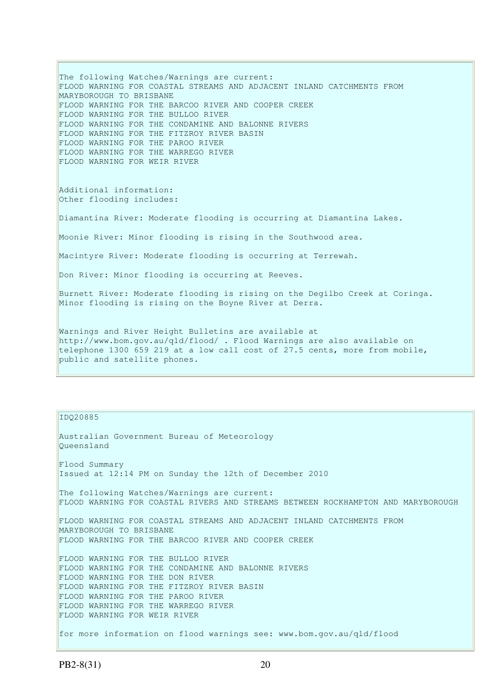The following Watches/Warnings are current: FLOOD WARNING FOR COASTAL STREAMS AND ADJACENT INLAND CATCHMENTS FROM MARYBOROUGH TO BRISBANE FLOOD WARNING FOR THE BARCOO RIVER AND COOPER CREEK FLOOD WARNING FOR THE BULLOO RIVER FLOOD WARNING FOR THE CONDAMINE AND BALONNE RIVERS FLOOD WARNING FOR THE FITZROY RIVER BASIN FLOOD WARNING FOR THE PAROO RIVER FLOOD WARNING FOR THE WARREGO RIVER FLOOD WARNING FOR WEIR RIVER Additional information: Other flooding includes: Diamantina River: Moderate flooding is occurring at Diamantina Lakes. Moonie River: Minor flooding is rising in the Southwood area. Macintyre River: Moderate flooding is occurring at Terrewah. Don River: Minor flooding is occurring at Reeves. Burnett River: Moderate flooding is rising on the Degilbo Creek at Coringa. Minor flooding is rising on the Boyne River at Derra. Warnings and River Height Bulletins are available at http://www.bom.gov.au/qld/flood/ . Flood Warnings are also available on

telephone 1300 659 219 at a low call cost of 27.5 cents, more from mobile, public and satellite phones.

IDQ20885

```
Australian Government Bureau of Meteorology 
Queensland 
Flood Summary 
Issued at 12:14 PM on Sunday the 12th of December 2010 
The following Watches/Warnings are current: 
FLOOD WARNING FOR COASTAL RIVERS AND STREAMS BETWEEN ROCKHAMPTON AND MARYBOROUGH 
FLOOD WARNING FOR COASTAL STREAMS AND ADJACENT INLAND CATCHMENTS FROM 
MARYBOROUGH TO BRISBANE 
FLOOD WARNING FOR THE BARCOO RIVER AND COOPER CREEK 
FLOOD WARNING FOR THE BULLOO RIVER 
FLOOD WARNING FOR THE CONDAMINE AND BALONNE RIVERS 
FLOOD WARNING FOR THE DON RIVER 
FLOOD WARNING FOR THE FITZROY RIVER BASIN 
FLOOD WARNING FOR THE PAROO RIVER 
FLOOD WARNING FOR THE WARREGO RIVER 
FLOOD WARNING FOR WEIR RIVER 
for more information on flood warnings see: www.bom.gov.au/qld/flood
```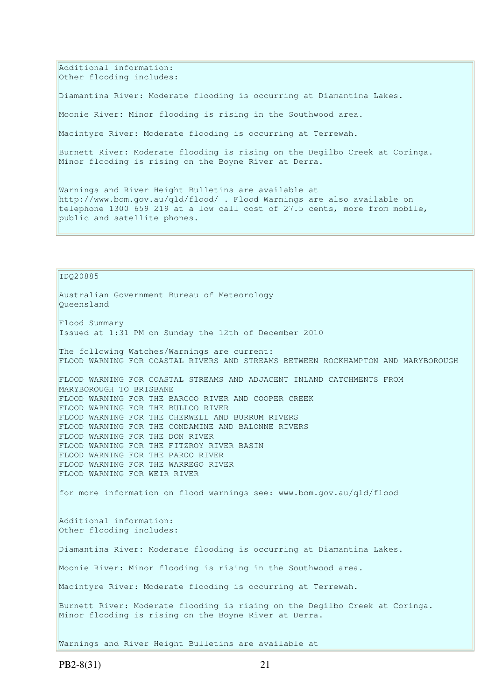Additional information: Other flooding includes:

Diamantina River: Moderate flooding is occurring at Diamantina Lakes.

Moonie River: Minor flooding is rising in the Southwood area.

Macintyre River: Moderate flooding is occurring at Terrewah.

Burnett River: Moderate flooding is rising on the Degilbo Creek at Coringa. Minor flooding is rising on the Boyne River at Derra.

Warnings and River Height Bulletins are available at http://www.bom.gov.au/qld/flood/ . Flood Warnings are also available on telephone 1300 659 219 at a low call cost of 27.5 cents, more from mobile, public and satellite phones.

IDQ20885 Australian Government Bureau of Meteorology Queensland Flood Summary Issued at 1:31 PM on Sunday the 12th of December 2010 The following Watches/Warnings are current: FLOOD WARNING FOR COASTAL RIVERS AND STREAMS BETWEEN ROCKHAMPTON AND MARYBOROUGH FLOOD WARNING FOR COASTAL STREAMS AND ADJACENT INLAND CATCHMENTS FROM MARYBOROUGH TO BRISBANE FLOOD WARNING FOR THE BARCOO RIVER AND COOPER CREEK FLOOD WARNING FOR THE BULLOO RIVER FLOOD WARNING FOR THE CHERWELL AND BURRUM RIVERS FLOOD WARNING FOR THE CONDAMINE AND BALONNE RIVERS FLOOD WARNING FOR THE DON RIVER FLOOD WARNING FOR THE FITZROY RIVER BASIN FLOOD WARNING FOR THE PAROO RIVER FLOOD WARNING FOR THE WARREGO RIVER FLOOD WARNING FOR WEIR RIVER for more information on flood warnings see: www.bom.gov.au/qld/flood Additional information: Other flooding includes: Diamantina River: Moderate flooding is occurring at Diamantina Lakes. Moonie River: Minor flooding is rising in the Southwood area. Macintyre River: Moderate flooding is occurring at Terrewah. Burnett River: Moderate flooding is rising on the Degilbo Creek at Coringa. Minor flooding is rising on the Boyne River at Derra. Warnings and River Height Bulletins are available at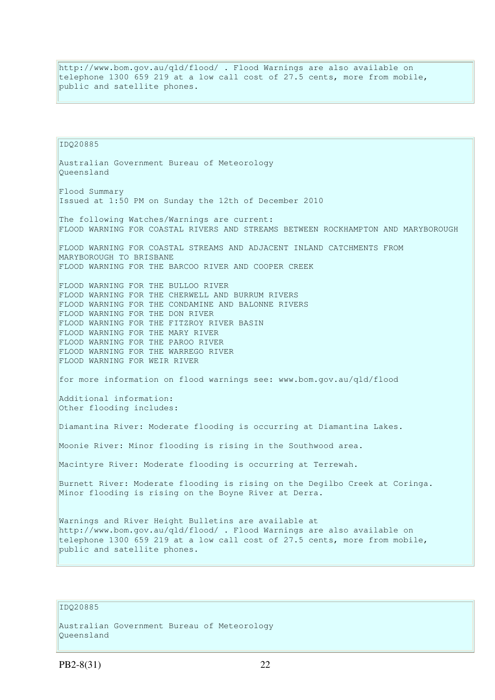http://www.bom.gov.au/qld/flood/ . Flood Warnings are also available on telephone 1300 659 219 at a low call cost of 27.5 cents, more from mobile, public and satellite phones.

IDQ20885 Australian Government Bureau of Meteorology Queensland Flood Summary Issued at 1:50 PM on Sunday the 12th of December 2010 The following Watches/Warnings are current: FLOOD WARNING FOR COASTAL RIVERS AND STREAMS BETWEEN ROCKHAMPTON AND MARYBOROUGH FLOOD WARNING FOR COASTAL STREAMS AND ADJACENT INLAND CATCHMENTS FROM MARYBOROUGH TO BRISBANE FLOOD WARNING FOR THE BARCOO RIVER AND COOPER CREEK FLOOD WARNING FOR THE BULLOO RIVER FLOOD WARNING FOR THE CHERWELL AND BURRUM RIVERS FLOOD WARNING FOR THE CONDAMINE AND BALONNE RIVERS FLOOD WARNING FOR THE DON RIVER FLOOD WARNING FOR THE FITZROY RIVER BASIN FLOOD WARNING FOR THE MARY RIVER FLOOD WARNING FOR THE PAROO RIVER FLOOD WARNING FOR THE WARREGO RIVER FLOOD WARNING FOR WEIR RIVER for more information on flood warnings see: www.bom.gov.au/qld/flood Additional information: Other flooding includes: Diamantina River: Moderate flooding is occurring at Diamantina Lakes. Moonie River: Minor flooding is rising in the Southwood area. Macintyre River: Moderate flooding is occurring at Terrewah. Burnett River: Moderate flooding is rising on the Degilbo Creek at Coringa. Minor flooding is rising on the Boyne River at Derra. Warnings and River Height Bulletins are available at http://www.bom.gov.au/qld/flood/ . Flood Warnings are also available on telephone 1300 659 219 at a low call cost of 27.5 cents, more from mobile, public and satellite phones.

# IDQ20885

```
Australian Government Bureau of Meteorology 
Queensland
```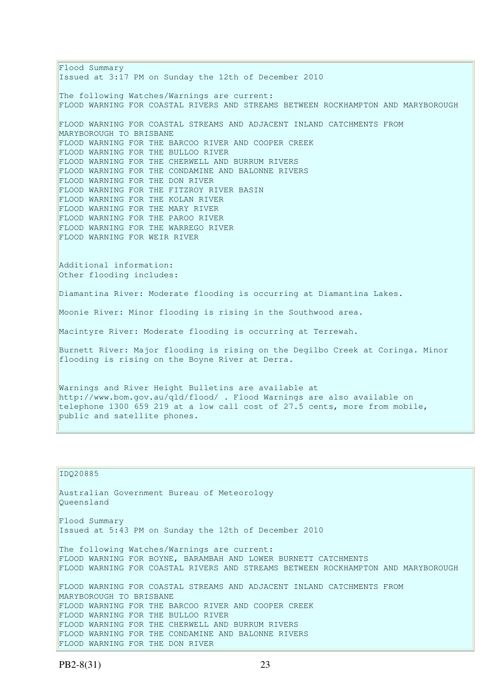Flood Summary Issued at 3:17 PM on Sunday the 12th of December 2010 The following Watches/Warnings are current: FLOOD WARNING FOR COASTAL RIVERS AND STREAMS BETWEEN ROCKHAMPTON AND MARYBOROUGH FLOOD WARNING FOR COASTAL STREAMS AND ADJACENT INLAND CATCHMENTS FROM MARYBOROUGH TO BRISBANE FLOOD WARNING FOR THE BARCOO RIVER AND COOPER CREEK FLOOD WARNING FOR THE BULLOO RIVER FLOOD WARNING FOR THE CHERWELL AND BURRUM RIVERS FLOOD WARNING FOR THE CONDAMINE AND BALONNE RIVERS FLOOD WARNING FOR THE DON RIVER FLOOD WARNING FOR THE FITZROY RIVER BASIN FLOOD WARNING FOR THE KOLAN RIVER FLOOD WARNING FOR THE MARY RIVER FLOOD WARNING FOR THE PAROO RIVER FLOOD WARNING FOR THE WARREGO RIVER FLOOD WARNING FOR WEIR RIVER Additional information: Other flooding includes: Diamantina River: Moderate flooding is occurring at Diamantina Lakes. Moonie River: Minor flooding is rising in the Southwood area. Macintyre River: Moderate flooding is occurring at Terrewah. Burnett River: Major flooding is rising on the Degilbo Creek at Coringa. Minor flooding is rising on the Boyne River at Derra. Warnings and River Height Bulletins are available at http://www.bom.gov.au/qld/flood/ . Flood Warnings are also available on telephone 1300 659 219 at a low call cost of 27.5 cents, more from mobile, public and satellite phones.

IDQ20885 Australian Government Bureau of Meteorology Queensland Flood Summary Issued at 5:43 PM on Sunday the 12th of December 2010 The following Watches/Warnings are current: FLOOD WARNING FOR BOYNE, BARAMBAH AND LOWER BURNETT CATCHMENTS FLOOD WARNING FOR COASTAL RIVERS AND STREAMS BETWEEN ROCKHAMPTON AND MARYBOROUGH FLOOD WARNING FOR COASTAL STREAMS AND ADJACENT INLAND CATCHMENTS FROM MARYBOROUGH TO BRISBANE FLOOD WARNING FOR THE BARCOO RIVER AND COOPER CREEK FLOOD WARNING FOR THE BULLOO RIVER FLOOD WARNING FOR THE CHERWELL AND BURRUM RIVERS FLOOD WARNING FOR THE CONDAMINE AND BALONNE RIVERS FLOOD WARNING FOR THE DON RIVER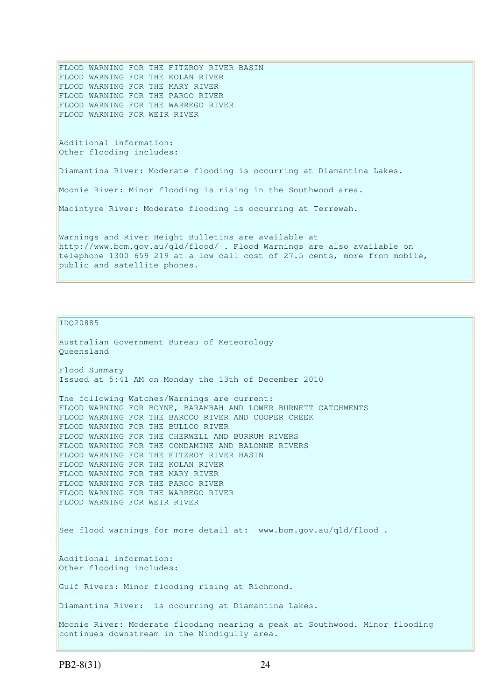FLOOD WARNING FOR THE FITZROY RIVER BASIN FLOOD WARNING FOR THE KOLAN RIVER FLOOD WARNING FOR THE MARY RIVER FLOOD WARNING FOR THE PAROO RIVER FLOOD WARNING FOR THE WARREGO RIVER FLOOD WARNING FOR WEIR RIVER Additional information: Other flooding includes: Diamantina River: Moderate flooding is occurring at Diamantina Lakes. Moonie River: Minor flooding is rising in the Southwood area. Macintyre River: Moderate flooding is occurring at Terrewah. Warnings and River Height Bulletins are available at http://www.bom.gov.au/qld/flood/ . Flood Warnings are also available on telephone 1300 659 219 at a low call cost of 27.5 cents, more from mobile, public and satellite phones.

IDQ20885

```
Australian Government Bureau of Meteorology 
Queensland 
Flood Summary 
Issued at 5:41 AM on Monday the 13th of December 2010 
The following Watches/Warnings are current:
FLOOD WARNING FOR BOYNE, BARAMBAH AND LOWER BURNETT CATCHMENTS 
FLOOD WARNING FOR THE BARCOO RIVER AND COOPER CREEK 
FLOOD WARNING FOR THE BULLOO RIVER 
FLOOD WARNING FOR THE CHERWELL AND BURRUM RIVERS 
FLOOD WARNING FOR THE CONDAMINE AND BALONNE RIVERS 
FLOOD WARNING FOR THE FITZROY RIVER BASIN 
FLOOD WARNING FOR THE KOLAN RIVER 
FLOOD WARNING FOR THE MARY RIVER 
FLOOD WARNING FOR THE PAROO RIVER 
FLOOD WARNING FOR THE WARREGO RIVER 
FLOOD WARNING FOR WEIR RIVER 
See flood warnings for more detail at: www.bom.gov.au/qld/flood.
Additional information: 
Other flooding includes: 
Gulf Rivers: Minor flooding rising at Richmond. 
Diamantina River: is occurring at Diamantina Lakes. 
Moonie River: Moderate flooding nearing a peak at Southwood. Minor flooding 
continues downstream in the Nindigully area.
```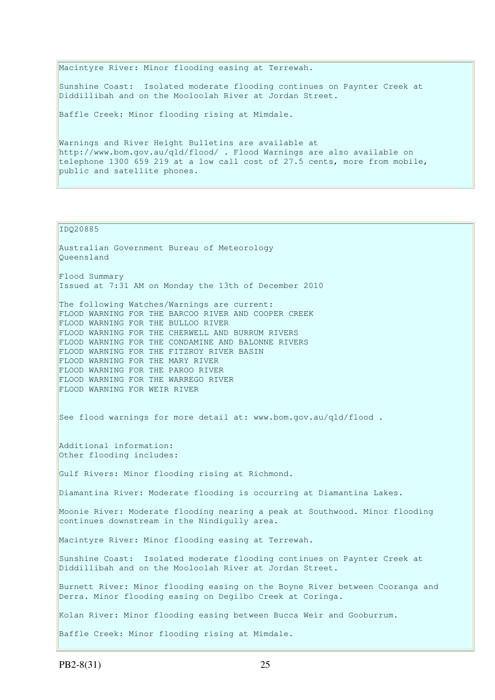Macintyre River: Minor flooding easing at Terrewah. Sunshine Coast: Isolated moderate flooding continues on Paynter Creek at Diddillibah and on the Mooloolah River at Jordan Street. Baffle Creek: Minor flooding rising at Mimdale. Warnings and River Height Bulletins are available at

http://www.bom.gov.au/qld/flood/ . Flood Warnings are also available on telephone 1300 659 219 at a low call cost of 27.5 cents, more from mobile, public and satellite phones.

#### IDQ20885

Australian Government Bureau of Meteorology Queensland Flood Summary Issued at 7:31 AM on Monday the 13th of December 2010 The following Watches/Warnings are current: FLOOD WARNING FOR THE BARCOO RIVER AND COOPER CREEK FLOOD WARNING FOR THE BULLOO RIVER FLOOD WARNING FOR THE CHERWELL AND BURRUM RIVERS FLOOD WARNING FOR THE CONDAMINE AND BALONNE RIVERS FLOOD WARNING FOR THE FITZROY RIVER BASIN FLOOD WARNING FOR THE MARY RIVER FLOOD WARNING FOR THE PAROO RIVER FLOOD WARNING FOR THE WARREGO RIVER FLOOD WARNING FOR WEIR RIVER See flood warnings for more detail at: www.bom.gov.au/qld/flood . Additional information: Other flooding includes: Gulf Rivers: Minor flooding rising at Richmond. Diamantina River: Moderate flooding is occurring at Diamantina Lakes. Moonie River: Moderate flooding nearing a peak at Southwood. Minor flooding continues downstream in the Nindigully area. Macintyre River: Minor flooding easing at Terrewah. Sunshine Coast: Isolated moderate flooding continues on Paynter Creek at Diddillibah and on the Mooloolah River at Jordan Street. Burnett River: Minor flooding easing on the Boyne River between Cooranga and Derra. Minor flooding easing on Degilbo Creek at Coringa. Kolan River: Minor flooding easing between Bucca Weir and Gooburrum. Baffle Creek: Minor flooding rising at Mimdale.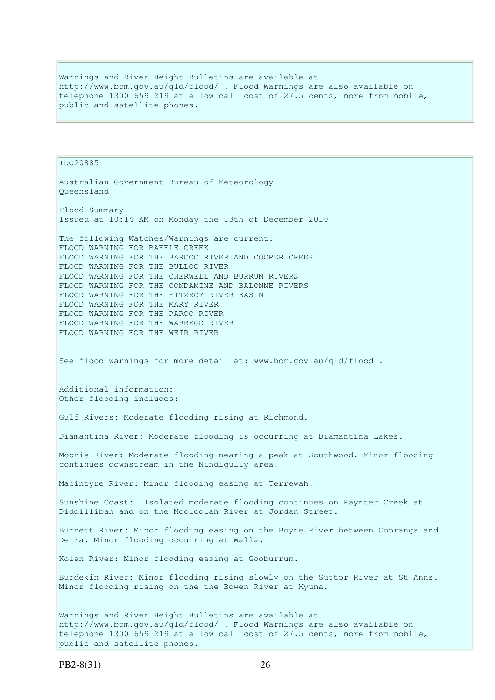Warnings and River Height Bulletins are available at http://www.bom.gov.au/qld/flood/ . Flood Warnings are also available on telephone 1300 659 219 at a low call cost of 27.5 cents, more from mobile, public and satellite phones.

IDQ20885 Australian Government Bureau of Meteorology Queensland Flood Summary Issued at 10:14 AM on Monday the 13th of December 2010 The following Watches/Warnings are current: FLOOD WARNING FOR BAFFLE CREEK FLOOD WARNING FOR THE BARCOO RIVER AND COOPER CREEK FLOOD WARNING FOR THE BULLOO RIVER FLOOD WARNING FOR THE CHERWELL AND BURRUM RIVERS FLOOD WARNING FOR THE CONDAMINE AND BALONNE RIVERS FLOOD WARNING FOR THE FITZROY RIVER BASIN FLOOD WARNING FOR THE MARY RIVER FLOOD WARNING FOR THE PAROO RIVER FLOOD WARNING FOR THE WARREGO RIVER FLOOD WARNING FOR THE WEIR RIVER See flood warnings for more detail at: www.bom.gov.au/qld/flood. Additional information: Other flooding includes: Gulf Rivers: Moderate flooding rising at Richmond. Diamantina River: Moderate flooding is occurring at Diamantina Lakes. Moonie River: Moderate flooding nearing a peak at Southwood. Minor flooding continues downstream in the Nindigully area. Macintyre River: Minor flooding easing at Terrewah. Sunshine Coast: Isolated moderate flooding continues on Paynter Creek at Diddillibah and on the Mooloolah River at Jordan Street. Burnett River: Minor flooding easing on the Boyne River between Cooranga and Derra. Minor flooding occurring at Walla. Kolan River: Minor flooding easing at Gooburrum. Burdekin River: Minor flooding rising slowly on the Suttor River at St Anns. Minor flooding rising on the the Bowen River at Myuna. Warnings and River Height Bulletins are available at http://www.bom.gov.au/qld/flood/ . Flood Warnings are also available on telephone 1300 659 219 at a low call cost of 27.5 cents, more from mobile,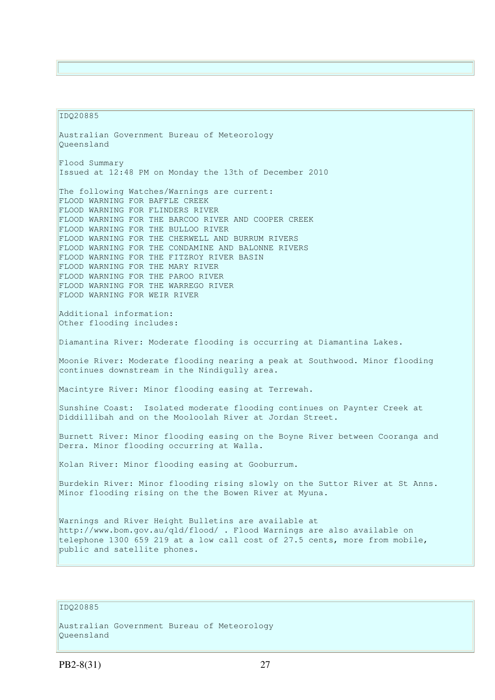#### IDQ20885

Australian Government Bureau of Meteorology Queensland Flood Summary Issued at 12:48 PM on Monday the 13th of December 2010 The following Watches/Warnings are current: FLOOD WARNING FOR BAFFLE CREEK FLOOD WARNING FOR FLINDERS RIVER FLOOD WARNING FOR THE BARCOO RIVER AND COOPER CREEK FLOOD WARNING FOR THE BULLOO RIVER FLOOD WARNING FOR THE CHERWELL AND BURRUM RIVERS FLOOD WARNING FOR THE CONDAMINE AND BALONNE RIVERS FLOOD WARNING FOR THE FITZROY RIVER BASIN FLOOD WARNING FOR THE MARY RIVER FLOOD WARNING FOR THE PAROO RIVER FLOOD WARNING FOR THE WARREGO RIVER FLOOD WARNING FOR WEIR RIVER Additional information: Other flooding includes: Diamantina River: Moderate flooding is occurring at Diamantina Lakes. Moonie River: Moderate flooding nearing a peak at Southwood. Minor flooding continues downstream in the Nindigully area. Macintyre River: Minor flooding easing at Terrewah. Sunshine Coast: Isolated moderate flooding continues on Paynter Creek at Diddillibah and on the Mooloolah River at Jordan Street. Burnett River: Minor flooding easing on the Boyne River between Cooranga and Derra. Minor flooding occurring at Walla. Kolan River: Minor flooding easing at Gooburrum. Burdekin River: Minor flooding rising slowly on the Suttor River at St Anns. Minor flooding rising on the the Bowen River at Myuna. Warnings and River Height Bulletins are available at http://www.bom.gov.au/qld/flood/ . Flood Warnings are also available on telephone 1300 659 219 at a low call cost of 27.5 cents, more from mobile, public and satellite phones.

# IDQ20885

```
Australian Government Bureau of Meteorology 
Queensland
```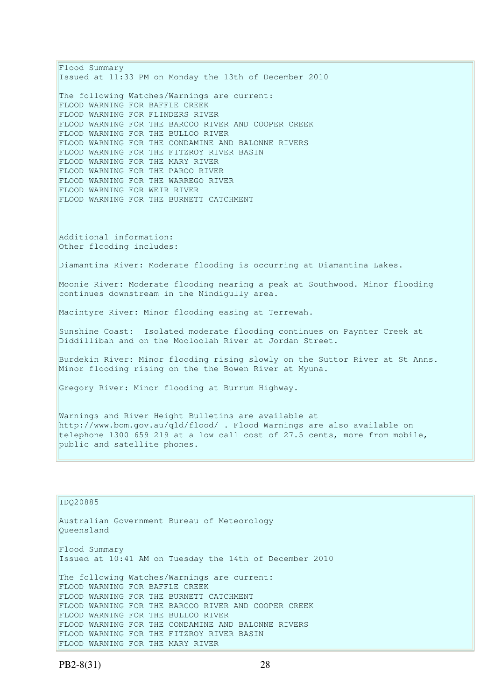Flood Summary Issued at 11:33 PM on Monday the 13th of December 2010 The following Watches/Warnings are current: FLOOD WARNING FOR BAFFLE CREEK FLOOD WARNING FOR FLINDERS RIVER FLOOD WARNING FOR THE BARCOO RIVER AND COOPER CREEK FLOOD WARNING FOR THE BULLOO RIVER FLOOD WARNING FOR THE CONDAMINE AND BALONNE RIVERS FLOOD WARNING FOR THE FITZROY RIVER BASIN FLOOD WARNING FOR THE MARY RIVER FLOOD WARNING FOR THE PAROO RIVER FLOOD WARNING FOR THE WARREGO RIVER FLOOD WARNING FOR WEIR RIVER FLOOD WARNING FOR THE BURNETT CATCHMENT Additional information: Other flooding includes: Diamantina River: Moderate flooding is occurring at Diamantina Lakes. Moonie River: Moderate flooding nearing a peak at Southwood. Minor flooding continues downstream in the Nindigully area. Macintyre River: Minor flooding easing at Terrewah. Sunshine Coast: Isolated moderate flooding continues on Paynter Creek at Diddillibah and on the Mooloolah River at Jordan Street. Burdekin River: Minor flooding rising slowly on the Suttor River at St Anns. Minor flooding rising on the the Bowen River at Myuna. Gregory River: Minor flooding at Burrum Highway. Warnings and River Height Bulletins are available at http://www.bom.gov.au/qld/flood/ . Flood Warnings are also available on telephone 1300 659 219 at a low call cost of 27.5 cents, more from mobile, public and satellite phones. IDQ20885 Australian Government Bureau of Meteorology Queensland

Flood Summary Issued at 10:41 AM on Tuesday the 14th of December 2010 The following Watches/Warnings are current: FLOOD WARNING FOR BAFFLE CREEK FLOOD WARNING FOR THE BURNETT CATCHMENT FLOOD WARNING FOR THE BARCOO RIVER AND COOPER CREEK FLOOD WARNING FOR THE BULLOO RIVER FLOOD WARNING FOR THE CONDAMINE AND BALONNE RIVERS FLOOD WARNING FOR THE FITZROY RIVER BASIN FLOOD WARNING FOR THE MARY RIVER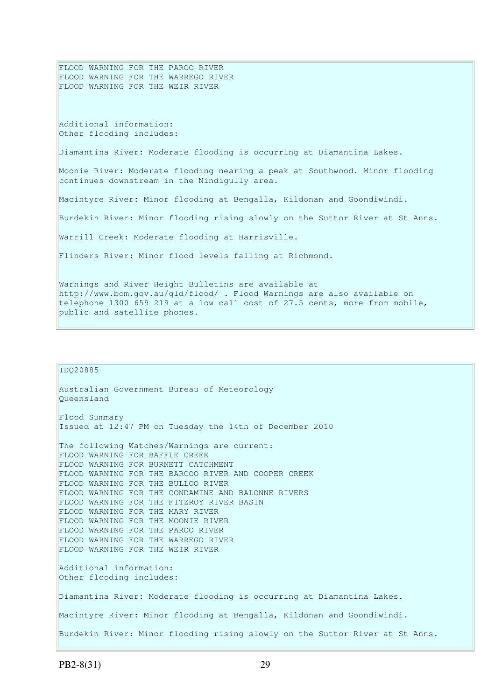FLOOD WARNING FOR THE PAROO RIVER FLOOD WARNING FOR THE WARREGO RIVER FLOOD WARNING FOR THE WEIR RIVER Additional information: Other flooding includes: Diamantina River: Moderate flooding is occurring at Diamantina Lakes. Moonie River: Moderate flooding nearing a peak at Southwood. Minor flooding continues downstream in the Nindigully area. Macintyre River: Minor flooding at Bengalla, Kildonan and Goondiwindi. Burdekin River: Minor flooding rising slowly on the Suttor River at St Anns. Warrill Creek: Moderate flooding at Harrisville. Flinders River: Minor flood levels falling at Richmond. Warnings and River Height Bulletins are available at http://www.bom.gov.au/qld/flood/ . Flood Warnings are also available on telephone 1300 659 219 at a low call cost of 27.5 cents, more from mobile,

```
public and satellite phones.
```

```
IDQ20885 
Australian Government Bureau of Meteorology 
Queensland 
Flood Summary 
Issued at 12:47 PM on Tuesday the 14th of December 2010 
The following Watches/Warnings are current: 
FLOOD WARNING FOR BAFFLE CREEK 
FLOOD WARNING FOR BURNETT CATCHMENT 
FLOOD WARNING FOR THE BARCOO RIVER AND COOPER CREEK 
FLOOD WARNING FOR THE BULLOO RIVER 
FLOOD WARNING FOR THE CONDAMINE AND BALONNE RIVERS 
FLOOD WARNING FOR THE FITZROY RIVER BASIN 
FLOOD WARNING FOR THE MARY RIVER 
FLOOD WARNING FOR THE MOONIE RIVER 
FLOOD WARNING FOR THE PAROO RIVER 
FLOOD WARNING FOR THE WARREGO RIVER 
FLOOD WARNING FOR THE WEIR RIVER 
Additional information: 
Other flooding includes: 
Diamantina River: Moderate flooding is occurring at Diamantina Lakes. 
Macintyre River: Minor flooding at Bengalla, Kildonan and Goondiwindi. 
Burdekin River: Minor flooding rising slowly on the Suttor River at St Anns.
```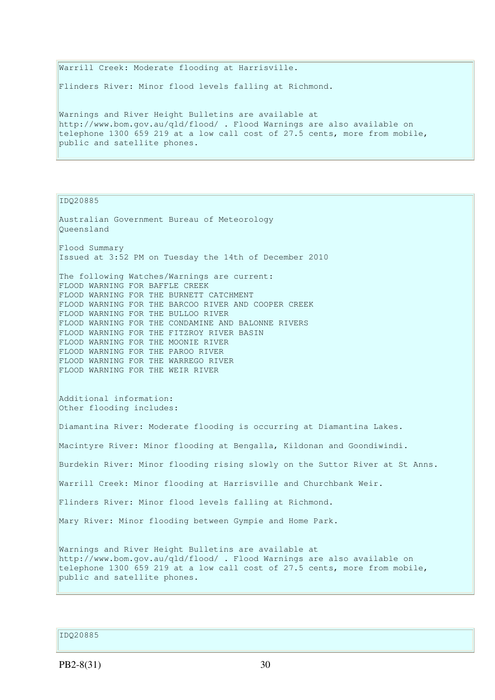Warrill Creek: Moderate flooding at Harrisville. Flinders River: Minor flood levels falling at Richmond. Warnings and River Height Bulletins are available at http://www.bom.gov.au/qld/flood/ . Flood Warnings are also available on telephone 1300 659 219 at a low call cost of 27.5 cents, more from mobile, public and satellite phones.

IDQ20885

Australian Government Bureau of Meteorology Queensland Flood Summary Issued at 3:52 PM on Tuesday the 14th of December 2010 The following Watches/Warnings are current: FLOOD WARNING FOR BAFFLE CREEK FLOOD WARNING FOR THE BURNETT CATCHMENT FLOOD WARNING FOR THE BARCOO RIVER AND COOPER CREEK FLOOD WARNING FOR THE BULLOO RIVER FLOOD WARNING FOR THE CONDAMINE AND BALONNE RIVERS FLOOD WARNING FOR THE FITZROY RIVER BASIN FLOOD WARNING FOR THE MOONIE RIVER FLOOD WARNING FOR THE PAROO RIVER FLOOD WARNING FOR THE WARREGO RIVER FLOOD WARNING FOR THE WEIR RIVER Additional information: Other flooding includes: Diamantina River: Moderate flooding is occurring at Diamantina Lakes. Macintyre River: Minor flooding at Bengalla, Kildonan and Goondiwindi. Burdekin River: Minor flooding rising slowly on the Suttor River at St Anns. Warrill Creek: Minor flooding at Harrisville and Churchbank Weir. Flinders River: Minor flood levels falling at Richmond. Mary River: Minor flooding between Gympie and Home Park. Warnings and River Height Bulletins are available at http://www.bom.gov.au/qld/flood/ . Flood Warnings are also available on telephone 1300 659 219 at a low call cost of 27.5 cents, more from mobile, public and satellite phones.

IDQ20885

PB2-8(31) 30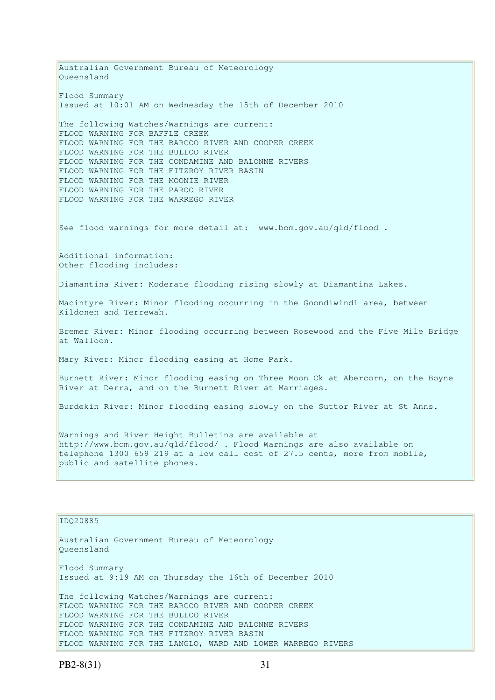Australian Government Bureau of Meteorology Queensland Flood Summary Issued at 10:01 AM on Wednesday the 15th of December 2010 The following Watches/Warnings are current: FLOOD WARNING FOR BAFFLE CREEK FLOOD WARNING FOR THE BARCOO RIVER AND COOPER CREEK FLOOD WARNING FOR THE BULLOO RIVER FLOOD WARNING FOR THE CONDAMINE AND BALONNE RIVERS FLOOD WARNING FOR THE FITZROY RIVER BASIN FLOOD WARNING FOR THE MOONIE RIVER FLOOD WARNING FOR THE PAROO RIVER FLOOD WARNING FOR THE WARREGO RIVER See flood warnings for more detail at: www.bom.gov.au/qld/flood. Additional information: Other flooding includes: Diamantina River: Moderate flooding rising slowly at Diamantina Lakes. Macintyre River: Minor flooding occurring in the Goondiwindi area, between Kildonen and Terrewah. Bremer River: Minor flooding occurring between Rosewood and the Five Mile Bridge at Walloon. Mary River: Minor flooding easing at Home Park. Burnett River: Minor flooding easing on Three Moon Ck at Abercorn, on the Boyne River at Derra, and on the Burnett River at Marriages. Burdekin River: Minor flooding easing slowly on the Suttor River at St Anns. Warnings and River Height Bulletins are available at http://www.bom.gov.au/qld/flood/ . Flood Warnings are also available on telephone 1300 659 219 at a low call cost of 27.5 cents, more from mobile, public and satellite phones.

#### IDQ20885

Australian Government Bureau of Meteorology Queensland Flood Summary Issued at 9:19 AM on Thursday the 16th of December 2010 The following Watches/Warnings are current: FLOOD WARNING FOR THE BARCOO RIVER AND COOPER CREEK FLOOD WARNING FOR THE BULLOO RIVER FLOOD WARNING FOR THE CONDAMINE AND BALONNE RIVERS FLOOD WARNING FOR THE FITZROY RIVER BASIN FLOOD WARNING FOR THE LANGLO, WARD AND LOWER WARREGO RIVERS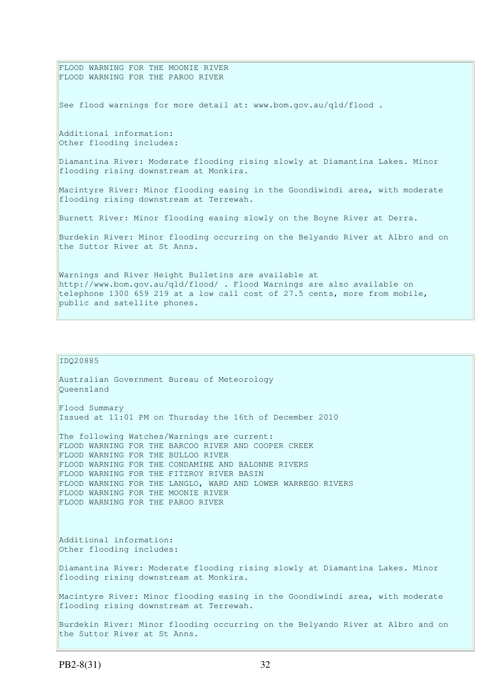FLOOD WARNING FOR THE MOONIE RIVER FLOOD WARNING FOR THE PAROO RIVER See flood warnings for more detail at: www.bom.gov.au/qld/flood . Additional information: Other flooding includes: Diamantina River: Moderate flooding rising slowly at Diamantina Lakes. Minor flooding rising downstream at Monkira. Macintyre River: Minor flooding easing in the Goondiwindi area, with moderate flooding rising downstream at Terrewah. Burnett River: Minor flooding easing slowly on the Boyne River at Derra. Burdekin River: Minor flooding occurring on the Belyando River at Albro and on the Suttor River at St Anns. Warnings and River Height Bulletins are available at http://www.bom.gov.au/qld/flood/ . Flood Warnings are also available on telephone 1300 659 219 at a low call cost of 27.5 cents, more from mobile,

Australian Government Bureau of Meteorology Queensland Flood Summary Issued at 11:01 PM on Thursday the 16th of December 2010 The following Watches/Warnings are current: FLOOD WARNING FOR THE BARCOO RIVER AND COOPER CREEK FLOOD WARNING FOR THE BULLOO RIVER FLOOD WARNING FOR THE CONDAMINE AND BALONNE RIVERS FLOOD WARNING FOR THE FITZROY RIVER BASIN FLOOD WARNING FOR THE LANGLO, WARD AND LOWER WARREGO RIVERS FLOOD WARNING FOR THE MOONIE RIVER FLOOD WARNING FOR THE PAROO RIVER Additional information: Other flooding includes: Diamantina River: Moderate flooding rising slowly at Diamantina Lakes. Minor flooding rising downstream at Monkira. Macintyre River: Minor flooding easing in the Goondiwindi area, with moderate flooding rising downstream at Terrewah. Burdekin River: Minor flooding occurring on the Belyando River at Albro and on the Suttor River at St Anns.

public and satellite phones.

IDQ20885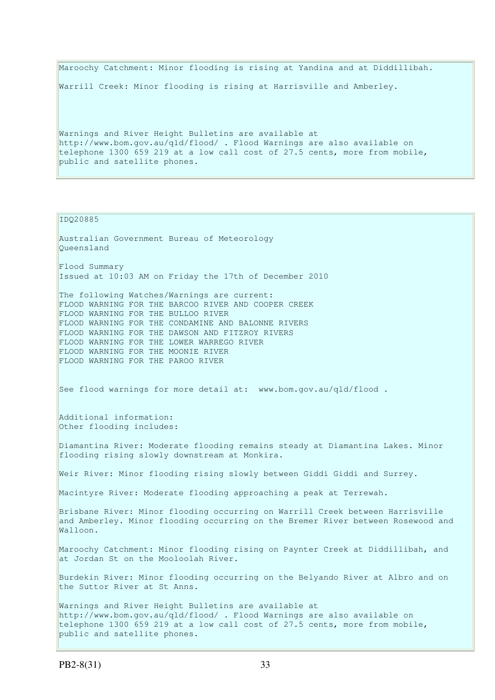Maroochy Catchment: Minor flooding is rising at Yandina and at Diddillibah. Warrill Creek: Minor flooding is rising at Harrisville and Amberley.

Warnings and River Height Bulletins are available at http://www.bom.gov.au/qld/flood/ . Flood Warnings are also available on telephone 1300 659 219 at a low call cost of 27.5 cents, more from mobile, public and satellite phones.

### IDQ20885

Australian Government Bureau of Meteorology Queensland Flood Summary Issued at 10:03 AM on Friday the 17th of December 2010 The following Watches/Warnings are current: FLOOD WARNING FOR THE BARCOO RIVER AND COOPER CREEK FLOOD WARNING FOR THE BULLOO RIVER FLOOD WARNING FOR THE CONDAMINE AND BALONNE RIVERS FLOOD WARNING FOR THE DAWSON AND FITZROY RIVERS FLOOD WARNING FOR THE LOWER WARREGO RIVER FLOOD WARNING FOR THE MOONIE RIVER FLOOD WARNING FOR THE PAROO RIVER See flood warnings for more detail at: www.bom.gov.au/qld/flood. Additional information: Other flooding includes: Diamantina River: Moderate flooding remains steady at Diamantina Lakes. Minor flooding rising slowly downstream at Monkira. Weir River: Minor flooding rising slowly between Giddi Giddi and Surrey. Macintyre River: Moderate flooding approaching a peak at Terrewah. Brisbane River: Minor flooding occurring on Warrill Creek between Harrisville and Amberley. Minor flooding occurring on the Bremer River between Rosewood and Walloon. Maroochy Catchment: Minor flooding rising on Paynter Creek at Diddillibah, and at Jordan St on the Mooloolah River. Burdekin River: Minor flooding occurring on the Belyando River at Albro and on the Suttor River at St Anns. Warnings and River Height Bulletins are available at http://www.bom.gov.au/qld/flood/ . Flood Warnings are also available on telephone 1300 659 219 at a low call cost of 27.5 cents, more from mobile, public and satellite phones.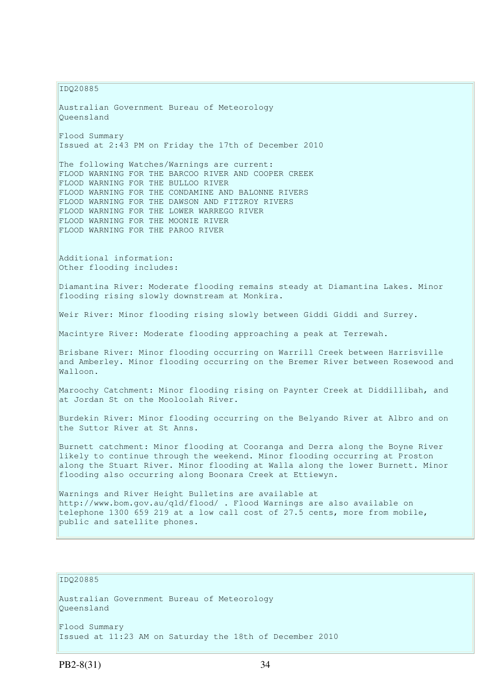IDQ20885

Australian Government Bureau of Meteorology Queensland Flood Summary Issued at 2:43 PM on Friday the 17th of December 2010 The following Watches/Warnings are current: FLOOD WARNING FOR THE BARCOO RIVER AND COOPER CREEK FLOOD WARNING FOR THE BULLOO RIVER FLOOD WARNING FOR THE CONDAMINE AND BALONNE RIVERS FLOOD WARNING FOR THE DAWSON AND FITZROY RIVERS FLOOD WARNING FOR THE LOWER WARREGO RIVER FLOOD WARNING FOR THE MOONIE RIVER FLOOD WARNING FOR THE PAROO RIVER Additional information: Other flooding includes: Diamantina River: Moderate flooding remains steady at Diamantina Lakes. Minor flooding rising slowly downstream at Monkira. Weir River: Minor flooding rising slowly between Giddi Giddi and Surrey. Macintyre River: Moderate flooding approaching a peak at Terrewah. Brisbane River: Minor flooding occurring on Warrill Creek between Harrisville and Amberley. Minor flooding occurring on the Bremer River between Rosewood and Walloon. Maroochy Catchment: Minor flooding rising on Paynter Creek at Diddillibah, and at Jordan St on the Mooloolah River. Burdekin River: Minor flooding occurring on the Belyando River at Albro and on the Suttor River at St Anns. Burnett catchment: Minor flooding at Cooranga and Derra along the Boyne River likely to continue through the weekend. Minor flooding occurring at Proston along the Stuart River. Minor flooding at Walla along the lower Burnett. Minor flooding also occurring along Boonara Creek at Ettiewyn. Warnings and River Height Bulletins are available at http://www.bom.gov.au/qld/flood/ . Flood Warnings are also available on telephone 1300 659 219 at a low call cost of 27.5 cents, more from mobile, public and satellite phones.

## IDQ20885

Australian Government Bureau of Meteorology Queensland Flood Summary Issued at 11:23 AM on Saturday the 18th of December 2010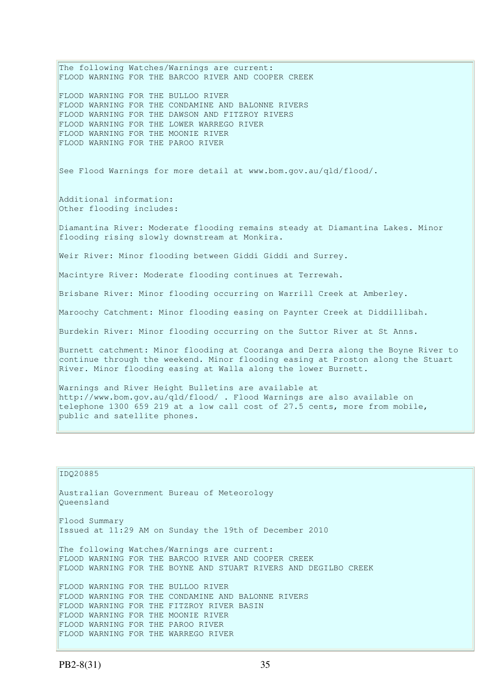The following Watches/Warnings are current: FLOOD WARNING FOR THE BARCOO RIVER AND COOPER CREEK FLOOD WARNING FOR THE BULLOO RIVER FLOOD WARNING FOR THE CONDAMINE AND BALONNE RIVERS FLOOD WARNING FOR THE DAWSON AND FITZROY RIVERS FLOOD WARNING FOR THE LOWER WARREGO RIVER FLOOD WARNING FOR THE MOONIE RIVER FLOOD WARNING FOR THE PAROO RIVER See Flood Warnings for more detail at www.bom.gov.au/qld/flood/. Additional information: Other flooding includes: Diamantina River: Moderate flooding remains steady at Diamantina Lakes. Minor flooding rising slowly downstream at Monkira. Weir River: Minor flooding between Giddi Giddi and Surrey. Macintyre River: Moderate flooding continues at Terrewah. Brisbane River: Minor flooding occurring on Warrill Creek at Amberley. Maroochy Catchment: Minor flooding easing on Paynter Creek at Diddillibah. Burdekin River: Minor flooding occurring on the Suttor River at St Anns. Burnett catchment: Minor flooding at Cooranga and Derra along the Boyne River to continue through the weekend. Minor flooding easing at Proston along the Stuart River. Minor flooding easing at Walla along the lower Burnett. Warnings and River Height Bulletins are available at http://www.bom.gov.au/qld/flood/ . Flood Warnings are also available on telephone 1300 659 219 at a low call cost of 27.5 cents, more from mobile, public and satellite phones.

```
IDQ20885 
Australian Government Bureau of Meteorology 
Queensland 
Flood Summary 
Issued at 11:29 AM on Sunday the 19th of December 2010 
The following Watches/Warnings are current: 
FLOOD WARNING FOR THE BARCOO RIVER AND COOPER CREEK 
FLOOD WARNING FOR THE BOYNE AND STUART RIVERS AND DEGILBO CREEK 
FLOOD WARNING FOR THE BULLOO RIVER 
FLOOD WARNING FOR THE CONDAMINE AND BALONNE RIVERS 
FLOOD WARNING FOR THE FITZROY RIVER BASIN 
FLOOD WARNING FOR THE MOONIE RIVER 
FLOOD WARNING FOR THE PAROO RIVER 
FLOOD WARNING FOR THE WARREGO RIVER
```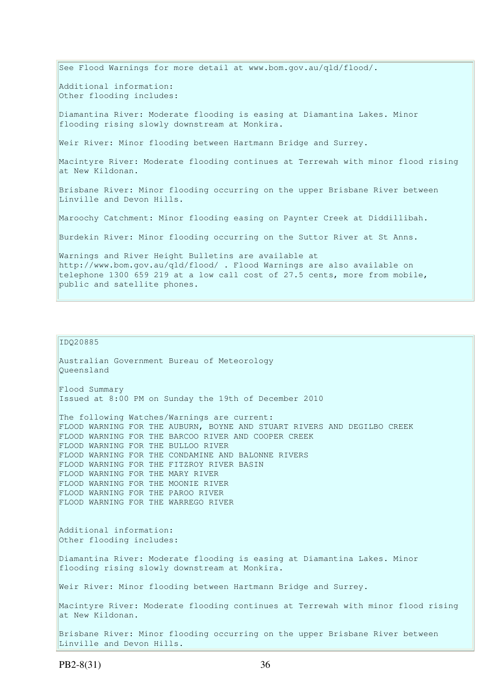See Flood Warnings for more detail at www.bom.gov.au/qld/flood/. Additional information: Other flooding includes: Diamantina River: Moderate flooding is easing at Diamantina Lakes. Minor flooding rising slowly downstream at Monkira. Weir River: Minor flooding between Hartmann Bridge and Surrey. Macintyre River: Moderate flooding continues at Terrewah with minor flood rising at New Kildonan. Brisbane River: Minor flooding occurring on the upper Brisbane River between Linville and Devon Hills. Maroochy Catchment: Minor flooding easing on Paynter Creek at Diddillibah. Burdekin River: Minor flooding occurring on the Suttor River at St Anns. Warnings and River Height Bulletins are available at http://www.bom.gov.au/qld/flood/ . Flood Warnings are also available on telephone 1300 659 219 at a low call cost of 27.5 cents, more from mobile, public and satellite phones.

#### IDQ20885

Australian Government Bureau of Meteorology Queensland Flood Summary Issued at 8:00 PM on Sunday the 19th of December 2010

The following Watches/Warnings are current: FLOOD WARNING FOR THE AUBURN, BOYNE AND STUART RIVERS AND DEGILBO CREEK FLOOD WARNING FOR THE BARCOO RIVER AND COOPER CREEK FLOOD WARNING FOR THE BULLOO RIVER FLOOD WARNING FOR THE CONDAMINE AND BALONNE RIVERS FLOOD WARNING FOR THE FITZROY RIVER BASIN FLOOD WARNING FOR THE MARY RIVER FLOOD WARNING FOR THE MOONIE RIVER FLOOD WARNING FOR THE PAROO RIVER FLOOD WARNING FOR THE WARREGO RIVER

Additional information: Other flooding includes:

Diamantina River: Moderate flooding is easing at Diamantina Lakes. Minor flooding rising slowly downstream at Monkira.

Weir River: Minor flooding between Hartmann Bridge and Surrey.

Macintyre River: Moderate flooding continues at Terrewah with minor flood rising at New Kildonan.

Brisbane River: Minor flooding occurring on the upper Brisbane River between Linville and Devon Hills.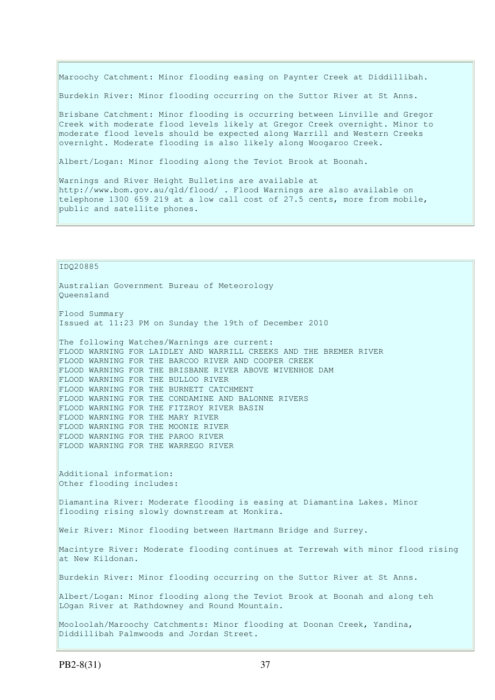Maroochy Catchment: Minor flooding easing on Paynter Creek at Diddillibah.

Burdekin River: Minor flooding occurring on the Suttor River at St Anns.

Brisbane Catchment: Minor flooding is occurring between Linville and Gregor Creek with moderate flood levels likely at Gregor Creek overnight. Minor to moderate flood levels should be expected along Warrill and Western Creeks overnight. Moderate flooding is also likely along Woogaroo Creek.

Albert/Logan: Minor flooding along the Teviot Brook at Boonah.

Warnings and River Height Bulletins are available at http://www.bom.gov.au/qld/flood/ . Flood Warnings are also available on telephone 1300 659 219 at a low call cost of 27.5 cents, more from mobile, public and satellite phones.

IDQ20885

Australian Government Bureau of Meteorology Queensland

Flood Summary Issued at 11:23 PM on Sunday the 19th of December 2010

The following Watches/Warnings are current: FLOOD WARNING FOR LAIDLEY AND WARRILL CREEKS AND THE BREMER RIVER FLOOD WARNING FOR THE BARCOO RIVER AND COOPER CREEK FLOOD WARNING FOR THE BRISBANE RIVER ABOVE WIVENHOE DAM FLOOD WARNING FOR THE BULLOO RIVER FLOOD WARNING FOR THE BURNETT CATCHMENT FLOOD WARNING FOR THE CONDAMINE AND BALONNE RIVERS FLOOD WARNING FOR THE FITZROY RIVER BASIN FLOOD WARNING FOR THE MARY RIVER FLOOD WARNING FOR THE MOONIE RIVER FLOOD WARNING FOR THE PAROO RIVER FLOOD WARNING FOR THE WARREGO RIVER

Additional information: Other flooding includes:

Diamantina River: Moderate flooding is easing at Diamantina Lakes. Minor flooding rising slowly downstream at Monkira.

Weir River: Minor flooding between Hartmann Bridge and Surrey.

Macintyre River: Moderate flooding continues at Terrewah with minor flood rising at New Kildonan.

Burdekin River: Minor flooding occurring on the Suttor River at St Anns.

Albert/Logan: Minor flooding along the Teviot Brook at Boonah and along teh LOgan River at Rathdowney and Round Mountain.

Mooloolah/Maroochy Catchments: Minor flooding at Doonan Creek, Yandina, Diddillibah Palmwoods and Jordan Street.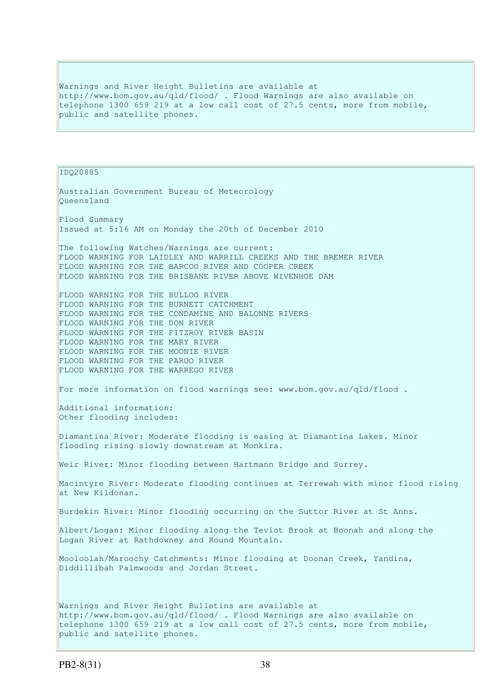Warnings and River Height Bulletins are available at http://www.bom.gov.au/qld/flood/ . Flood Warnings are also available on telephone 1300 659 219 at a low call cost of 27.5 cents, more from mobile, public and satellite phones.

```
IDQ20885 
Australian Government Bureau of Meteorology 
Queensland 
Flood Summary 
Issued at 5:16 AM on Monday the 20th of December 2010 
The following Watches/Warnings are current: 
FLOOD WARNING FOR LAIDLEY AND WARRILL CREEKS AND THE BREMER RIVER 
FLOOD WARNING FOR THE BARCOO RIVER AND COOPER CREEK 
FLOOD WARNING FOR THE BRISBANE RIVER ABOVE WIVENHOE DAM 
FLOOD WARNING FOR THE BULLOO RIVER 
FLOOD WARNING FOR THE BURNETT CATCHMENT 
FLOOD WARNING FOR THE CONDAMINE AND BALONNE RIVERS 
FLOOD WARNING FOR THE DON RIVER 
FLOOD WARNING FOR THE FITZROY RIVER BASIN 
FLOOD WARNING FOR THE MARY RIVER 
FLOOD WARNING FOR THE MOONIE RIVER 
FLOOD WARNING FOR THE PAROO RIVER 
FLOOD WARNING FOR THE WARREGO RIVER 
For more information on flood warnings see: www.bom.gov.au/qld/flood . 
Additional information: 
Other flooding includes: 
Diamantina River: Moderate flooding is easing at Diamantina Lakes. Minor 
flooding rising slowly downstream at Monkira. 
Weir River: Minor flooding between Hartmann Bridge and Surrey. 
Macintyre River: Moderate flooding continues at Terrewah with minor flood rising 
at New Kildonan. 
Burdekin River: Minor flooding occurring on the Suttor River at St Anns. 
Albert/Logan: Minor flooding along the Teviot Brook at Boonah and along the 
Logan River at Rathdowney and Round Mountain. 
Mooloolah/Maroochy Catchments: Minor flooding at Doonan Creek, Yandina, 
Diddillibah Palmwoods and Jordan Street. 
Warnings and River Height Bulletins are available at 
http://www.bom.gov.au/qld/flood/ . Flood Warnings are also available on 
telephone 1300 659 219 at a low call cost of 27.5 cents, more from mobile,
public and satellite phones.
```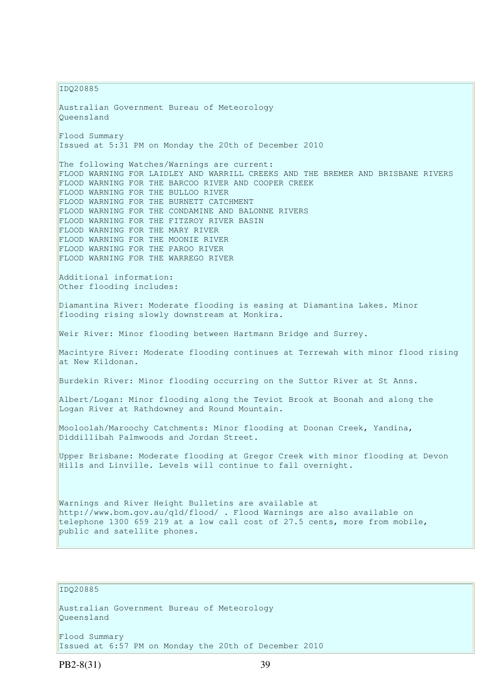IDQ20885

Australian Government Bureau of Meteorology Queensland Flood Summary Issued at 5:31 PM on Monday the 20th of December 2010 The following Watches/Warnings are current: FLOOD WARNING FOR LAIDLEY AND WARRILL CREEKS AND THE BREMER AND BRISBANE RIVERS FLOOD WARNING FOR THE BARCOO RIVER AND COOPER CREEK FLOOD WARNING FOR THE BULLOO RIVER FLOOD WARNING FOR THE BURNETT CATCHMENT FLOOD WARNING FOR THE CONDAMINE AND BALONNE RIVERS FLOOD WARNING FOR THE FITZROY RIVER BASIN FLOOD WARNING FOR THE MARY RIVER FLOOD WARNING FOR THE MOONIE RIVER FLOOD WARNING FOR THE PAROO RIVER FLOOD WARNING FOR THE WARREGO RIVER Additional information: Other flooding includes: Diamantina River: Moderate flooding is easing at Diamantina Lakes. Minor flooding rising slowly downstream at Monkira. Weir River: Minor flooding between Hartmann Bridge and Surrey. Macintyre River: Moderate flooding continues at Terrewah with minor flood rising at New Kildonan. Burdekin River: Minor flooding occurring on the Suttor River at St Anns. Albert/Logan: Minor flooding along the Teviot Brook at Boonah and along the Logan River at Rathdowney and Round Mountain. Mooloolah/Maroochy Catchments: Minor flooding at Doonan Creek, Yandina, Diddillibah Palmwoods and Jordan Street. Upper Brisbane: Moderate flooding at Gregor Creek with minor flooding at Devon Hills and Linville. Levels will continue to fall overnight. Warnings and River Height Bulletins are available at http://www.bom.gov.au/qld/flood/ . Flood Warnings are also available on telephone 1300 659 219 at a low call cost of 27.5 cents, more from mobile, public and satellite phones.

#### $TDO20885$

Australian Government Bureau of Meteorology Queensland

Flood Summary Issued at 6:57 PM on Monday the 20th of December 2010

PB2-8(31) 39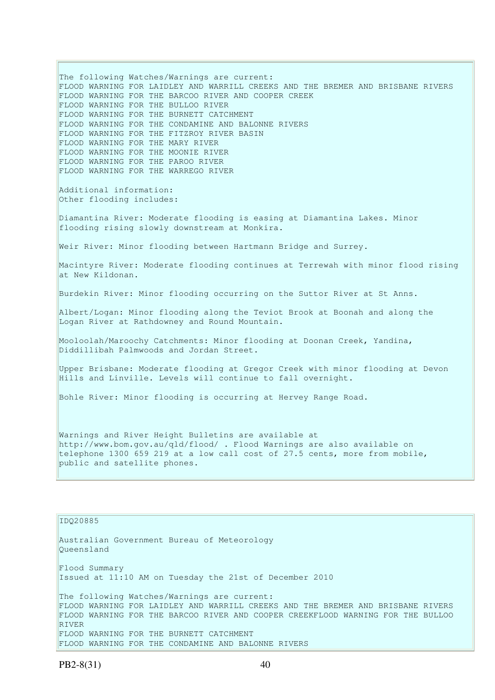The following Watches/Warnings are current: FLOOD WARNING FOR LAIDLEY AND WARRILL CREEKS AND THE BREMER AND BRISBANE RIVERS FLOOD WARNING FOR THE BARCOO RIVER AND COOPER CREEK FLOOD WARNING FOR THE BULLOO RIVER FLOOD WARNING FOR THE BURNETT CATCHMENT FLOOD WARNING FOR THE CONDAMINE AND BALONNE RIVERS FLOOD WARNING FOR THE FITZROY RIVER BASIN FLOOD WARNING FOR THE MARY RIVER FLOOD WARNING FOR THE MOONIE RIVER FLOOD WARNING FOR THE PAROO RIVER FLOOD WARNING FOR THE WARREGO RIVER Additional information: Other flooding includes: Diamantina River: Moderate flooding is easing at Diamantina Lakes. Minor flooding rising slowly downstream at Monkira. Weir River: Minor flooding between Hartmann Bridge and Surrey. Macintyre River: Moderate flooding continues at Terrewah with minor flood rising at New Kildonan. Burdekin River: Minor flooding occurring on the Suttor River at St Anns. Albert/Logan: Minor flooding along the Teviot Brook at Boonah and along the Logan River at Rathdowney and Round Mountain. Mooloolah/Maroochy Catchments: Minor flooding at Doonan Creek, Yandina, Diddillibah Palmwoods and Jordan Street. Upper Brisbane: Moderate flooding at Gregor Creek with minor flooding at Devon Hills and Linville. Levels will continue to fall overnight. Bohle River: Minor flooding is occurring at Hervey Range Road. Warnings and River Height Bulletins are available at http://www.bom.gov.au/qld/flood/ . Flood Warnings are also available on telephone 1300 659 219 at a low call cost of 27.5 cents, more from mobile, public and satellite phones.

# IDQ20885

Australian Government Bureau of Meteorology Queensland Flood Summary Issued at 11:10 AM on Tuesday the 21st of December 2010 The following Watches/Warnings are current: FLOOD WARNING FOR LAIDLEY AND WARRILL CREEKS AND THE BREMER AND BRISBANE RIVERS FLOOD WARNING FOR THE BARCOO RIVER AND COOPER CREEKFLOOD WARNING FOR THE BULLOO RIVER FLOOD WARNING FOR THE BURNETT CATCHMENT FLOOD WARNING FOR THE CONDAMINE AND BALONNE RIVERS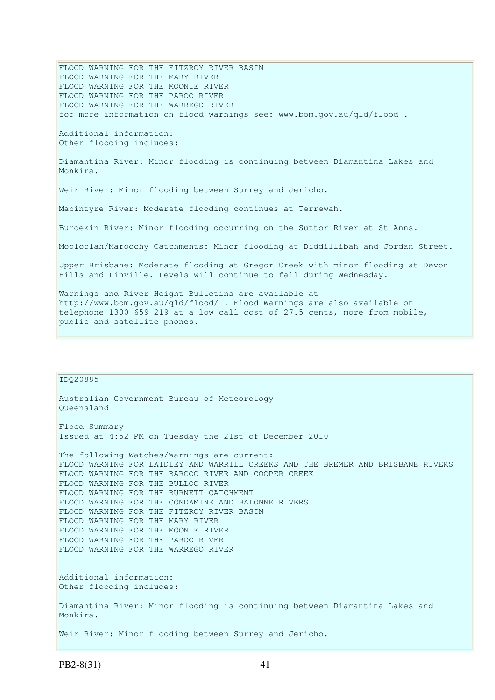FLOOD WARNING FOR THE FITZROY RIVER BASIN FLOOD WARNING FOR THE MARY RIVER FLOOD WARNING FOR THE MOONIE RIVER FLOOD WARNING FOR THE PAROO RIVER FLOOD WARNING FOR THE WARREGO RIVER for more information on flood warnings see: www.bom.gov.au/qld/flood . Additional information: Other flooding includes: Diamantina River: Minor flooding is continuing between Diamantina Lakes and Monkira. Weir River: Minor flooding between Surrey and Jericho. Macintyre River: Moderate flooding continues at Terrewah. Burdekin River: Minor flooding occurring on the Suttor River at St Anns. Mooloolah/Maroochy Catchments: Minor flooding at Diddillibah and Jordan Street. Upper Brisbane: Moderate flooding at Gregor Creek with minor flooding at Devon Hills and Linville. Levels will continue to fall during Wednesday. Warnings and River Height Bulletins are available at http://www.bom.gov.au/qld/flood/ . Flood Warnings are also available on telephone 1300 659 219 at a low call cost of 27.5 cents, more from mobile, public and satellite phones.

# IDQ20885 Australian Government Bureau of Meteorology Queensland Flood Summary Issued at 4:52 PM on Tuesday the 21st of December 2010 The following Watches/Warnings are current: FLOOD WARNING FOR LAIDLEY AND WARRILL CREEKS AND THE BREMER AND BRISBANE RIVERS FLOOD WARNING FOR THE BARCOO RIVER AND COOPER CREEK FLOOD WARNING FOR THE BULLOO RIVER FLOOD WARNING FOR THE BURNETT CATCHMENT FLOOD WARNING FOR THE CONDAMINE AND BALONNE RIVERS FLOOD WARNING FOR THE FITZROY RIVER BASIN FLOOD WARNING FOR THE MARY RIVER FLOOD WARNING FOR THE MOONIE RIVER FLOOD WARNING FOR THE PAROO RIVER FLOOD WARNING FOR THE WARREGO RIVER Additional information: Other flooding includes: Diamantina River: Minor flooding is continuing between Diamantina Lakes and Monkira. Weir River: Minor flooding between Surrey and Jericho.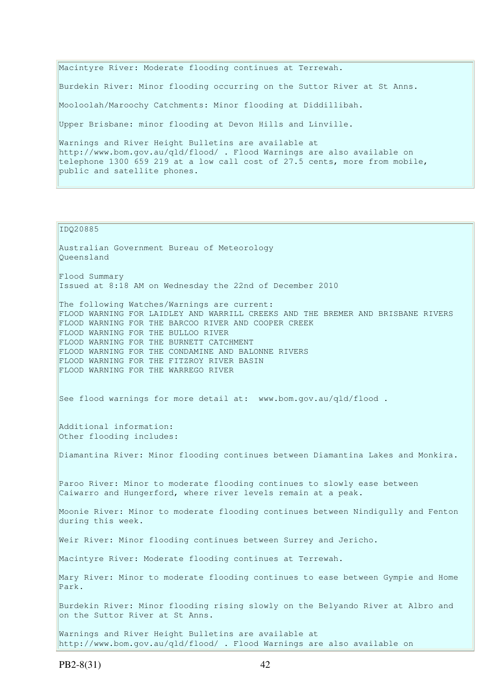Macintyre River: Moderate flooding continues at Terrewah. Burdekin River: Minor flooding occurring on the Suttor River at St Anns. Mooloolah/Maroochy Catchments: Minor flooding at Diddillibah. Upper Brisbane: minor flooding at Devon Hills and Linville. Warnings and River Height Bulletins are available at http://www.bom.gov.au/qld/flood/ . Flood Warnings are also available on telephone 1300 659 219 at a low call cost of 27.5 cents, more from mobile, public and satellite phones.

#### IDQ20885

Australian Government Bureau of Meteorology Queensland Flood Summary Issued at 8:18 AM on Wednesday the 22nd of December 2010 The following Watches/Warnings are current: FLOOD WARNING FOR LAIDLEY AND WARRILL CREEKS AND THE BREMER AND BRISBANE RIVERS FLOOD WARNING FOR THE BARCOO RIVER AND COOPER CREEK FLOOD WARNING FOR THE BULLOO RIVER FLOOD WARNING FOR THE BURNETT CATCHMENT FLOOD WARNING FOR THE CONDAMINE AND BALONNE RIVERS FLOOD WARNING FOR THE FITZROY RIVER BASIN FLOOD WARNING FOR THE WARREGO RIVER See flood warnings for more detail at: www.bom.gov.au/qld/flood . Additional information: Other flooding includes: Diamantina River: Minor flooding continues between Diamantina Lakes and Monkira. Paroo River: Minor to moderate flooding continues to slowly ease between Caiwarro and Hungerford, where river levels remain at a peak. Moonie River: Minor to moderate flooding continues between Nindigully and Fenton during this week. Weir River: Minor flooding continues between Surrey and Jericho. Macintyre River: Moderate flooding continues at Terrewah. Mary River: Minor to moderate flooding continues to ease between Gympie and Home Park. Burdekin River: Minor flooding rising slowly on the Belyando River at Albro and on the Suttor River at St Anns.

Warnings and River Height Bulletins are available at http://www.bom.gov.au/qld/flood/ . Flood Warnings are also available on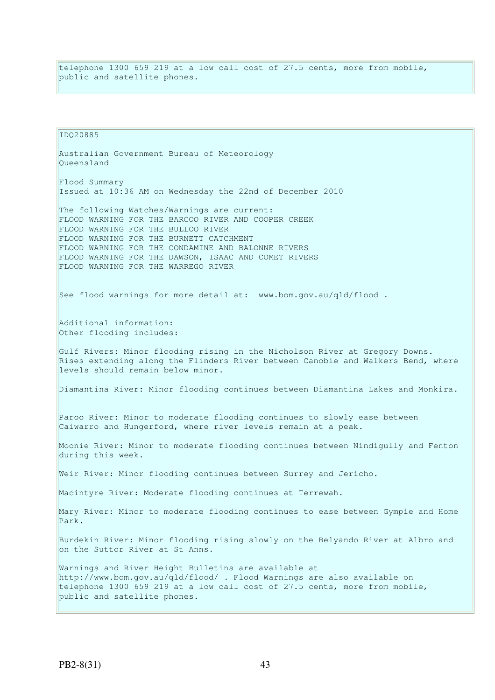telephone 1300 659 219 at a low call cost of 27.5 cents, more from mobile, public and satellite phones.

IDQ20885 Australian Government Bureau of Meteorology Queensland Flood Summary Issued at 10:36 AM on Wednesday the 22nd of December 2010 The following Watches/Warnings are current: FLOOD WARNING FOR THE BARCOO RIVER AND COOPER CREEK FLOOD WARNING FOR THE BULLOO RIVER FLOOD WARNING FOR THE BURNETT CATCHMENT FLOOD WARNING FOR THE CONDAMINE AND BALONNE RIVERS FLOOD WARNING FOR THE DAWSON, ISAAC AND COMET RIVERS FLOOD WARNING FOR THE WARREGO RIVER See flood warnings for more detail at: www.bom.gov.au/qld/flood. Additional information: Other flooding includes: Gulf Rivers: Minor flooding rising in the Nicholson River at Gregory Downs. Rises extending along the Flinders River between Canobie and Walkers Bend, where levels should remain below minor. Diamantina River: Minor flooding continues between Diamantina Lakes and Monkira. Paroo River: Minor to moderate flooding continues to slowly ease between Caiwarro and Hungerford, where river levels remain at a peak. Moonie River: Minor to moderate flooding continues between Nindigully and Fenton during this week. Weir River: Minor flooding continues between Surrey and Jericho. Macintyre River: Moderate flooding continues at Terrewah. Mary River: Minor to moderate flooding continues to ease between Gympie and Home Park. Burdekin River: Minor flooding rising slowly on the Belyando River at Albro and on the Suttor River at St Anns. Warnings and River Height Bulletins are available at http://www.bom.gov.au/qld/flood/ . Flood Warnings are also available on telephone 1300 659 219 at a low call cost of 27.5 cents, more from mobile, public and satellite phones.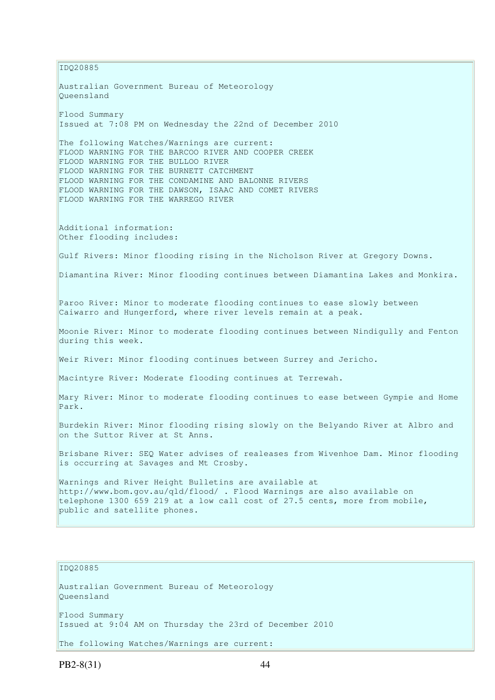IDQ20885 Australian Government Bureau of Meteorology Queensland Flood Summary Issued at 7:08 PM on Wednesday the 22nd of December 2010 The following Watches/Warnings are current: FLOOD WARNING FOR THE BARCOO RIVER AND COOPER CREEK FLOOD WARNING FOR THE BULLOO RIVER FLOOD WARNING FOR THE BURNETT CATCHMENT FLOOD WARNING FOR THE CONDAMINE AND BALONNE RIVERS FLOOD WARNING FOR THE DAWSON, ISAAC AND COMET RIVERS FLOOD WARNING FOR THE WARREGO RIVER Additional information: Other flooding includes: Gulf Rivers: Minor flooding rising in the Nicholson River at Gregory Downs. Diamantina River: Minor flooding continues between Diamantina Lakes and Monkira. Paroo River: Minor to moderate flooding continues to ease slowly between Caiwarro and Hungerford, where river levels remain at a peak. Moonie River: Minor to moderate flooding continues between Nindigully and Fenton during this week. Weir River: Minor flooding continues between Surrey and Jericho. Macintyre River: Moderate flooding continues at Terrewah. Mary River: Minor to moderate flooding continues to ease between Gympie and Home Park. Burdekin River: Minor flooding rising slowly on the Belyando River at Albro and on the Suttor River at St Anns. Brisbane River: SEQ Water advises of realeases from Wivenhoe Dam. Minor flooding is occurring at Savages and Mt Crosby. Warnings and River Height Bulletins are available at http://www.bom.gov.au/qld/flood/ . Flood Warnings are also available on telephone 1300 659 219 at a low call cost of 27.5 cents, more from mobile, public and satellite phones.

#### IDQ20885

Australian Government Bureau of Meteorology Queensland Flood Summary Issued at 9:04 AM on Thursday the 23rd of December 2010 The following Watches/Warnings are current:

PB2-8(31) 44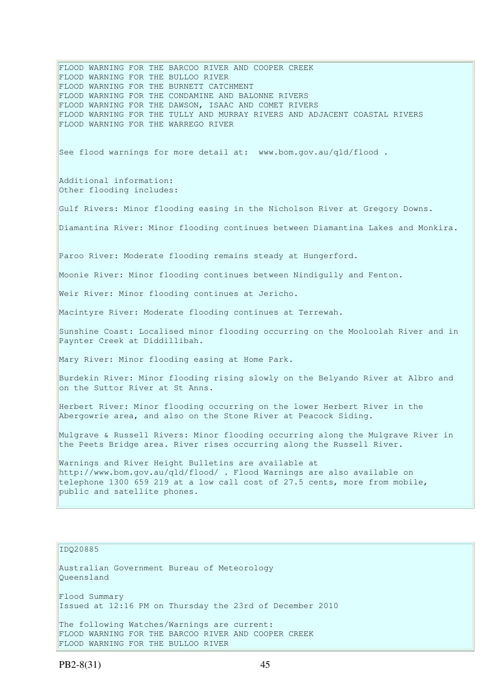FLOOD WARNING FOR THE BARCOO RIVER AND COOPER CREEK FLOOD WARNING FOR THE BULLOO RIVER FLOOD WARNING FOR THE BURNETT CATCHMENT FLOOD WARNING FOR THE CONDAMINE AND BALONNE RIVERS FLOOD WARNING FOR THE DAWSON, ISAAC AND COMET RIVERS FLOOD WARNING FOR THE TULLY AND MURRAY RIVERS AND ADJACENT COASTAL RIVERS FLOOD WARNING FOR THE WARREGO RIVER See flood warnings for more detail at: www.bom.gov.au/qld/flood. Additional information: Other flooding includes: Gulf Rivers: Minor flooding easing in the Nicholson River at Gregory Downs. Diamantina River: Minor flooding continues between Diamantina Lakes and Monkira. Paroo River: Moderate flooding remains steady at Hungerford. Moonie River: Minor flooding continues between Nindigully and Fenton. Weir River: Minor flooding continues at Jericho. Macintyre River: Moderate flooding continues at Terrewah. Sunshine Coast: Localised minor flooding occurring on the Mooloolah River and in Paynter Creek at Diddillibah. Mary River: Minor flooding easing at Home Park. Burdekin River: Minor flooding rising slowly on the Belyando River at Albro and on the Suttor River at St Anns. Herbert River: Minor flooding occurring on the lower Herbert River in the Abergowrie area, and also on the Stone River at Peacock Siding. Mulgrave & Russell Rivers: Minor flooding occurring along the Mulgrave River in the Peets Bridge area. River rises occurring along the Russell River. Warnings and River Height Bulletins are available at http://www.bom.gov.au/qld/flood/ . Flood Warnings are also available on telephone 1300 659 219 at a low call cost of 27.5 cents, more from mobile, public and satellite phones.

#### IDQ20885

Australian Government Bureau of Meteorology Queensland Flood Summary Issued at 12:16 PM on Thursday the 23rd of December 2010

The following Watches/Warnings are current: FLOOD WARNING FOR THE BARCOO RIVER AND COOPER CREEK FLOOD WARNING FOR THE BULLOO RIVER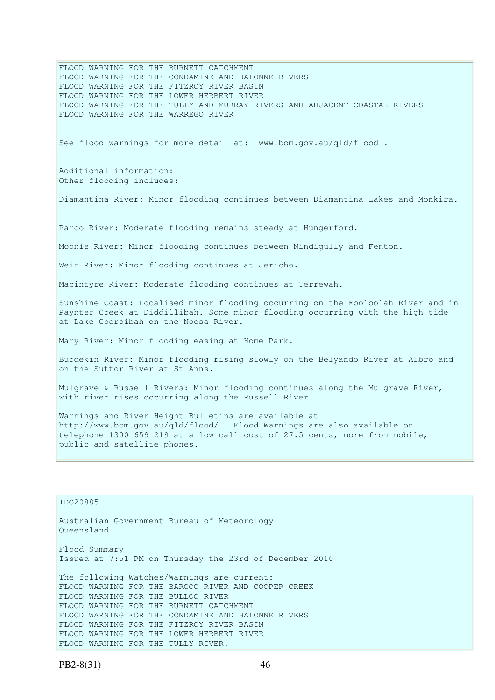FLOOD WARNING FOR THE BURNETT CATCHMENT FLOOD WARNING FOR THE CONDAMINE AND BALONNE RIVERS FLOOD WARNING FOR THE FITZROY RIVER BASIN FLOOD WARNING FOR THE LOWER HERBERT RIVER FLOOD WARNING FOR THE TULLY AND MURRAY RIVERS AND ADJACENT COASTAL RIVERS FLOOD WARNING FOR THE WARREGO RIVER See flood warnings for more detail at: www.bom.gov.au/qld/flood. Additional information: Other flooding includes: Diamantina River: Minor flooding continues between Diamantina Lakes and Monkira. Paroo River: Moderate flooding remains steady at Hungerford. Moonie River: Minor flooding continues between Nindigully and Fenton. Weir River: Minor flooding continues at Jericho. Macintyre River: Moderate flooding continues at Terrewah. Sunshine Coast: Localised minor flooding occurring on the Mooloolah River and in Paynter Creek at Diddillibah. Some minor flooding occurring with the high tide at Lake Cooroibah on the Noosa River. Mary River: Minor flooding easing at Home Park. Burdekin River: Minor flooding rising slowly on the Belyando River at Albro and on the Suttor River at St Anns. Mulgrave & Russell Rivers: Minor flooding continues along the Mulgrave River, with river rises occurring along the Russell River. Warnings and River Height Bulletins are available at http://www.bom.gov.au/qld/flood/ . Flood Warnings are also available on telephone 1300 659 219 at a low call cost of 27.5 cents, more from mobile, public and satellite phones. IDQ20885

Australian Government Bureau of Meteorology Queensland Flood Summary Issued at 7:51 PM on Thursday the 23rd of December 2010 The following Watches/Warnings are current: FLOOD WARNING FOR THE BARCOO RIVER AND COOPER CREEK FLOOD WARNING FOR THE BULLOO RIVER FLOOD WARNING FOR THE BURNETT CATCHMENT FLOOD WARNING FOR THE CONDAMINE AND BALONNE RIVERS FLOOD WARNING FOR THE FITZROY RIVER BASIN FLOOD WARNING FOR THE LOWER HERBERT RIVER FLOOD WARNING FOR THE TULLY RIVER.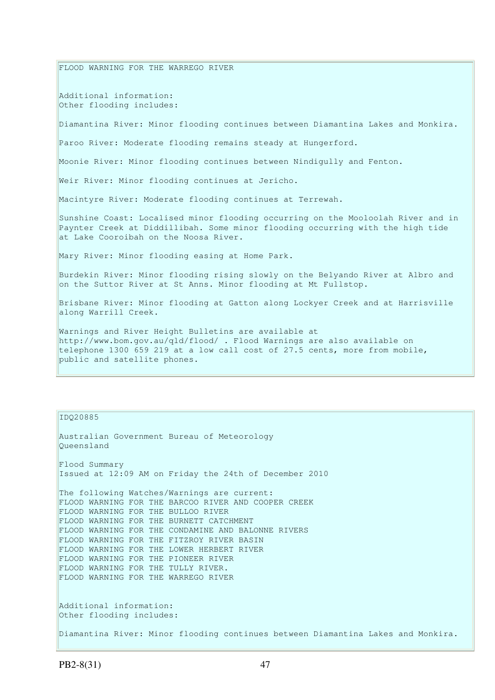FLOOD WARNING FOR THE WARREGO RIVER

Additional information: Other flooding includes:

Diamantina River: Minor flooding continues between Diamantina Lakes and Monkira.

Paroo River: Moderate flooding remains steady at Hungerford.

Moonie River: Minor flooding continues between Nindigully and Fenton.

Weir River: Minor flooding continues at Jericho.

Macintyre River: Moderate flooding continues at Terrewah.

Sunshine Coast: Localised minor flooding occurring on the Mooloolah River and in Paynter Creek at Diddillibah. Some minor flooding occurring with the high tide at Lake Cooroibah on the Noosa River.

Mary River: Minor flooding easing at Home Park.

Burdekin River: Minor flooding rising slowly on the Belyando River at Albro and on the Suttor River at St Anns. Minor flooding at Mt Fullstop.

Brisbane River: Minor flooding at Gatton along Lockyer Creek and at Harrisville along Warrill Creek.

Warnings and River Height Bulletins are available at http://www.bom.gov.au/qld/flood/ . Flood Warnings are also available on telephone 1300 659 219 at a low call cost of 27.5 cents, more from mobile, public and satellite phones.

IDQ20885

```
Australian Government Bureau of Meteorology 
Queensland 
Flood Summary 
Issued at 12:09 AM on Friday the 24th of December 2010 
The following Watches/Warnings are current: 
FLOOD WARNING FOR THE BARCOO RIVER AND COOPER CREEK 
FLOOD WARNING FOR THE BULLOO RIVER 
FLOOD WARNING FOR THE BURNETT CATCHMENT 
FLOOD WARNING FOR THE CONDAMINE AND BALONNE RIVERS 
FLOOD WARNING FOR THE FITZROY RIVER BASIN 
FLOOD WARNING FOR THE LOWER HERBERT RIVER 
FLOOD WARNING FOR THE PIONEER RIVER 
FLOOD WARNING FOR THE TULLY RIVER. 
FLOOD WARNING FOR THE WARREGO RIVER 
Additional information: 
Other flooding includes: 
Diamantina River: Minor flooding continues between Diamantina Lakes and Monkira.
```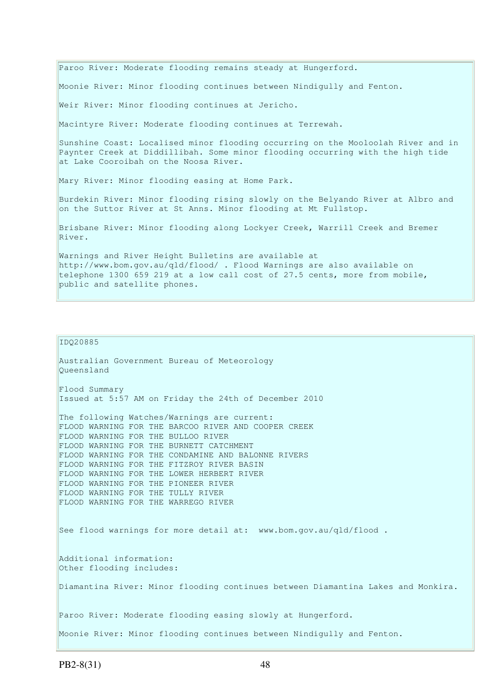Paroo River: Moderate flooding remains steady at Hungerford. Moonie River: Minor flooding continues between Nindigully and Fenton. Weir River: Minor flooding continues at Jericho. Macintyre River: Moderate flooding continues at Terrewah. Sunshine Coast: Localised minor flooding occurring on the Mooloolah River and in Paynter Creek at Diddillibah. Some minor flooding occurring with the high tide at Lake Cooroibah on the Noosa River. Mary River: Minor flooding easing at Home Park. Burdekin River: Minor flooding rising slowly on the Belyando River at Albro and on the Suttor River at St Anns. Minor flooding at Mt Fullstop. Brisbane River: Minor flooding along Lockyer Creek, Warrill Creek and Bremer River. Warnings and River Height Bulletins are available at http://www.bom.gov.au/qld/flood/ . Flood Warnings are also available on telephone 1300 659 219 at a low call cost of 27.5 cents, more from mobile, public and satellite phones.

#### IDQ20885

Australian Government Bureau of Meteorology Queensland Flood Summary Issued at 5:57 AM on Friday the 24th of December 2010 The following Watches/Warnings are current: FLOOD WARNING FOR THE BARCOO RIVER AND COOPER CREEK FLOOD WARNING FOR THE BULLOO RIVER FLOOD WARNING FOR THE BURNETT CATCHMENT FLOOD WARNING FOR THE CONDAMINE AND BALONNE RIVERS FLOOD WARNING FOR THE FITZROY RIVER BASIN FLOOD WARNING FOR THE LOWER HERBERT RIVER FLOOD WARNING FOR THE PIONEER RIVER FLOOD WARNING FOR THE TULLY RIVER FLOOD WARNING FOR THE WARREGO RIVER See flood warnings for more detail at: www.bom.gov.au/qld/flood. Additional information: Other flooding includes: Diamantina River: Minor flooding continues between Diamantina Lakes and Monkira. Paroo River: Moderate flooding easing slowly at Hungerford. Moonie River: Minor flooding continues between Nindigully and Fenton.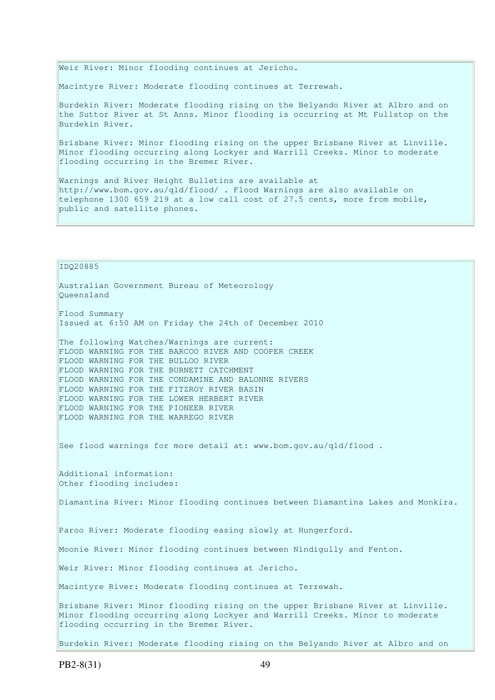Weir River: Minor flooding continues at Jericho.

Macintyre River: Moderate flooding continues at Terrewah.

Burdekin River: Moderate flooding rising on the Belyando River at Albro and on the Suttor River at St Anns. Minor flooding is occurring at Mt Fullstop on the Burdekin River.

Brisbane River: Minor flooding rising on the upper Brisbane River at Linville. Minor flooding occurring along Lockyer and Warrill Creeks. Minor to moderate flooding occurring in the Bremer River.

Warnings and River Height Bulletins are available at http://www.bom.gov.au/qld/flood/ . Flood Warnings are also available on telephone 1300 659 219 at a low call cost of 27.5 cents, more from mobile, public and satellite phones.

IDQ20885

Australian Government Bureau of Meteorology Queensland

Flood Summary Issued at 6:50 AM on Friday the 24th of December 2010

The following Watches/Warnings are current: FLOOD WARNING FOR THE BARCOO RIVER AND COOPER CREEK FLOOD WARNING FOR THE BULLOO RIVER FLOOD WARNING FOR THE BURNETT CATCHMENT FLOOD WARNING FOR THE CONDAMINE AND BALONNE RIVERS FLOOD WARNING FOR THE FITZROY RIVER BASIN FLOOD WARNING FOR THE LOWER HERBERT RIVER FLOOD WARNING FOR THE PIONEER RIVER FLOOD WARNING FOR THE WARREGO RIVER

See flood warnings for more detail at: www.bom.gov.au/qld/flood .

Additional information: Other flooding includes:

Diamantina River: Minor flooding continues between Diamantina Lakes and Monkira.

Paroo River: Moderate flooding easing slowly at Hungerford.

Moonie River: Minor flooding continues between Nindigully and Fenton.

Weir River: Minor flooding continues at Jericho.

Macintyre River: Moderate flooding continues at Terrewah.

Brisbane River: Minor flooding rising on the upper Brisbane River at Linville. Minor flooding occurring along Lockyer and Warrill Creeks. Minor to moderate flooding occurring in the Bremer River.

Burdekin River: Moderate flooding rising on the Belyando River at Albro and on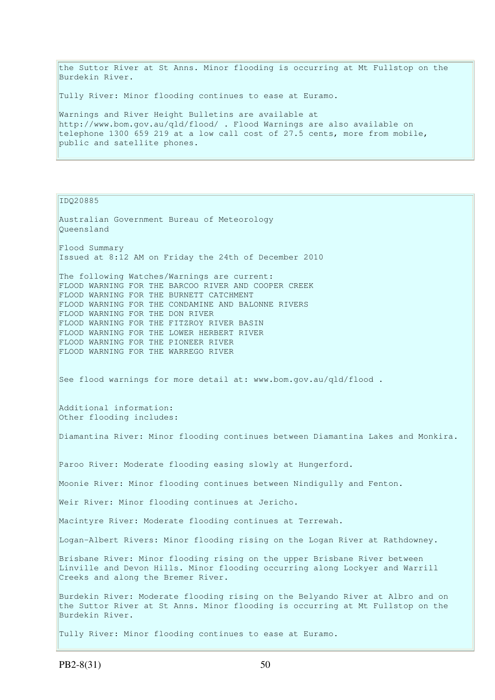the Suttor River at St Anns. Minor flooding is occurring at Mt Fullstop on the Burdekin River.

Tully River: Minor flooding continues to ease at Euramo.

Warnings and River Height Bulletins are available at http://www.bom.gov.au/qld/flood/ . Flood Warnings are also available on telephone 1300 659 219 at a low call cost of 27.5 cents, more from mobile, public and satellite phones.

IDQ20885

Australian Government Bureau of Meteorology Queensland Flood Summary Issued at 8:12 AM on Friday the 24th of December 2010 The following Watches/Warnings are current: FLOOD WARNING FOR THE BARCOO RIVER AND COOPER CREEK FLOOD WARNING FOR THE BURNETT CATCHMENT FLOOD WARNING FOR THE CONDAMINE AND BALONNE RIVERS FLOOD WARNING FOR THE DON RIVER FLOOD WARNING FOR THE FITZROY RIVER BASIN FLOOD WARNING FOR THE LOWER HERBERT RIVER FLOOD WARNING FOR THE PIONEER RIVER FLOOD WARNING FOR THE WARREGO RIVER See flood warnings for more detail at: www.bom.gov.au/qld/flood. Additional information: Other flooding includes: Diamantina River: Minor flooding continues between Diamantina Lakes and Monkira. Paroo River: Moderate flooding easing slowly at Hungerford. Moonie River: Minor flooding continues between Nindigully and Fenton. Weir River: Minor flooding continues at Jericho. Macintyre River: Moderate flooding continues at Terrewah. Logan-Albert Rivers: Minor flooding rising on the Logan River at Rathdowney. Brisbane River: Minor flooding rising on the upper Brisbane River between Linville and Devon Hills. Minor flooding occurring along Lockyer and Warrill Creeks and along the Bremer River. Burdekin River: Moderate flooding rising on the Belyando River at Albro and on the Suttor River at St Anns. Minor flooding is occurring at Mt Fullstop on the Burdekin River. Tully River: Minor flooding continues to ease at Euramo.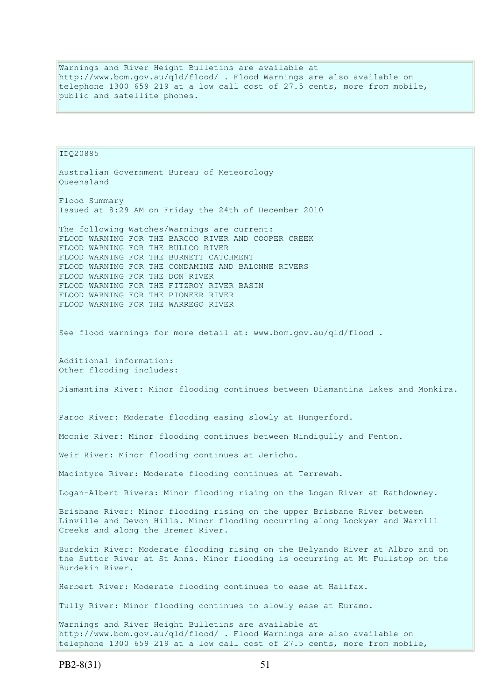Warnings and River Height Bulletins are available at http://www.bom.gov.au/qld/flood/ . Flood Warnings are also available on telephone 1300 659 219 at a low call cost of 27.5 cents, more from mobile, public and satellite phones.

IDQ20885 Australian Government Bureau of Meteorology Queensland Flood Summary Issued at 8:29 AM on Friday the 24th of December 2010 The following Watches/Warnings are current: FLOOD WARNING FOR THE BARCOO RIVER AND COOPER CREEK FLOOD WARNING FOR THE BULLOO RIVER FLOOD WARNING FOR THE BURNETT CATCHMENT FLOOD WARNING FOR THE CONDAMINE AND BALONNE RIVERS FLOOD WARNING FOR THE DON RIVER FLOOD WARNING FOR THE FITZROY RIVER BASIN FLOOD WARNING FOR THE PIONEER RIVER FLOOD WARNING FOR THE WARREGO RIVER See flood warnings for more detail at: www.bom.gov.au/qld/flood. Additional information: Other flooding includes: Diamantina River: Minor flooding continues between Diamantina Lakes and Monkira. Paroo River: Moderate flooding easing slowly at Hungerford. Moonie River: Minor flooding continues between Nindigully and Fenton. Weir River: Minor flooding continues at Jericho. Macintyre River: Moderate flooding continues at Terrewah. Logan-Albert Rivers: Minor flooding rising on the Logan River at Rathdowney. Brisbane River: Minor flooding rising on the upper Brisbane River between Linville and Devon Hills. Minor flooding occurring along Lockyer and Warrill Creeks and along the Bremer River. Burdekin River: Moderate flooding rising on the Belyando River at Albro and on the Suttor River at St Anns. Minor flooding is occurring at Mt Fullstop on the Burdekin River. Herbert River: Moderate flooding continues to ease at Halifax. Tully River: Minor flooding continues to slowly ease at Euramo. Warnings and River Height Bulletins are available at http://www.bom.gov.au/qld/flood/ . Flood Warnings are also available on telephone 1300 659 219 at a low call cost of 27.5 cents, more from mobile,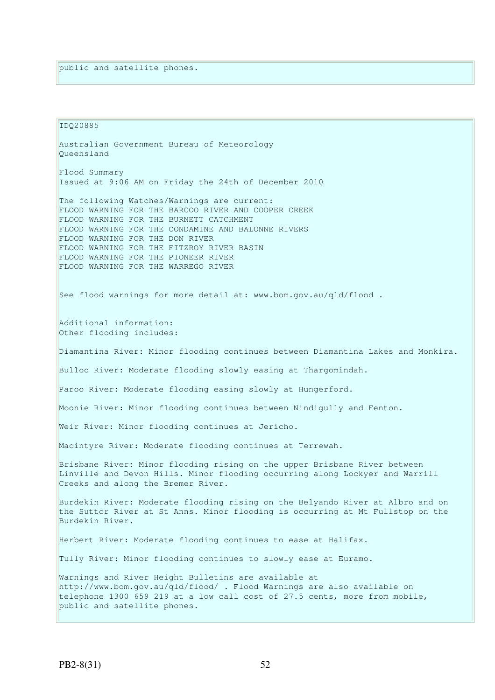IDQ20885 Australian Government Bureau of Meteorology Queensland Flood Summary Issued at 9:06 AM on Friday the 24th of December 2010 The following Watches/Warnings are current: FLOOD WARNING FOR THE BARCOO RIVER AND COOPER CREEK FLOOD WARNING FOR THE BURNETT CATCHMENT FLOOD WARNING FOR THE CONDAMINE AND BALONNE RIVERS FLOOD WARNING FOR THE DON RIVER FLOOD WARNING FOR THE FITZROY RIVER BASIN FLOOD WARNING FOR THE PIONEER RIVER FLOOD WARNING FOR THE WARREGO RIVER See flood warnings for more detail at: www.bom.gov.au/qld/flood. Additional information: Other flooding includes: Diamantina River: Minor flooding continues between Diamantina Lakes and Monkira. Bulloo River: Moderate flooding slowly easing at Thargomindah. Paroo River: Moderate flooding easing slowly at Hungerford. Moonie River: Minor flooding continues between Nindigully and Fenton. Weir River: Minor flooding continues at Jericho. Macintyre River: Moderate flooding continues at Terrewah. Brisbane River: Minor flooding rising on the upper Brisbane River between Linville and Devon Hills. Minor flooding occurring along Lockyer and Warrill Creeks and along the Bremer River. Burdekin River: Moderate flooding rising on the Belyando River at Albro and on the Suttor River at St Anns. Minor flooding is occurring at Mt Fullstop on the Burdekin River. Herbert River: Moderate flooding continues to ease at Halifax. Tully River: Minor flooding continues to slowly ease at Euramo. Warnings and River Height Bulletins are available at http://www.bom.gov.au/qld/flood/ . Flood Warnings are also available on telephone 1300 659 219 at a low call cost of 27.5 cents, more from mobile, public and satellite phones.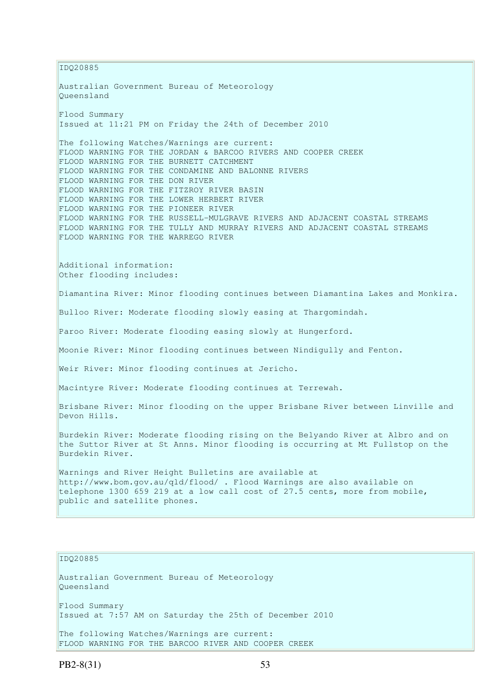IDQ20885 Australian Government Bureau of Meteorology Queensland Flood Summary Issued at 11:21 PM on Friday the 24th of December 2010 The following Watches/Warnings are current: FLOOD WARNING FOR THE JORDAN & BARCOO RIVERS AND COOPER CREEK FLOOD WARNING FOR THE BURNETT CATCHMENT FLOOD WARNING FOR THE CONDAMINE AND BALONNE RIVERS FLOOD WARNING FOR THE DON RIVER FLOOD WARNING FOR THE FITZROY RIVER BASIN FLOOD WARNING FOR THE LOWER HERBERT RIVER FLOOD WARNING FOR THE PIONEER RIVER FLOOD WARNING FOR THE RUSSELL-MULGRAVE RIVERS AND ADJACENT COASTAL STREAMS FLOOD WARNING FOR THE TULLY AND MURRAY RIVERS AND ADJACENT COASTAL STREAMS FLOOD WARNING FOR THE WARREGO RIVER Additional information: Other flooding includes: Diamantina River: Minor flooding continues between Diamantina Lakes and Monkira. Bulloo River: Moderate flooding slowly easing at Thargomindah. Paroo River: Moderate flooding easing slowly at Hungerford. Moonie River: Minor flooding continues between Nindigully and Fenton. Weir River: Minor flooding continues at Jericho. Macintyre River: Moderate flooding continues at Terrewah. Brisbane River: Minor flooding on the upper Brisbane River between Linville and Devon Hills. Burdekin River: Moderate flooding rising on the Belyando River at Albro and on the Suttor River at St Anns. Minor flooding is occurring at Mt Fullstop on the Burdekin River. Warnings and River Height Bulletins are available at http://www.bom.gov.au/qld/flood/ . Flood Warnings are also available on telephone 1300 659 219 at a low call cost of 27.5 cents, more from mobile, public and satellite phones. IDQ20885 Australian Government Bureau of Meteorology Queensland Flood Summary Issued at 7:57 AM on Saturday the 25th of December 2010 The following Watches/Warnings are current:

FLOOD WARNING FOR THE BARCOO RIVER AND COOPER CREEK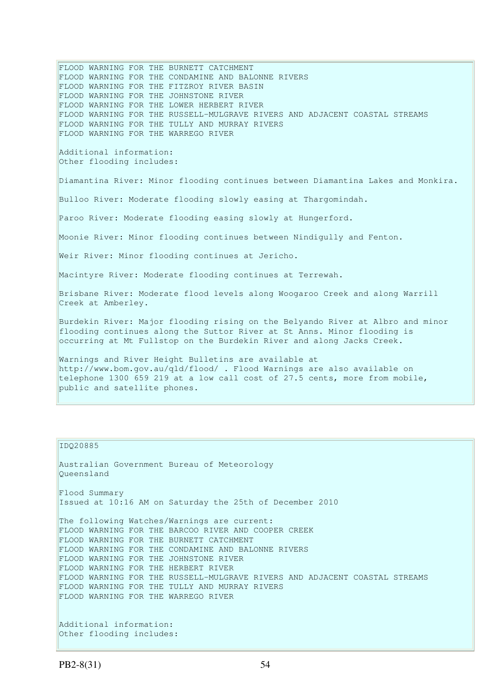FLOOD WARNING FOR THE BURNETT CATCHMENT FLOOD WARNING FOR THE CONDAMINE AND BALONNE RIVERS FLOOD WARNING FOR THE FITZROY RIVER BASIN FLOOD WARNING FOR THE JOHNSTONE RIVER FLOOD WARNING FOR THE LOWER HERBERT RIVER FLOOD WARNING FOR THE RUSSELL-MULGRAVE RIVERS AND ADJACENT COASTAL STREAMS FLOOD WARNING FOR THE TULLY AND MURRAY RIVERS FLOOD WARNING FOR THE WARREGO RIVER Additional information: Other flooding includes: Diamantina River: Minor flooding continues between Diamantina Lakes and Monkira. Bulloo River: Moderate flooding slowly easing at Thargomindah. Paroo River: Moderate flooding easing slowly at Hungerford. Moonie River: Minor flooding continues between Nindigully and Fenton. Weir River: Minor flooding continues at Jericho. Macintyre River: Moderate flooding continues at Terrewah. Brisbane River: Moderate flood levels along Woogaroo Creek and along Warrill Creek at Amberley. Burdekin River: Major flooding rising on the Belyando River at Albro and minor flooding continues along the Suttor River at St Anns. Minor flooding is occurring at Mt Fullstop on the Burdekin River and along Jacks Creek. Warnings and River Height Bulletins are available at http://www.bom.gov.au/qld/flood/ . Flood Warnings are also available on telephone 1300 659 219 at a low call cost of 27.5 cents, more from mobile, public and satellite phones.

#### IDQ20885

Australian Government Bureau of Meteorology Queensland Flood Summary Issued at 10:16 AM on Saturday the 25th of December 2010 The following Watches/Warnings are current: FLOOD WARNING FOR THE BARCOO RIVER AND COOPER CREEK FLOOD WARNING FOR THE BURNETT CATCHMENT FLOOD WARNING FOR THE CONDAMINE AND BALONNE RIVERS FLOOD WARNING FOR THE JOHNSTONE RIVER FLOOD WARNING FOR THE HERBERT RIVER FLOOD WARNING FOR THE RUSSELL-MULGRAVE RIVERS AND ADJACENT COASTAL STREAMS FLOOD WARNING FOR THE TULLY AND MURRAY RIVERS FLOOD WARNING FOR THE WARREGO RIVER Additional information: Other flooding includes: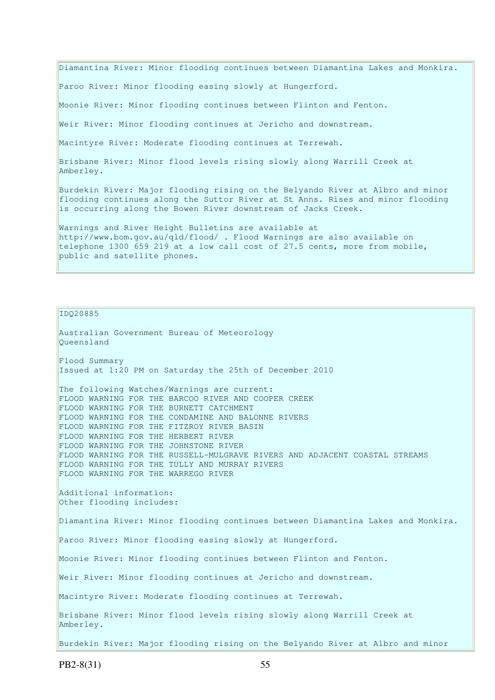Diamantina River: Minor flooding continues between Diamantina Lakes and Monkira.

Paroo River: Minor flooding easing slowly at Hungerford.

Moonie River: Minor flooding continues between Flinton and Fenton.

Weir River: Minor flooding continues at Jericho and downstream.

Macintyre River: Moderate flooding continues at Terrewah.

Australian Government Bureau of Meteorology

Brisbane River: Minor flood levels rising slowly along Warrill Creek at Amberley.

Burdekin River: Major flooding rising on the Belyando River at Albro and minor flooding continues along the Suttor River at St Anns. Rises and minor flooding is occurring along the Bowen River downstream of Jacks Creek.

Warnings and River Height Bulletins are available at http://www.bom.gov.au/qld/flood/ . Flood Warnings are also available on telephone 1300 659 219 at a low call cost of 27.5 cents, more from mobile, public and satellite phones.

IDQ20885

Queensland Flood Summary Issued at 1:20 PM on Saturday the 25th of December 2010 The following Watches/Warnings are current: FLOOD WARNING FOR THE BARCOO RIVER AND COOPER CREEK FLOOD WARNING FOR THE BURNETT CATCHMENT FLOOD WARNING FOR THE CONDAMINE AND BALONNE RIVERS FLOOD WARNING FOR THE FITZROY RIVER BASIN FLOOD WARNING FOR THE HERBERT RIVER FLOOD WARNING FOR THE JOHNSTONE RIVER FLOOD WARNING FOR THE RUSSELL-MULGRAVE RIVERS AND ADJACENT COASTAL STREAMS FLOOD WARNING FOR THE TULLY AND MURRAY RIVERS FLOOD WARNING FOR THE WARREGO RIVER Additional information: Other flooding includes: Diamantina River: Minor flooding continues between Diamantina Lakes and Monkira. Paroo River: Minor flooding easing slowly at Hungerford. Moonie River: Minor flooding continues between Flinton and Fenton. Weir River: Minor flooding continues at Jericho and downstream. Macintyre River: Moderate flooding continues at Terrewah. Brisbane River: Minor flood levels rising slowly along Warrill Creek at Amberley. Burdekin River: Major flooding rising on the Belyando River at Albro and minor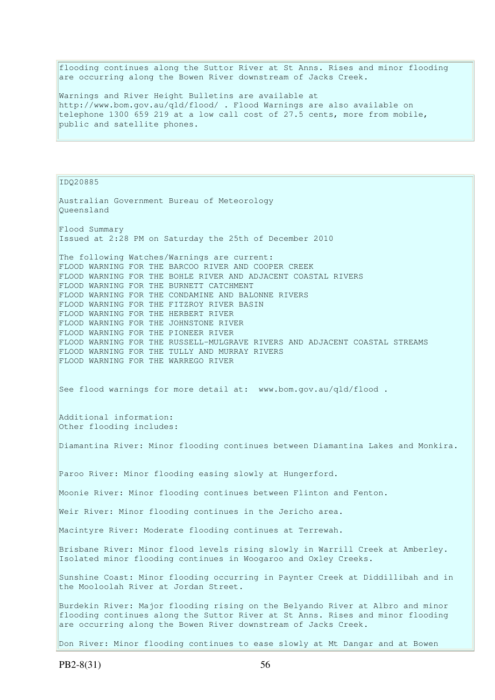flooding continues along the Suttor River at St Anns. Rises and minor flooding are occurring along the Bowen River downstream of Jacks Creek.

Warnings and River Height Bulletins are available at http://www.bom.gov.au/qld/flood/ . Flood Warnings are also available on telephone 1300 659 219 at a low call cost of 27.5 cents, more from mobile, public and satellite phones.

IDQ20885

Australian Government Bureau of Meteorology Queensland Flood Summary Issued at 2:28 PM on Saturday the 25th of December 2010 The following Watches/Warnings are current: FLOOD WARNING FOR THE BARCOO RIVER AND COOPER CREEK FLOOD WARNING FOR THE BOHLE RIVER AND ADJACENT COASTAL RIVERS FLOOD WARNING FOR THE BURNETT CATCHMENT FLOOD WARNING FOR THE CONDAMINE AND BALONNE RIVERS FLOOD WARNING FOR THE FITZROY RIVER BASIN FLOOD WARNING FOR THE HERBERT RIVER FLOOD WARNING FOR THE JOHNSTONE RIVER FLOOD WARNING FOR THE PIONEER RIVER FLOOD WARNING FOR THE RUSSELL-MULGRAVE RIVERS AND ADJACENT COASTAL STREAMS FLOOD WARNING FOR THE TULLY AND MURRAY RIVERS FLOOD WARNING FOR THE WARREGO RIVER See flood warnings for more detail at: www.bom.gov.au/qld/flood. Additional information: Other flooding includes: Diamantina River: Minor flooding continues between Diamantina Lakes and Monkira. Paroo River: Minor flooding easing slowly at Hungerford. Moonie River: Minor flooding continues between Flinton and Fenton. Weir River: Minor flooding continues in the Jericho area. Macintyre River: Moderate flooding continues at Terrewah. Brisbane River: Minor flood levels rising slowly in Warrill Creek at Amberley. Isolated minor flooding continues in Woogaroo and Oxley Creeks. Sunshine Coast: Minor flooding occurring in Paynter Creek at Diddillibah and in the Mooloolah River at Jordan Street. Burdekin River: Major flooding rising on the Belyando River at Albro and minor flooding continues along the Suttor River at St Anns. Rises and minor flooding are occurring along the Bowen River downstream of Jacks Creek.

Don River: Minor flooding continues to ease slowly at Mt Dangar and at Bowen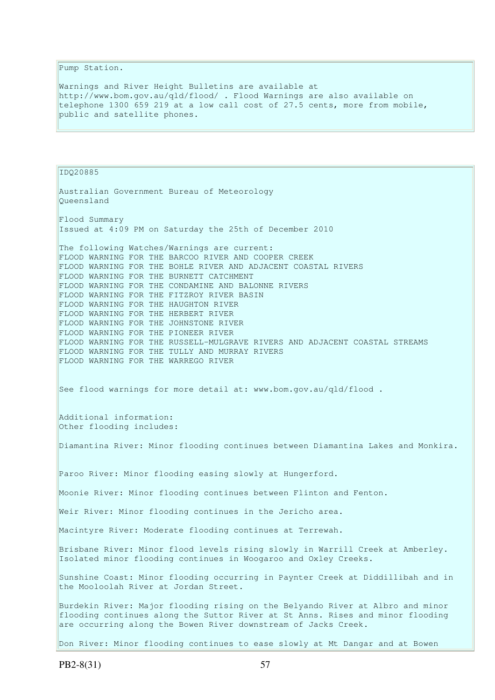Pump Station.

Warnings and River Height Bulletins are available at http://www.bom.gov.au/qld/flood/ . Flood Warnings are also available on telephone 1300 659 219 at a low call cost of 27.5 cents, more from mobile, public and satellite phones.

IDQ20885 Australian Government Bureau of Meteorology Queensland Flood Summary Issued at 4:09 PM on Saturday the 25th of December 2010 The following Watches/Warnings are current: FLOOD WARNING FOR THE BARCOO RIVER AND COOPER CREEK FLOOD WARNING FOR THE BOHLE RIVER AND ADJACENT COASTAL RIVERS FLOOD WARNING FOR THE BURNETT CATCHMENT FLOOD WARNING FOR THE CONDAMINE AND BALONNE RIVERS FLOOD WARNING FOR THE FITZROY RIVER BASIN FLOOD WARNING FOR THE HAUGHTON RIVER FLOOD WARNING FOR THE HERBERT RIVER FLOOD WARNING FOR THE JOHNSTONE RIVER FLOOD WARNING FOR THE PIONEER RIVER FLOOD WARNING FOR THE RUSSELL-MULGRAVE RIVERS AND ADJACENT COASTAL STREAMS FLOOD WARNING FOR THE TULLY AND MURRAY RIVERS FLOOD WARNING FOR THE WARREGO RIVER See flood warnings for more detail at: www.bom.gov.au/qld/flood . Additional information: Other flooding includes: Diamantina River: Minor flooding continues between Diamantina Lakes and Monkira. Paroo River: Minor flooding easing slowly at Hungerford. Moonie River: Minor flooding continues between Flinton and Fenton. Weir River: Minor flooding continues in the Jericho area. Macintyre River: Moderate flooding continues at Terrewah. Brisbane River: Minor flood levels rising slowly in Warrill Creek at Amberley. Isolated minor flooding continues in Woogaroo and Oxley Creeks. Sunshine Coast: Minor flooding occurring in Paynter Creek at Diddillibah and in the Mooloolah River at Jordan Street. Burdekin River: Major flooding rising on the Belyando River at Albro and minor flooding continues along the Suttor River at St Anns. Rises and minor flooding are occurring along the Bowen River downstream of Jacks Creek. Don River: Minor flooding continues to ease slowly at Mt Dangar and at Bowen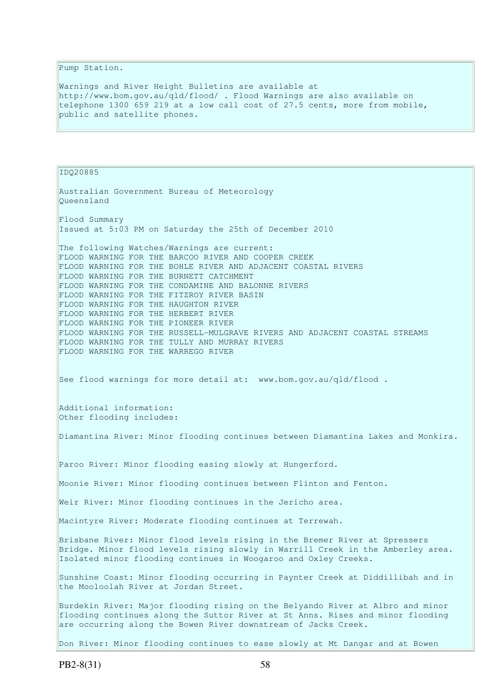Pump Station.

Warnings and River Height Bulletins are available at http://www.bom.gov.au/qld/flood/ . Flood Warnings are also available on telephone 1300 659 219 at a low call cost of 27.5 cents, more from mobile, public and satellite phones.

IDQ20885 Australian Government Bureau of Meteorology Queensland Flood Summary Issued at 5:03 PM on Saturday the 25th of December 2010 The following Watches/Warnings are current: FLOOD WARNING FOR THE BARCOO RIVER AND COOPER CREEK FLOOD WARNING FOR THE BOHLE RIVER AND ADJACENT COASTAL RIVERS FLOOD WARNING FOR THE BURNETT CATCHMENT FLOOD WARNING FOR THE CONDAMINE AND BALONNE RIVERS FLOOD WARNING FOR THE FITZROY RIVER BASIN FLOOD WARNING FOR THE HAUGHTON RIVER FLOOD WARNING FOR THE HERBERT RIVER FLOOD WARNING FOR THE PIONEER RIVER FLOOD WARNING FOR THE RUSSELL-MULGRAVE RIVERS AND ADJACENT COASTAL STREAMS FLOOD WARNING FOR THE TULLY AND MURRAY RIVERS FLOOD WARNING FOR THE WARREGO RIVER See flood warnings for more detail at: www.bom.gov.au/qld/flood. Additional information: Other flooding includes: Diamantina River: Minor flooding continues between Diamantina Lakes and Monkira. Paroo River: Minor flooding easing slowly at Hungerford. Moonie River: Minor flooding continues between Flinton and Fenton. Weir River: Minor flooding continues in the Jericho area. Macintyre River: Moderate flooding continues at Terrewah. Brisbane River: Minor flood levels rising in the Bremer River at Spressers Bridge. Minor flood levels rising slowly in Warrill Creek in the Amberley area. Isolated minor flooding continues in Woogaroo and Oxley Creeks. Sunshine Coast: Minor flooding occurring in Paynter Creek at Diddillibah and in the Mooloolah River at Jordan Street. Burdekin River: Major flooding rising on the Belyando River at Albro and minor flooding continues along the Suttor River at St Anns. Rises and minor flooding are occurring along the Bowen River downstream of Jacks Creek.

Don River: Minor flooding continues to ease slowly at Mt Dangar and at Bowen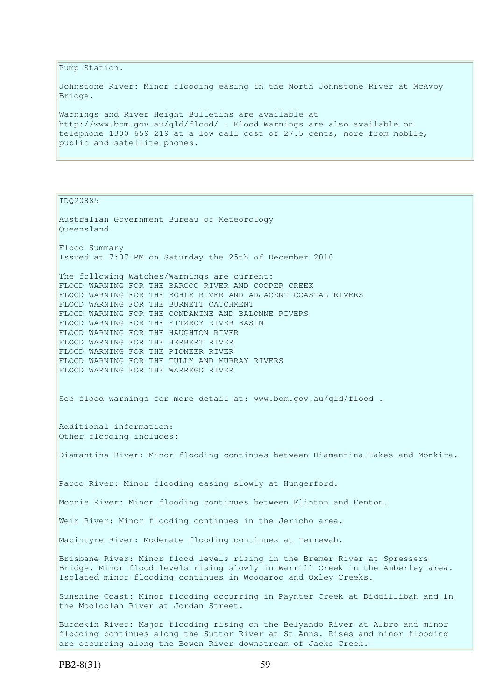Pump Station.

Johnstone River: Minor flooding easing in the North Johnstone River at McAvoy Bridge.

Warnings and River Height Bulletins are available at http://www.bom.gov.au/qld/flood/ . Flood Warnings are also available on telephone 1300 659 219 at a low call cost of 27.5 cents, more from mobile, public and satellite phones.

IDQ20885

Australian Government Bureau of Meteorology Queensland Flood Summary Issued at 7:07 PM on Saturday the 25th of December 2010 The following Watches/Warnings are current: FLOOD WARNING FOR THE BARCOO RIVER AND COOPER CREEK FLOOD WARNING FOR THE BOHLE RIVER AND ADJACENT COASTAL RIVERS FLOOD WARNING FOR THE BURNETT CATCHMENT FLOOD WARNING FOR THE CONDAMINE AND BALONNE RIVERS FLOOD WARNING FOR THE FITZROY RIVER BASIN FLOOD WARNING FOR THE HAUGHTON RIVER FLOOD WARNING FOR THE HERBERT RIVER FLOOD WARNING FOR THE PIONEER RIVER FLOOD WARNING FOR THE TULLY AND MURRAY RIVERS FLOOD WARNING FOR THE WARREGO RIVER See flood warnings for more detail at: www.bom.gov.au/qld/flood . Additional information: Other flooding includes: Diamantina River: Minor flooding continues between Diamantina Lakes and Monkira. Paroo River: Minor flooding easing slowly at Hungerford. Moonie River: Minor flooding continues between Flinton and Fenton. Weir River: Minor flooding continues in the Jericho area. Macintyre River: Moderate flooding continues at Terrewah. Brisbane River: Minor flood levels rising in the Bremer River at Spressers Bridge. Minor flood levels rising slowly in Warrill Creek in the Amberley area. Isolated minor flooding continues in Woogaroo and Oxley Creeks. Sunshine Coast: Minor flooding occurring in Paynter Creek at Diddillibah and in the Mooloolah River at Jordan Street. Burdekin River: Major flooding rising on the Belyando River at Albro and minor flooding continues along the Suttor River at St Anns. Rises and minor flooding are occurring along the Bowen River downstream of Jacks Creek.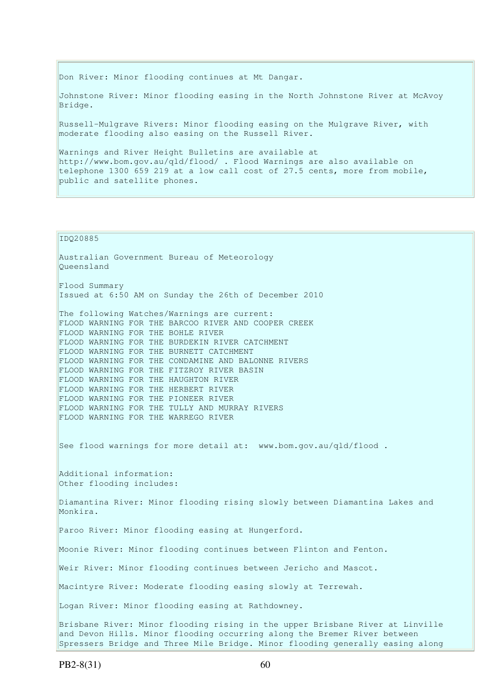Don River: Minor flooding continues at Mt Dangar.

Johnstone River: Minor flooding easing in the North Johnstone River at McAvoy Bridge.

Russell-Mulgrave Rivers: Minor flooding easing on the Mulgrave River, with moderate flooding also easing on the Russell River.

Warnings and River Height Bulletins are available at http://www.bom.gov.au/qld/flood/ . Flood Warnings are also available on telephone 1300 659 219 at a low call cost of 27.5 cents, more from mobile, public and satellite phones.

#### IDQ20885

Australian Government Bureau of Meteorology Queensland Flood Summary Issued at 6:50 AM on Sunday the 26th of December 2010 The following Watches/Warnings are current: FLOOD WARNING FOR THE BARCOO RIVER AND COOPER CREEK FLOOD WARNING FOR THE BOHLE RIVER FLOOD WARNING FOR THE BURDEKIN RIVER CATCHMENT FLOOD WARNING FOR THE BURNETT CATCHMENT FLOOD WARNING FOR THE CONDAMINE AND BALONNE RIVERS FLOOD WARNING FOR THE FITZROY RIVER BASIN FLOOD WARNING FOR THE HAUGHTON RIVER FLOOD WARNING FOR THE HERBERT RIVER FLOOD WARNING FOR THE PIONEER RIVER FLOOD WARNING FOR THE TULLY AND MURRAY RIVERS FLOOD WARNING FOR THE WARREGO RIVER See flood warnings for more detail at: www.bom.gov.au/qld/flood . Additional information: Other flooding includes: Diamantina River: Minor flooding rising slowly between Diamantina Lakes and Monkira. Paroo River: Minor flooding easing at Hungerford. Moonie River: Minor flooding continues between Flinton and Fenton. Weir River: Minor flooding continues between Jericho and Mascot. Macintyre River: Moderate flooding easing slowly at Terrewah. Logan River: Minor flooding easing at Rathdowney. Brisbane River: Minor flooding rising in the upper Brisbane River at Linville and Devon Hills. Minor flooding occurring along the Bremer River between Spressers Bridge and Three Mile Bridge. Minor flooding generally easing along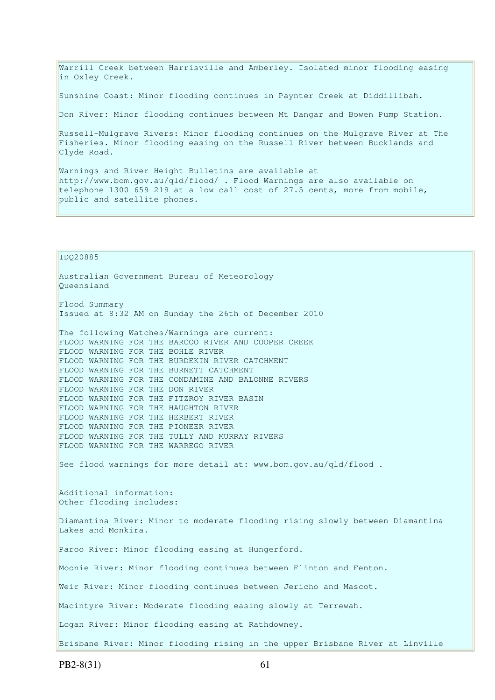Warrill Creek between Harrisville and Amberley. Isolated minor flooding easing in Oxley Creek.

Sunshine Coast: Minor flooding continues in Paynter Creek at Diddillibah.

Don River: Minor flooding continues between Mt Dangar and Bowen Pump Station.

Russell-Mulgrave Rivers: Minor flooding continues on the Mulgrave River at The Fisheries. Minor flooding easing on the Russell River between Bucklands and Clyde Road.

Warnings and River Height Bulletins are available at http://www.bom.gov.au/qld/flood/ . Flood Warnings are also available on telephone 1300 659 219 at a low call cost of 27.5 cents, more from mobile, public and satellite phones.

IDQ20885 Australian Government Bureau of Meteorology Queensland Flood Summary Issued at 8:32 AM on Sunday the 26th of December 2010 The following Watches/Warnings are current: FLOOD WARNING FOR THE BARCOO RIVER AND COOPER CREEK FLOOD WARNING FOR THE BOHLE RIVER FLOOD WARNING FOR THE BURDEKIN RIVER CATCHMENT FLOOD WARNING FOR THE BURNETT CATCHMENT FLOOD WARNING FOR THE CONDAMINE AND BALONNE RIVERS FLOOD WARNING FOR THE DON RIVER FLOOD WARNING FOR THE FITZROY RIVER BASIN FLOOD WARNING FOR THE HAUGHTON RIVER FLOOD WARNING FOR THE HERBERT RIVER FLOOD WARNING FOR THE PIONEER RIVER FLOOD WARNING FOR THE TULLY AND MURRAY RIVERS FLOOD WARNING FOR THE WARREGO RIVER See flood warnings for more detail at: www.bom.gov.au/qld/flood. Additional information: Other flooding includes: Diamantina River: Minor to moderate flooding rising slowly between Diamantina Lakes and Monkira. Paroo River: Minor flooding easing at Hungerford. Moonie River: Minor flooding continues between Flinton and Fenton. Weir River: Minor flooding continues between Jericho and Mascot. Macintyre River: Moderate flooding easing slowly at Terrewah. Logan River: Minor flooding easing at Rathdowney. Brisbane River: Minor flooding rising in the upper Brisbane River at Linville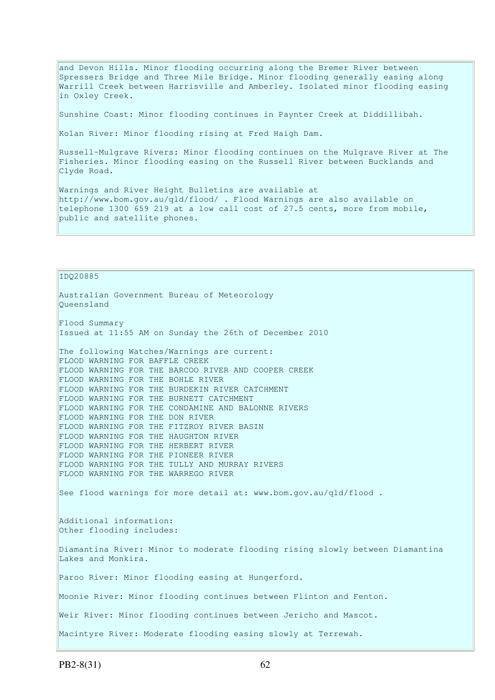and Devon Hills. Minor flooding occurring along the Bremer River between Spressers Bridge and Three Mile Bridge. Minor flooding generally easing along Warrill Creek between Harrisville and Amberley. Isolated minor flooding easing in Oxley Creek.

Sunshine Coast: Minor flooding continues in Paynter Creek at Diddillibah.

Kolan River: Minor flooding rising at Fred Haigh Dam.

Russell-Mulgrave Rivers: Minor flooding continues on the Mulgrave River at The Fisheries. Minor flooding easing on the Russell River between Bucklands and Clyde Road.

Warnings and River Height Bulletins are available at http://www.bom.gov.au/qld/flood/ . Flood Warnings are also available on telephone 1300 659 219 at a low call cost of 27.5 cents, more from mobile, public and satellite phones.

IDQ20885 Australian Government Bureau of Meteorology Queensland Flood Summary Issued at 11:55 AM on Sunday the 26th of December 2010 The following Watches/Warnings are current: FLOOD WARNING FOR BAFFLE CREEK FLOOD WARNING FOR THE BARCOO RIVER AND COOPER CREEK FLOOD WARNING FOR THE BOHLE RIVER FLOOD WARNING FOR THE BURDEKIN RIVER CATCHMENT FLOOD WARNING FOR THE BURNETT CATCHMENT FLOOD WARNING FOR THE CONDAMINE AND BALONNE RIVERS FLOOD WARNING FOR THE DON RIVER FLOOD WARNING FOR THE FITZROY RIVER BASIN FLOOD WARNING FOR THE HAUGHTON RIVER FLOOD WARNING FOR THE HERBERT RIVER FLOOD WARNING FOR THE PIONEER RIVER FLOOD WARNING FOR THE TULLY AND MURRAY RIVERS FLOOD WARNING FOR THE WARREGO RIVER See flood warnings for more detail at: www.bom.gov.au/qld/flood . Additional information: Other flooding includes: Diamantina River: Minor to moderate flooding rising slowly between Diamantina Lakes and Monkira. Paroo River: Minor flooding easing at Hungerford. Moonie River: Minor flooding continues between Flinton and Fenton. Weir River: Minor flooding continues between Jericho and Mascot. Macintyre River: Moderate flooding easing slowly at Terrewah.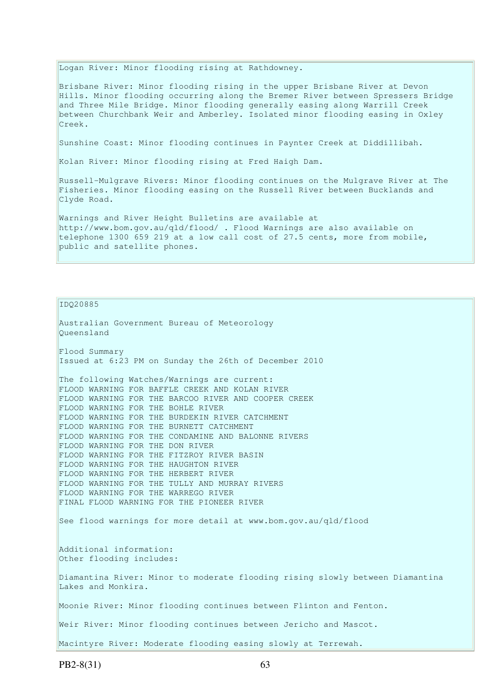Logan River: Minor flooding rising at Rathdowney.

Brisbane River: Minor flooding rising in the upper Brisbane River at Devon Hills. Minor flooding occurring along the Bremer River between Spressers Bridge and Three Mile Bridge. Minor flooding generally easing along Warrill Creek between Churchbank Weir and Amberley. Isolated minor flooding easing in Oxley Creek.

Sunshine Coast: Minor flooding continues in Paynter Creek at Diddillibah.

Kolan River: Minor flooding rising at Fred Haigh Dam.

Russell-Mulgrave Rivers: Minor flooding continues on the Mulgrave River at The Fisheries. Minor flooding easing on the Russell River between Bucklands and Clyde Road.

Warnings and River Height Bulletins are available at http://www.bom.gov.au/qld/flood/ . Flood Warnings are also available on telephone 1300 659 219 at a low call cost of 27.5 cents, more from mobile, public and satellite phones.

IDQ20885

Australian Government Bureau of Meteorology Queensland Flood Summary Issued at 6:23 PM on Sunday the 26th of December 2010 The following Watches/Warnings are current: FLOOD WARNING FOR BAFFLE CREEK AND KOLAN RIVER FLOOD WARNING FOR THE BARCOO RIVER AND COOPER CREEK FLOOD WARNING FOR THE BOHLE RIVER FLOOD WARNING FOR THE BURDEKIN RIVER CATCHMENT FLOOD WARNING FOR THE BURNETT CATCHMENT FLOOD WARNING FOR THE CONDAMINE AND BALONNE RIVERS FLOOD WARNING FOR THE DON RIVER FLOOD WARNING FOR THE FITZROY RIVER BASIN FLOOD WARNING FOR THE HAUGHTON RIVER FLOOD WARNING FOR THE HERBERT RIVER FLOOD WARNING FOR THE TULLY AND MURRAY RIVERS FLOOD WARNING FOR THE WARREGO RIVER FINAL FLOOD WARNING FOR THE PIONEER RIVER See flood warnings for more detail at www.bom.gov.au/qld/flood Additional information: Other flooding includes: Diamantina River: Minor to moderate flooding rising slowly between Diamantina Lakes and Monkira. Moonie River: Minor flooding continues between Flinton and Fenton. Weir River: Minor flooding continues between Jericho and Mascot. Macintyre River: Moderate flooding easing slowly at Terrewah.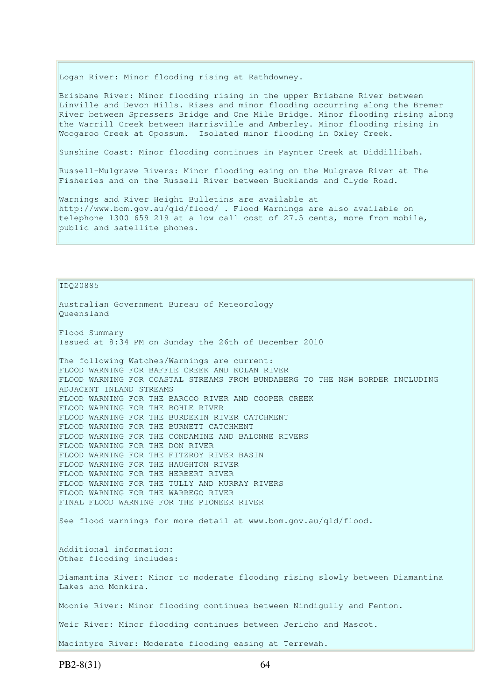Logan River: Minor flooding rising at Rathdowney.

Brisbane River: Minor flooding rising in the upper Brisbane River between Linville and Devon Hills. Rises and minor flooding occurring along the Bremer River between Spressers Bridge and One Mile Bridge. Minor flooding rising along the Warrill Creek between Harrisville and Amberley. Minor flooding rising in Woogaroo Creek at Opossum. Isolated minor flooding in Oxley Creek.

Sunshine Coast: Minor flooding continues in Paynter Creek at Diddillibah.

Russell-Mulgrave Rivers: Minor flooding esing on the Mulgrave River at The Fisheries and on the Russell River between Bucklands and Clyde Road.

Warnings and River Height Bulletins are available at http://www.bom.gov.au/qld/flood/ . Flood Warnings are also available on telephone 1300 659 219 at a low call cost of 27.5 cents, more from mobile, public and satellite phones.

IDQ20885

Australian Government Bureau of Meteorology Queensland Flood Summary Issued at 8:34 PM on Sunday the 26th of December 2010 The following Watches/Warnings are current: FLOOD WARNING FOR BAFFLE CREEK AND KOLAN RIVER FLOOD WARNING FOR COASTAL STREAMS FROM BUNDABERG TO THE NSW BORDER INCLUDING ADJACENT INLAND STREAMS FLOOD WARNING FOR THE BARCOO RIVER AND COOPER CREEK FLOOD WARNING FOR THE BOHLE RIVER FLOOD WARNING FOR THE BURDEKIN RIVER CATCHMENT FLOOD WARNING FOR THE BURNETT CATCHMENT FLOOD WARNING FOR THE CONDAMINE AND BALONNE RIVERS FLOOD WARNING FOR THE DON RIVER FLOOD WARNING FOR THE FITZROY RIVER BASIN FLOOD WARNING FOR THE HAUGHTON RIVER FLOOD WARNING FOR THE HERBERT RIVER FLOOD WARNING FOR THE TULLY AND MURRAY RIVERS FLOOD WARNING FOR THE WARREGO RIVER FINAL FLOOD WARNING FOR THE PIONEER RIVER See flood warnings for more detail at www.bom.gov.au/qld/flood. Additional information: Other flooding includes: Diamantina River: Minor to moderate flooding rising slowly between Diamantina Lakes and Monkira. Moonie River: Minor flooding continues between Nindigully and Fenton. Weir River: Minor flooding continues between Jericho and Mascot. Macintyre River: Moderate flooding easing at Terrewah.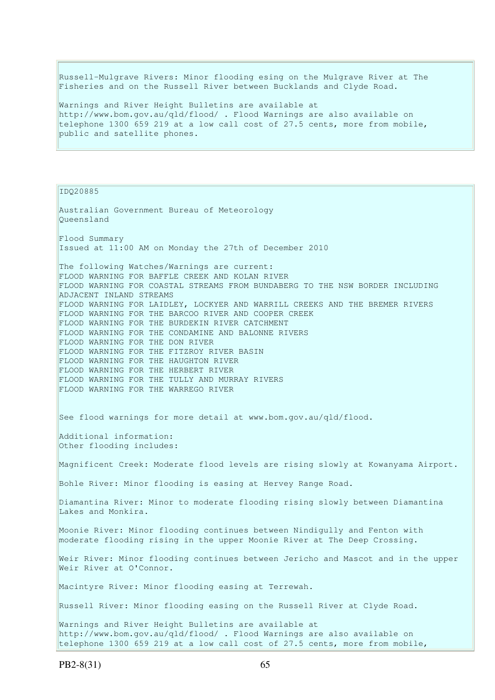Russell-Mulgrave Rivers: Minor flooding esing on the Mulgrave River at The Fisheries and on the Russell River between Bucklands and Clyde Road.

Warnings and River Height Bulletins are available at http://www.bom.gov.au/qld/flood/ . Flood Warnings are also available on telephone 1300 659 219 at a low call cost of 27.5 cents, more from mobile, public and satellite phones.

IDQ20885

Australian Government Bureau of Meteorology Queensland Flood Summary Issued at 11:00 AM on Monday the 27th of December 2010 The following Watches/Warnings are current: FLOOD WARNING FOR BAFFLE CREEK AND KOLAN RIVER FLOOD WARNING FOR COASTAL STREAMS FROM BUNDABERG TO THE NSW BORDER INCLUDING ADJACENT INLAND STREAMS FLOOD WARNING FOR LAIDLEY, LOCKYER AND WARRILL CREEKS AND THE BREMER RIVERS FLOOD WARNING FOR THE BARCOO RIVER AND COOPER CREEK FLOOD WARNING FOR THE BURDEKIN RIVER CATCHMENT FLOOD WARNING FOR THE CONDAMINE AND BALONNE RIVERS FLOOD WARNING FOR THE DON RIVER FLOOD WARNING FOR THE FITZROY RIVER BASIN FLOOD WARNING FOR THE HAUGHTON RIVER FLOOD WARNING FOR THE HERBERT RIVER FLOOD WARNING FOR THE TULLY AND MURRAY RIVERS FLOOD WARNING FOR THE WARREGO RIVER See flood warnings for more detail at www.bom.gov.au/qld/flood. Additional information: Other flooding includes: Magnificent Creek: Moderate flood levels are rising slowly at Kowanyama Airport. Bohle River: Minor flooding is easing at Hervey Range Road. Diamantina River: Minor to moderate flooding rising slowly between Diamantina Lakes and Monkira. Moonie River: Minor flooding continues between Nindigully and Fenton with moderate flooding rising in the upper Moonie River at The Deep Crossing. Weir River: Minor flooding continues between Jericho and Mascot and in the upper Weir River at O'Connor. Macintyre River: Minor flooding easing at Terrewah. Russell River: Minor flooding easing on the Russell River at Clyde Road. Warnings and River Height Bulletins are available at http://www.bom.gov.au/qld/flood/ . Flood Warnings are also available on telephone 1300 659 219 at a low call cost of 27.5 cents, more from mobile,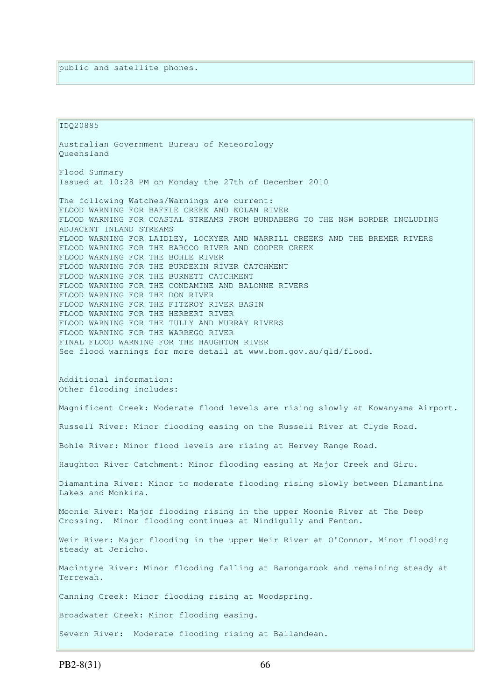IDQ20885 Australian Government Bureau of Meteorology Queensland Flood Summary Issued at 10:28 PM on Monday the 27th of December 2010 The following Watches/Warnings are current: FLOOD WARNING FOR BAFFLE CREEK AND KOLAN RIVER FLOOD WARNING FOR COASTAL STREAMS FROM BUNDABERG TO THE NSW BORDER INCLUDING ADJACENT INLAND STREAMS FLOOD WARNING FOR LAIDLEY, LOCKYER AND WARRILL CREEKS AND THE BREMER RIVERS FLOOD WARNING FOR THE BARCOO RIVER AND COOPER CREEK FLOOD WARNING FOR THE BOHLE RIVER FLOOD WARNING FOR THE BURDEKIN RIVER CATCHMENT FLOOD WARNING FOR THE BURNETT CATCHMENT FLOOD WARNING FOR THE CONDAMINE AND BALONNE RIVERS FLOOD WARNING FOR THE DON RIVER FLOOD WARNING FOR THE FITZROY RIVER BASIN FLOOD WARNING FOR THE HERBERT RIVER FLOOD WARNING FOR THE TULLY AND MURRAY RIVERS FLOOD WARNING FOR THE WARREGO RIVER FINAL FLOOD WARNING FOR THE HAUGHTON RIVER See flood warnings for more detail at www.bom.gov.au/qld/flood. Additional information: Other flooding includes: Magnificent Creek: Moderate flood levels are rising slowly at Kowanyama Airport. Russell River: Minor flooding easing on the Russell River at Clyde Road. Bohle River: Minor flood levels are rising at Hervey Range Road. Haughton River Catchment: Minor flooding easing at Major Creek and Giru. Diamantina River: Minor to moderate flooding rising slowly between Diamantina Lakes and Monkira. Moonie River: Major flooding rising in the upper Moonie River at The Deep Crossing. Minor flooding continues at Nindigully and Fenton. Weir River: Major flooding in the upper Weir River at O'Connor. Minor flooding steady at Jericho. Macintyre River: Minor flooding falling at Barongarook and remaining steady at Terrewah. Canning Creek: Minor flooding rising at Woodspring. Broadwater Creek: Minor flooding easing. Severn River: Moderate flooding rising at Ballandean.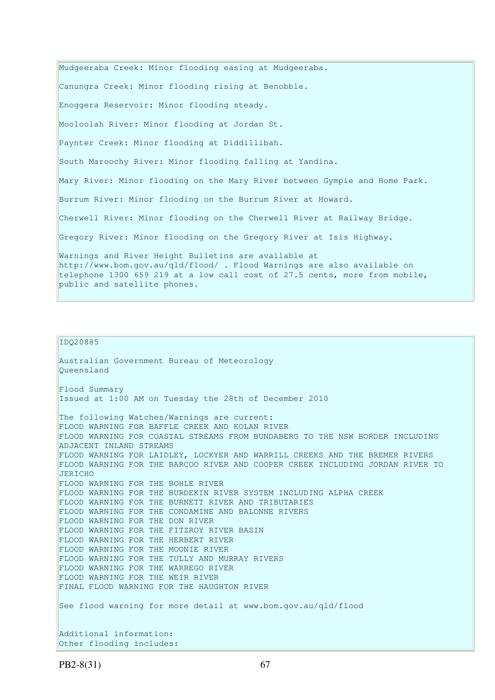Mudgeeraba Creek: Minor flooding easing at Mudgeeraba. Canungra Creek: Minor flooding rising at Benobble. Enoggera Reservoir: Minor flooding steady. Mooloolah River: Minor flooding at Jordan St. Paynter Creek: Minor flooding at Diddillibah. South Maroochy River: Minor flooding falling at Yandina. Mary River: Minor flooding on the Mary River between Gympie and Home Park. Burrum River: Minor flooding on the Burrum River at Howard. Cherwell River: Minor flooding on the Cherwell River at Railway Bridge. Gregory River: Minor flooding on the Gregory River at Isis Highway. Warnings and River Height Bulletins are available at http://www.bom.gov.au/qld/flood/ . Flood Warnings are also available on telephone 1300 659 219 at a low call cost of 27.5 cents, more from mobile, public and satellite phones.

#### IDQ20885

Australian Government Bureau of Meteorology Queensland Flood Summary Issued at 1:00 AM on Tuesday the 28th of December 2010 The following Watches/Warnings are current: FLOOD WARNING FOR BAFFLE CREEK AND KOLAN RIVER FLOOD WARNING FOR COASTAL STREAMS FROM BUNDABERG TO THE NSW BORDER INCLUDING ADJACENT INLAND STREAMS FLOOD WARNING FOR LAIDLEY, LOCKYER AND WARRILL CREEKS AND THE BREMER RIVERS FLOOD WARNING FOR THE BARCOO RIVER AND COOPER CREEK INCLUDING JORDAN RIVER TO JERICHO FLOOD WARNING FOR THE BOHLE RIVER FLOOD WARNING FOR THE BURDEKIN RIVER SYSTEM INCLUDING ALPHA CREEK FLOOD WARNING FOR THE BURNETT RIVER AND TRIBUTARIES FLOOD WARNING FOR THE CONDAMINE AND BALONNE RIVERS FLOOD WARNING FOR THE DON RIVER FLOOD WARNING FOR THE FITZROY RIVER BASIN FLOOD WARNING FOR THE HERBERT RIVER FLOOD WARNING FOR THE MOONIE RIVER FLOOD WARNING FOR THE TULLY AND MURRAY RIVERS FLOOD WARNING FOR THE WARREGO RIVER FLOOD WARNING FOR THE WEIR RIVER FINAL FLOOD WARNING FOR THE HAUGHTON RIVER See flood warning for more detail at www.bom.gov.au/qld/flood Additional information: Other flooding includes: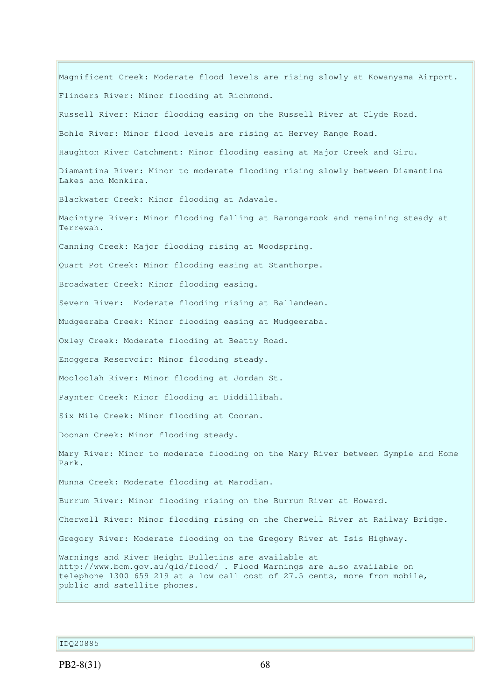Magnificent Creek: Moderate flood levels are rising slowly at Kowanyama Airport. Flinders River: Minor flooding at Richmond. Russell River: Minor flooding easing on the Russell River at Clyde Road. Bohle River: Minor flood levels are rising at Hervey Range Road. Haughton River Catchment: Minor flooding easing at Major Creek and Giru. Diamantina River: Minor to moderate flooding rising slowly between Diamantina Lakes and Monkira. Blackwater Creek: Minor flooding at Adavale. Macintyre River: Minor flooding falling at Barongarook and remaining steady at Terrewah. Canning Creek: Major flooding rising at Woodspring. Quart Pot Creek: Minor flooding easing at Stanthorpe. Broadwater Creek: Minor flooding easing. Severn River: Moderate flooding rising at Ballandean. Mudgeeraba Creek: Minor flooding easing at Mudgeeraba. Oxley Creek: Moderate flooding at Beatty Road. Enoggera Reservoir: Minor flooding steady. Mooloolah River: Minor flooding at Jordan St. Paynter Creek: Minor flooding at Diddillibah. Six Mile Creek: Minor flooding at Cooran. Doonan Creek: Minor flooding steady. Mary River: Minor to moderate flooding on the Mary River between Gympie and Home Park. Munna Creek: Moderate flooding at Marodian. Burrum River: Minor flooding rising on the Burrum River at Howard. Cherwell River: Minor flooding rising on the Cherwell River at Railway Bridge. Gregory River: Moderate flooding on the Gregory River at Isis Highway. Warnings and River Height Bulletins are available at http://www.bom.gov.au/qld/flood/ . Flood Warnings are also available on telephone 1300 659 219 at a low call cost of 27.5 cents, more from mobile, public and satellite phones.

### IDQ20885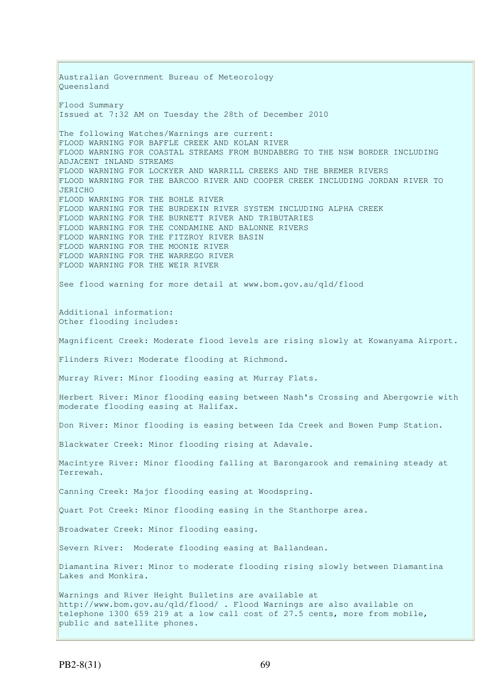Australian Government Bureau of Meteorology Queensland Flood Summary Issued at 7:32 AM on Tuesday the 28th of December 2010 The following Watches/Warnings are current: FLOOD WARNING FOR BAFFLE CREEK AND KOLAN RIVER FLOOD WARNING FOR COASTAL STREAMS FROM BUNDABERG TO THE NSW BORDER INCLUDING ADJACENT INLAND STREAMS FLOOD WARNING FOR LOCKYER AND WARRILL CREEKS AND THE BREMER RIVERS FLOOD WARNING FOR THE BARCOO RIVER AND COOPER CREEK INCLUDING JORDAN RIVER TO  $JERICHO$ FLOOD WARNING FOR THE BOHLE RIVER FLOOD WARNING FOR THE BURDEKIN RIVER SYSTEM INCLUDING ALPHA CREEK FLOOD WARNING FOR THE BURNETT RIVER AND TRIBUTARIES FLOOD WARNING FOR THE CONDAMINE AND BALONNE RIVERS FLOOD WARNING FOR THE FITZROY RIVER BASIN FLOOD WARNING FOR THE MOONIE RIVER FLOOD WARNING FOR THE WARREGO RIVER FLOOD WARNING FOR THE WEIR RIVER See flood warning for more detail at www.bom.gov.au/qld/flood Additional information: Other flooding includes: Magnificent Creek: Moderate flood levels are rising slowly at Kowanyama Airport. Flinders River: Moderate flooding at Richmond. Murray River: Minor flooding easing at Murray Flats. Herbert River: Minor flooding easing between Nash's Crossing and Abergowrie with moderate flooding easing at Halifax. Don River: Minor flooding is easing between Ida Creek and Bowen Pump Station. Blackwater Creek: Minor flooding rising at Adavale. Macintyre River: Minor flooding falling at Barongarook and remaining steady at Terrewah. Canning Creek: Major flooding easing at Woodspring. Quart Pot Creek: Minor flooding easing in the Stanthorpe area. Broadwater Creek: Minor flooding easing. Severn River: Moderate flooding easing at Ballandean. Diamantina River: Minor to moderate flooding rising slowly between Diamantina Lakes and Monkira. Warnings and River Height Bulletins are available at http://www.bom.gov.au/qld/flood/ . Flood Warnings are also available on telephone 1300 659 219 at a low call cost of 27.5 cents, more from mobile, public and satellite phones.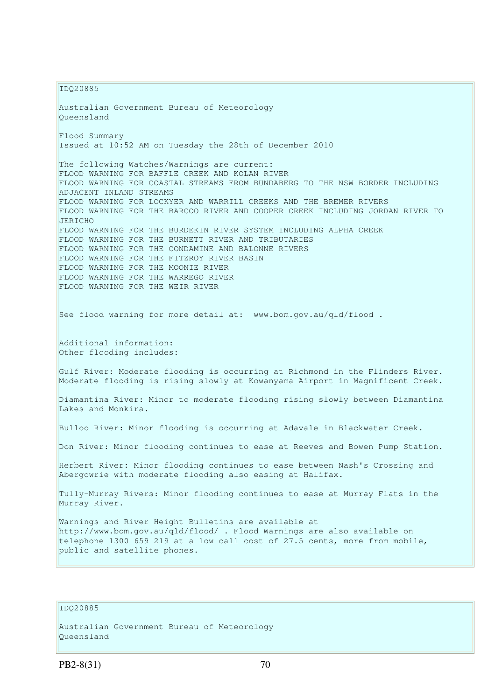IDQ20885 Australian Government Bureau of Meteorology Queensland Flood Summary Issued at 10:52 AM on Tuesday the 28th of December 2010 The following Watches/Warnings are current: FLOOD WARNING FOR BAFFLE CREEK AND KOLAN RIVER FLOOD WARNING FOR COASTAL STREAMS FROM BUNDABERG TO THE NSW BORDER INCLUDING ADJACENT INLAND STREAMS FLOOD WARNING FOR LOCKYER AND WARRILL CREEKS AND THE BREMER RIVERS FLOOD WARNING FOR THE BARCOO RIVER AND COOPER CREEK INCLUDING JORDAN RIVER TO JERICHO FLOOD WARNING FOR THE BURDEKIN RIVER SYSTEM INCLUDING ALPHA CREEK FLOOD WARNING FOR THE BURNETT RIVER AND TRIBUTARIES FLOOD WARNING FOR THE CONDAMINE AND BALONNE RIVERS FLOOD WARNING FOR THE FITZROY RIVER BASIN FLOOD WARNING FOR THE MOONIE RIVER FLOOD WARNING FOR THE WARREGO RIVER FLOOD WARNING FOR THE WEIR RIVER See flood warning for more detail at: www.bom.gov.au/qld/flood . Additional information: Other flooding includes: Gulf River: Moderate flooding is occurring at Richmond in the Flinders River. Moderate flooding is rising slowly at Kowanyama Airport in Magnificent Creek. Diamantina River: Minor to moderate flooding rising slowly between Diamantina Lakes and Monkira. Bulloo River: Minor flooding is occurring at Adavale in Blackwater Creek. Don River: Minor flooding continues to ease at Reeves and Bowen Pump Station. Herbert River: Minor flooding continues to ease between Nash's Crossing and Abergowrie with moderate flooding also easing at Halifax. Tully-Murray Rivers: Minor flooding continues to ease at Murray Flats in the Murray River. Warnings and River Height Bulletins are available at http://www.bom.gov.au/qld/flood/ . Flood Warnings are also available on telephone 1300 659 219 at a low call cost of 27.5 cents, more from mobile, public and satellite phones.

#### IDQ20885

```
Australian Government Bureau of Meteorology 
Queensland
```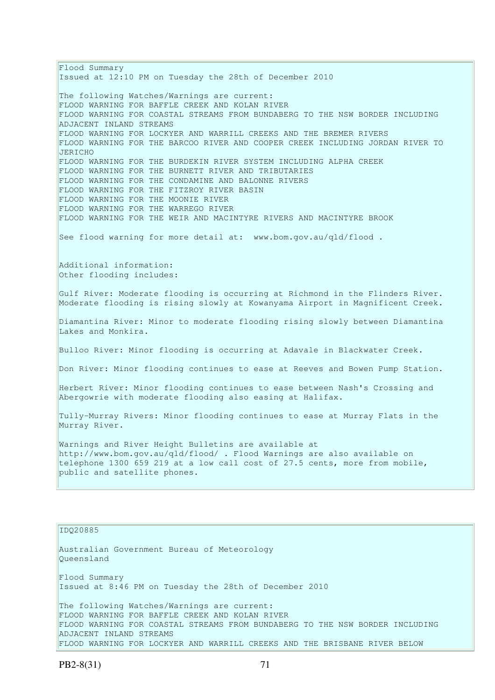Flood Summary Issued at 12:10 PM on Tuesday the 28th of December 2010 The following Watches/Warnings are current: FLOOD WARNING FOR BAFFLE CREEK AND KOLAN RIVER FLOOD WARNING FOR COASTAL STREAMS FROM BUNDABERG TO THE NSW BORDER INCLUDING ADJACENT INLAND STREAMS FLOOD WARNING FOR LOCKYER AND WARRILL CREEKS AND THE BREMER RIVERS FLOOD WARNING FOR THE BARCOO RIVER AND COOPER CREEK INCLUDING JORDAN RIVER TO JERICHO FLOOD WARNING FOR THE BURDEKIN RIVER SYSTEM INCLUDING ALPHA CREEK FLOOD WARNING FOR THE BURNETT RIVER AND TRIBUTARIES FLOOD WARNING FOR THE CONDAMINE AND BALONNE RIVERS FLOOD WARNING FOR THE FITZROY RIVER BASIN FLOOD WARNING FOR THE MOONIE RIVER FLOOD WARNING FOR THE WARREGO RIVER FLOOD WARNING FOR THE WEIR AND MACINTYRE RIVERS AND MACINTYRE BROOK See flood warning for more detail at: www.bom.gov.au/qld/flood . Additional information: Other flooding includes: Gulf River: Moderate flooding is occurring at Richmond in the Flinders River. Moderate flooding is rising slowly at Kowanyama Airport in Magnificent Creek. Diamantina River: Minor to moderate flooding rising slowly between Diamantina Lakes and Monkira. Bulloo River: Minor flooding is occurring at Adavale in Blackwater Creek. Don River: Minor flooding continues to ease at Reeves and Bowen Pump Station. Herbert River: Minor flooding continues to ease between Nash's Crossing and Abergowrie with moderate flooding also easing at Halifax. Tully-Murray Rivers: Minor flooding continues to ease at Murray Flats in the Murray River. Warnings and River Height Bulletins are available at http://www.bom.gov.au/qld/flood/ . Flood Warnings are also available on telephone 1300 659 219 at a low call cost of 27.5 cents, more from mobile, public and satellite phones.

## IDQ20885

Australian Government Bureau of Meteorology Queensland

Flood Summary Issued at 8:46 PM on Tuesday the 28th of December 2010

The following Watches/Warnings are current: FLOOD WARNING FOR BAFFLE CREEK AND KOLAN RIVER FLOOD WARNING FOR COASTAL STREAMS FROM BUNDABERG TO THE NSW BORDER INCLUDING ADJACENT INLAND STREAMS FLOOD WARNING FOR LOCKYER AND WARRILL CREEKS AND THE BRISBANE RIVER BELOW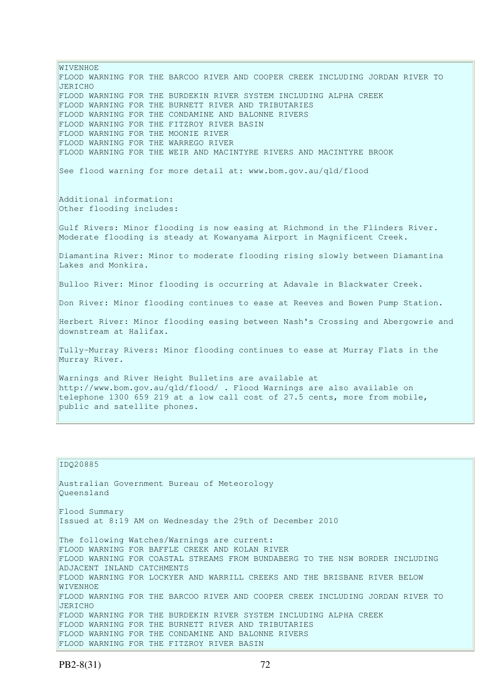WIVENHOE FLOOD WARNING FOR THE BARCOO RIVER AND COOPER CREEK INCLUDING JORDAN RIVER TO JERICHO FLOOD WARNING FOR THE BURDEKIN RIVER SYSTEM INCLUDING ALPHA CREEK FLOOD WARNING FOR THE BURNETT RIVER AND TRIBUTARIES FLOOD WARNING FOR THE CONDAMINE AND BALONNE RIVERS FLOOD WARNING FOR THE FITZROY RIVER BASIN FLOOD WARNING FOR THE MOONIE RIVER FLOOD WARNING FOR THE WARREGO RIVER FLOOD WARNING FOR THE WEIR AND MACINTYRE RIVERS AND MACINTYRE BROOK See flood warning for more detail at: www.bom.gov.au/qld/flood Additional information: Other flooding includes: Gulf Rivers: Minor flooding is now easing at Richmond in the Flinders River. Moderate flooding is steady at Kowanyama Airport in Magnificent Creek. Diamantina River: Minor to moderate flooding rising slowly between Diamantina Lakes and Monkira. Bulloo River: Minor flooding is occurring at Adavale in Blackwater Creek. Don River: Minor flooding continues to ease at Reeves and Bowen Pump Station. Herbert River: Minor flooding easing between Nash's Crossing and Abergowrie and downstream at Halifax. Tully-Murray Rivers: Minor flooding continues to ease at Murray Flats in the Murray River. Warnings and River Height Bulletins are available at http://www.bom.gov.au/qld/flood/ . Flood Warnings are also available on telephone 1300 659 219 at a low call cost of 27.5 cents, more from mobile, public and satellite phones.

#### IDQ20885

Australian Government Bureau of Meteorology Queensland Flood Summary Issued at 8:19 AM on Wednesday the 29th of December 2010 The following Watches/Warnings are current: FLOOD WARNING FOR BAFFLE CREEK AND KOLAN RIVER FLOOD WARNING FOR COASTAL STREAMS FROM BUNDABERG TO THE NSW BORDER INCLUDING ADJACENT INLAND CATCHMENTS FLOOD WARNING FOR LOCKYER AND WARRILL CREEKS AND THE BRISBANE RIVER BELOW WIVENHOE FLOOD WARNING FOR THE BARCOO RIVER AND COOPER CREEK INCLUDING JORDAN RIVER TO JERICHO FLOOD WARNING FOR THE BURDEKIN RIVER SYSTEM INCLUDING ALPHA CREEK FLOOD WARNING FOR THE BURNETT RIVER AND TRIBUTARIES FLOOD WARNING FOR THE CONDAMINE AND BALONNE RIVERS FLOOD WARNING FOR THE FITZROY RIVER BASIN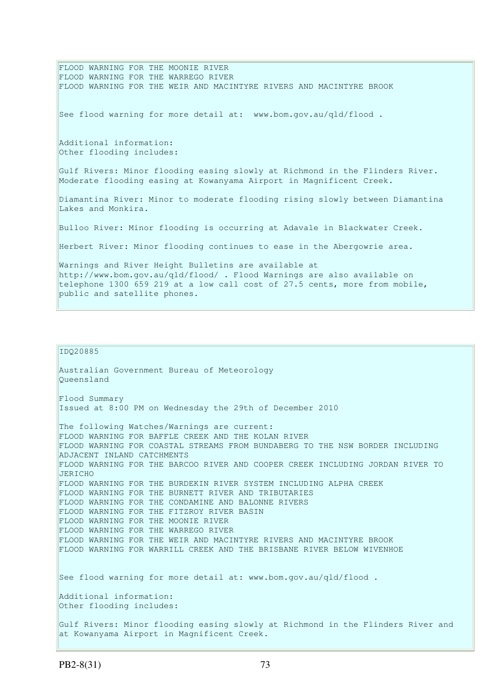FLOOD WARNING FOR THE MOONIE RIVER FLOOD WARNING FOR THE WARREGO RIVER FLOOD WARNING FOR THE WEIR AND MACINTYRE RIVERS AND MACINTYRE BROOK See flood warning for more detail at: www.bom.gov.au/qld/flood . Additional information: Other flooding includes: Gulf Rivers: Minor flooding easing slowly at Richmond in the Flinders River. Moderate flooding easing at Kowanyama Airport in Magnificent Creek. Diamantina River: Minor to moderate flooding rising slowly between Diamantina Lakes and Monkira. Bulloo River: Minor flooding is occurring at Adavale in Blackwater Creek. Herbert River: Minor flooding continues to ease in the Abergowrie area. Warnings and River Height Bulletins are available at http://www.bom.gov.au/qld/flood/ . Flood Warnings are also available on telephone 1300 659 219 at a low call cost of 27.5 cents, more from mobile, public and satellite phones.

```
IDQ20885
```
Australian Government Bureau of Meteorology Queensland Flood Summary Issued at 8:00 PM on Wednesday the 29th of December 2010 The following Watches/Warnings are current: FLOOD WARNING FOR BAFFLE CREEK AND THE KOLAN RIVER FLOOD WARNING FOR COASTAL STREAMS FROM BUNDABERG TO THE NSW BORDER INCLUDING ADJACENT INLAND CATCHMENTS FLOOD WARNING FOR THE BARCOO RIVER AND COOPER CREEK INCLUDING JORDAN RIVER TO JERICHO FLOOD WARNING FOR THE BURDEKIN RIVER SYSTEM INCLUDING ALPHA CREEK FLOOD WARNING FOR THE BURNETT RIVER AND TRIBUTARIES FLOOD WARNING FOR THE CONDAMINE AND BALONNE RIVERS FLOOD WARNING FOR THE FITZROY RIVER BASIN FLOOD WARNING FOR THE MOONIE RIVER FLOOD WARNING FOR THE WARREGO RIVER FLOOD WARNING FOR THE WEIR AND MACINTYRE RIVERS AND MACINTYRE BROOK FLOOD WARNING FOR WARRILL CREEK AND THE BRISBANE RIVER BELOW WIVENHOE See flood warning for more detail at: www.bom.gov.au/qld/flood. Additional information: Other flooding includes: Gulf Rivers: Minor flooding easing slowly at Richmond in the Flinders River and at Kowanyama Airport in Magnificent Creek.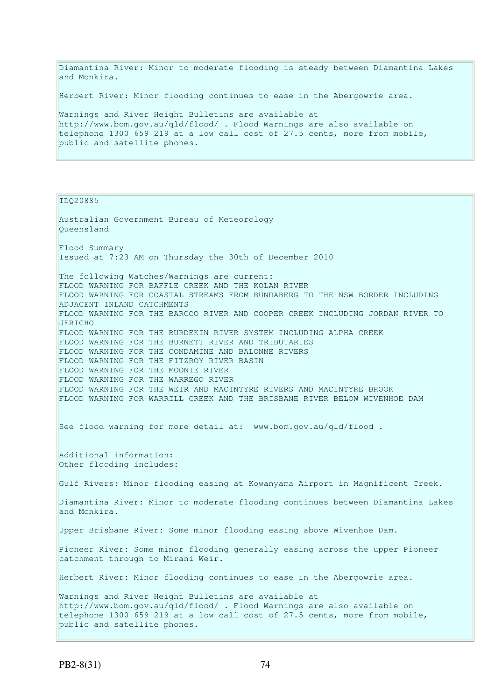Diamantina River: Minor to moderate flooding is steady between Diamantina Lakes and Monkira.

Herbert River: Minor flooding continues to ease in the Abergowrie area.

Warnings and River Height Bulletins are available at http://www.bom.gov.au/qld/flood/ . Flood Warnings are also available on telephone 1300 659 219 at a low call cost of 27.5 cents, more from mobile, public and satellite phones.

IDQ20885

Australian Government Bureau of Meteorology Queensland Flood Summary Issued at 7:23 AM on Thursday the 30th of December 2010 The following Watches/Warnings are current: FLOOD WARNING FOR BAFFLE CREEK AND THE KOLAN RIVER FLOOD WARNING FOR COASTAL STREAMS FROM BUNDABERG TO THE NSW BORDER INCLUDING ADJACENT INLAND CATCHMENTS FLOOD WARNING FOR THE BARCOO RIVER AND COOPER CREEK INCLUDING JORDAN RIVER TO JERICHO FLOOD WARNING FOR THE BURDEKIN RIVER SYSTEM INCLUDING ALPHA CREEK FLOOD WARNING FOR THE BURNETT RIVER AND TRIBUTARIES FLOOD WARNING FOR THE CONDAMINE AND BALONNE RIVERS FLOOD WARNING FOR THE FITZROY RIVER BASIN FLOOD WARNING FOR THE MOONIE RIVER FLOOD WARNING FOR THE WARREGO RIVER FLOOD WARNING FOR THE WEIR AND MACINTYRE RIVERS AND MACINTYRE BROOK FLOOD WARNING FOR WARRILL CREEK AND THE BRISBANE RIVER BELOW WIVENHOE DAM See flood warning for more detail at: www.bom.gov.au/qld/flood. Additional information: Other flooding includes: Gulf Rivers: Minor flooding easing at Kowanyama Airport in Magnificent Creek. Diamantina River: Minor to moderate flooding continues between Diamantina Lakes and Monkira. Upper Brisbane River: Some minor flooding easing above Wivenhoe Dam. Pioneer River: Some minor flooding generally easing across the upper Pioneer catchment through to Mirani Weir. Herbert River: Minor flooding continues to ease in the Abergowrie area. Warnings and River Height Bulletins are available at http://www.bom.gov.au/qld/flood/ . Flood Warnings are also available on telephone 1300 659 219 at a low call cost of 27.5 cents, more from mobile, public and satellite phones.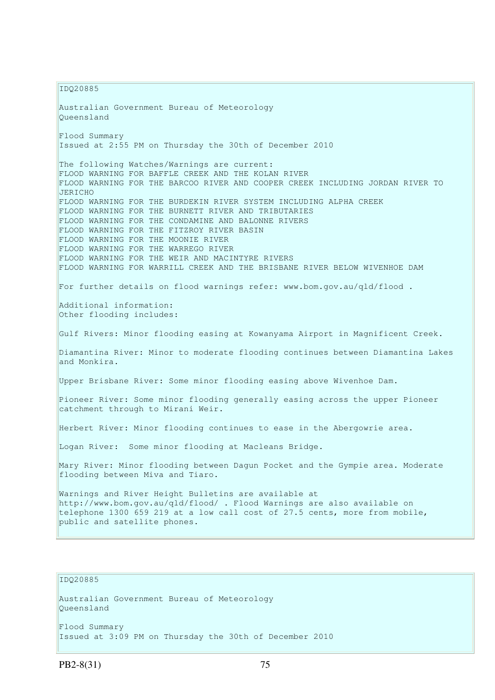IDQ20885

Australian Government Bureau of Meteorology Queensland Flood Summary Issued at 2:55 PM on Thursday the 30th of December 2010 The following Watches/Warnings are current: FLOOD WARNING FOR BAFFLE CREEK AND THE KOLAN RIVER FLOOD WARNING FOR THE BARCOO RIVER AND COOPER CREEK INCLUDING JORDAN RIVER TO JERICHO FLOOD WARNING FOR THE BURDEKIN RIVER SYSTEM INCLUDING ALPHA CREEK FLOOD WARNING FOR THE BURNETT RIVER AND TRIBUTARIES FLOOD WARNING FOR THE CONDAMINE AND BALONNE RIVERS FLOOD WARNING FOR THE FITZROY RIVER BASIN FLOOD WARNING FOR THE MOONIE RIVER FLOOD WARNING FOR THE WARREGO RIVER FLOOD WARNING FOR THE WEIR AND MACINTYRE RIVERS FLOOD WARNING FOR WARRILL CREEK AND THE BRISBANE RIVER BELOW WIVENHOE DAM For further details on flood warnings refer: www.bom.gov.au/qld/flood . Additional information: Other flooding includes: Gulf Rivers: Minor flooding easing at Kowanyama Airport in Magnificent Creek. Diamantina River: Minor to moderate flooding continues between Diamantina Lakes and Monkira. Upper Brisbane River: Some minor flooding easing above Wivenhoe Dam. Pioneer River: Some minor flooding generally easing across the upper Pioneer catchment through to Mirani Weir. Herbert River: Minor flooding continues to ease in the Abergowrie area. Logan River: Some minor flooding at Macleans Bridge. Mary River: Minor flooding between Dagun Pocket and the Gympie area. Moderate flooding between Miva and Tiaro. Warnings and River Height Bulletins are available at http://www.bom.gov.au/qld/flood/ . Flood Warnings are also available on telephone 1300 659 219 at a low call cost of 27.5 cents, more from mobile, public and satellite phones.

## IDQ20885

Australian Government Bureau of Meteorology Queensland Flood Summary Issued at 3:09 PM on Thursday the 30th of December 2010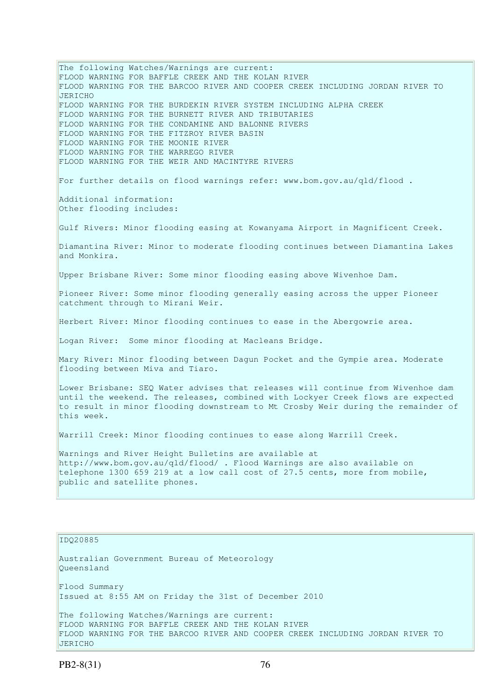The following Watches/Warnings are current: FLOOD WARNING FOR BAFFLE CREEK AND THE KOLAN RIVER FLOOD WARNING FOR THE BARCOO RIVER AND COOPER CREEK INCLUDING JORDAN RIVER TO JERICHO FLOOD WARNING FOR THE BURDEKIN RIVER SYSTEM INCLUDING ALPHA CREEK FLOOD WARNING FOR THE BURNETT RIVER AND TRIBUTARIES FLOOD WARNING FOR THE CONDAMINE AND BALONNE RIVERS FLOOD WARNING FOR THE FITZROY RIVER BASIN FLOOD WARNING FOR THE MOONIE RIVER FLOOD WARNING FOR THE WARREGO RIVER FLOOD WARNING FOR THE WEIR AND MACINTYRE RIVERS For further details on flood warnings refer: www.bom.gov.au/qld/flood . Additional information: Other flooding includes: Gulf Rivers: Minor flooding easing at Kowanyama Airport in Magnificent Creek. Diamantina River: Minor to moderate flooding continues between Diamantina Lakes and Monkira. Upper Brisbane River: Some minor flooding easing above Wivenhoe Dam. Pioneer River: Some minor flooding generally easing across the upper Pioneer catchment through to Mirani Weir. Herbert River: Minor flooding continues to ease in the Abergowrie area. Logan River: Some minor flooding at Macleans Bridge. Mary River: Minor flooding between Dagun Pocket and the Gympie area. Moderate flooding between Miva and Tiaro. Lower Brisbane: SEQ Water advises that releases will continue from Wivenhoe dam until the weekend. The releases, combined with Lockyer Creek flows are expected to result in minor flooding downstream to Mt Crosby Weir during the remainder of this week. Warrill Creek: Minor flooding continues to ease along Warrill Creek. Warnings and River Height Bulletins are available at http://www.bom.gov.au/qld/flood/ . Flood Warnings are also available on telephone 1300 659 219 at a low call cost of 27.5 cents, more from mobile, public and satellite phones.

#### IDQ20885

Australian Government Bureau of Meteorology Queensland Flood Summary Issued at 8:55 AM on Friday the 31st of December 2010 The following Watches/Warnings are current: FLOOD WARNING FOR BAFFLE CREEK AND THE KOLAN RIVER FLOOD WARNING FOR THE BARCOO RIVER AND COOPER CREEK INCLUDING JORDAN RIVER TO JERICHO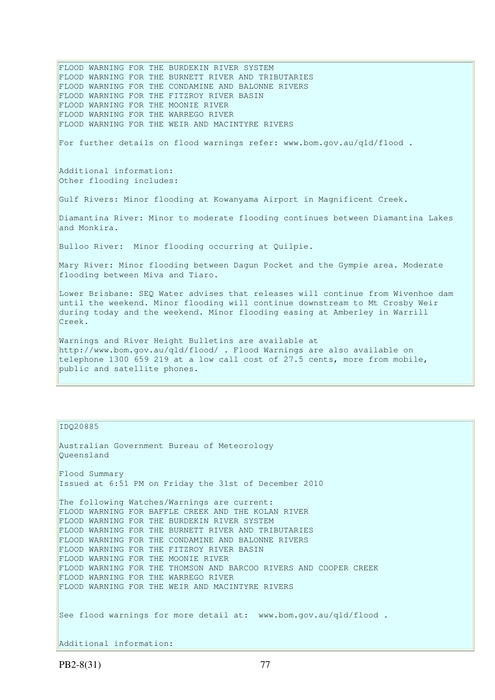FLOOD WARNING FOR THE BURNETT RIVER AND TRIBUTARIES FLOOD WARNING FOR THE CONDAMINE AND BALONNE RIVERS FLOOD WARNING FOR THE FITZROY RIVER BASIN FLOOD WARNING FOR THE MOONIE RIVER FLOOD WARNING FOR THE WARREGO RIVER FLOOD WARNING FOR THE WEIR AND MACINTYRE RIVERS For further details on flood warnings refer: www.bom.gov.au/qld/flood . Additional information: Other flooding includes: Gulf Rivers: Minor flooding at Kowanyama Airport in Magnificent Creek. Diamantina River: Minor to moderate flooding continues between Diamantina Lakes and Monkira. Bulloo River: Minor flooding occurring at Quilpie. Mary River: Minor flooding between Dagun Pocket and the Gympie area. Moderate flooding between Miva and Tiaro. Lower Brisbane: SEQ Water advises that releases will continue from Wivenhoe dam until the weekend. Minor flooding will continue downstream to Mt Crosby Weir during today and the weekend. Minor flooding easing at Amberley in Warrill Creek.

FLOOD WARNING FOR THE BURDEKIN RIVER SYSTEM

Warnings and River Height Bulletins are available at http://www.bom.gov.au/qld/flood/ . Flood Warnings are also available on telephone 1300 659 219 at a low call cost of 27.5 cents, more from mobile, public and satellite phones.

IDQ20885

Australian Government Bureau of Meteorology Queensland Flood Summary Issued at 6:51 PM on Friday the 31st of December 2010 The following Watches/Warnings are current: FLOOD WARNING FOR BAFFLE CREEK AND THE KOLAN RIVER FLOOD WARNING FOR THE BURDEKIN RIVER SYSTEM FLOOD WARNING FOR THE BURNETT RIVER AND TRIBUTARIES FLOOD WARNING FOR THE CONDAMINE AND BALONNE RIVERS FLOOD WARNING FOR THE FITZROY RIVER BASIN FLOOD WARNING FOR THE MOONIE RIVER FLOOD WARNING FOR THE THOMSON AND BARCOO RIVERS AND COOPER CREEK FLOOD WARNING FOR THE WARREGO RIVER FLOOD WARNING FOR THE WEIR AND MACINTYRE RIVERS See flood warnings for more detail at: www.bom.gov.au/qld/flood. Additional information: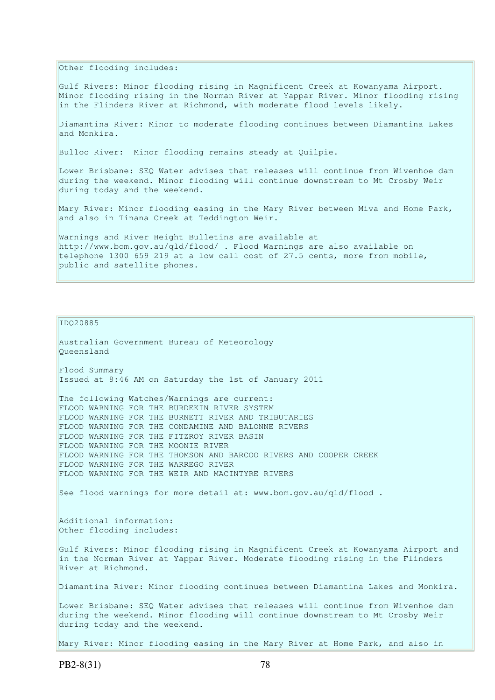Other flooding includes:

Gulf Rivers: Minor flooding rising in Magnificent Creek at Kowanyama Airport. Minor flooding rising in the Norman River at Yappar River. Minor flooding rising in the Flinders River at Richmond, with moderate flood levels likely.

Diamantina River: Minor to moderate flooding continues between Diamantina Lakes and Monkira.

Bulloo River: Minor flooding remains steady at Quilpie.

Lower Brisbane: SEO Water advises that releases will continue from Wivenhoe dam during the weekend. Minor flooding will continue downstream to Mt Crosby Weir during today and the weekend.

Mary River: Minor flooding easing in the Mary River between Miva and Home Park, and also in Tinana Creek at Teddington Weir.

Warnings and River Height Bulletins are available at http://www.bom.gov.au/qld/flood/ . Flood Warnings are also available on telephone 1300 659 219 at a low call cost of 27.5 cents, more from mobile, public and satellite phones.

IDQ20885

Australian Government Bureau of Meteorology Queensland Flood Summary Issued at 8:46 AM on Saturday the 1st of January 2011 The following Watches/Warnings are current: FLOOD WARNING FOR THE BURDEKIN RIVER SYSTEM FLOOD WARNING FOR THE BURNETT RIVER AND TRIBUTARIES FLOOD WARNING FOR THE CONDAMINE AND BALONNE RIVERS FLOOD WARNING FOR THE FITZROY RIVER BASIN FLOOD WARNING FOR THE MOONIE RIVER FLOOD WARNING FOR THE THOMSON AND BARCOO RIVERS AND COOPER CREEK FLOOD WARNING FOR THE WARREGO RIVER FLOOD WARNING FOR THE WEIR AND MACINTYRE RIVERS See flood warnings for more detail at: www.bom.gov.au/qld/flood . Additional information: Other flooding includes:

Gulf Rivers: Minor flooding rising in Magnificent Creek at Kowanyama Airport and in the Norman River at Yappar River. Moderate flooding rising in the Flinders River at Richmond.

Diamantina River: Minor flooding continues between Diamantina Lakes and Monkira.

Lower Brisbane: SEQ Water advises that releases will continue from Wivenhoe dam during the weekend. Minor flooding will continue downstream to Mt Crosby Weir during today and the weekend.

Mary River: Minor flooding easing in the Mary River at Home Park, and also in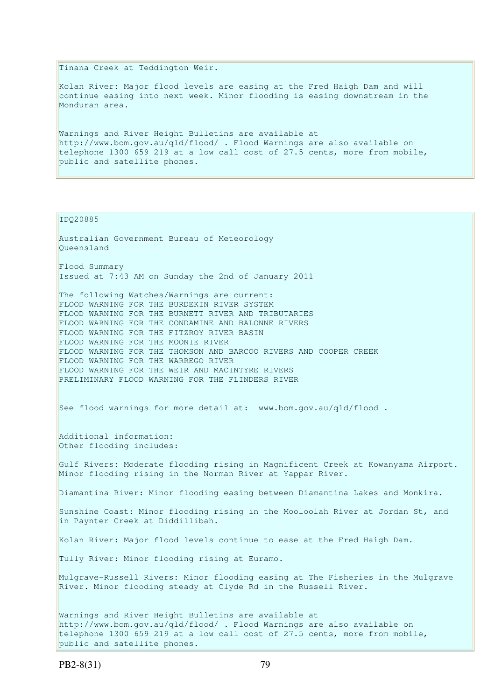Tinana Creek at Teddington Weir.

Kolan River: Major flood levels are easing at the Fred Haigh Dam and will continue easing into next week. Minor flooding is easing downstream in the Monduran area.

Warnings and River Height Bulletins are available at http://www.bom.gov.au/qld/flood/ . Flood Warnings are also available on telephone 1300 659 219 at a low call cost of 27.5 cents, more from mobile, public and satellite phones.

IDQ20885

Australian Government Bureau of Meteorology Queensland Flood Summary Issued at 7:43 AM on Sunday the 2nd of January 2011 The following Watches/Warnings are current: FLOOD WARNING FOR THE BURDEKIN RIVER SYSTEM FLOOD WARNING FOR THE BURNETT RIVER AND TRIBUTARIES FLOOD WARNING FOR THE CONDAMINE AND BALONNE RIVERS FLOOD WARNING FOR THE FITZROY RIVER BASIN FLOOD WARNING FOR THE MOONIE RIVER FLOOD WARNING FOR THE THOMSON AND BARCOO RIVERS AND COOPER CREEK FLOOD WARNING FOR THE WARREGO RIVER FLOOD WARNING FOR THE WEIR AND MACINTYRE RIVERS PRELIMINARY FLOOD WARNING FOR THE FLINDERS RIVER See flood warnings for more detail at: www.bom.gov.au/qld/flood . Additional information: Other flooding includes: Gulf Rivers: Moderate flooding rising in Magnificent Creek at Kowanyama Airport. Minor flooding rising in the Norman River at Yappar River. Diamantina River: Minor flooding easing between Diamantina Lakes and Monkira. Sunshine Coast: Minor flooding rising in the Mooloolah River at Jordan St, and in Paynter Creek at Diddillibah. Kolan River: Major flood levels continue to ease at the Fred Haigh Dam. Tully River: Minor flooding rising at Euramo. Mulgrave-Russell Rivers: Minor flooding easing at The Fisheries in the Mulgrave River. Minor flooding steady at Clyde Rd in the Russell River. Warnings and River Height Bulletins are available at http://www.bom.gov.au/qld/flood/ . Flood Warnings are also available on telephone 1300 659 219 at a low call cost of 27.5 cents, more from mobile, public and satellite phones.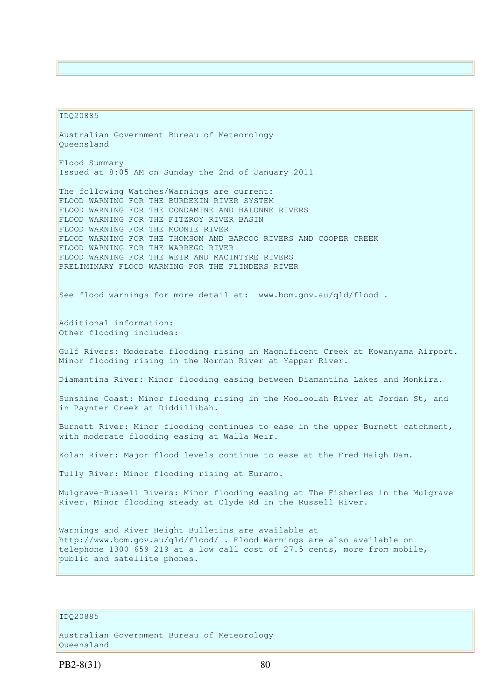### IDQ20885

Australian Government Bureau of Meteorology Queensland Flood Summary Issued at 8:05 AM on Sunday the 2nd of January 2011 The following Watches/Warnings are current: FLOOD WARNING FOR THE BURDEKIN RIVER SYSTEM FLOOD WARNING FOR THE CONDAMINE AND BALONNE RIVERS FLOOD WARNING FOR THE FITZROY RIVER BASIN FLOOD WARNING FOR THE MOONIE RIVER FLOOD WARNING FOR THE THOMSON AND BARCOO RIVERS AND COOPER CREEK FLOOD WARNING FOR THE WARREGO RIVER FLOOD WARNING FOR THE WEIR AND MACINTYRE RIVERS PRELIMINARY FLOOD WARNING FOR THE FLINDERS RIVER See flood warnings for more detail at: www.bom.gov.au/qld/flood. Additional information: Other flooding includes: Gulf Rivers: Moderate flooding rising in Magnificent Creek at Kowanyama Airport. Minor flooding rising in the Norman River at Yappar River. Diamantina River: Minor flooding easing between Diamantina Lakes and Monkira. Sunshine Coast: Minor flooding rising in the Mooloolah River at Jordan St, and in Paynter Creek at Diddillibah. Burnett River: Minor flooding continues to ease in the upper Burnett catchment, with moderate flooding easing at Walla Weir. Kolan River: Major flood levels continue to ease at the Fred Haigh Dam. Tully River: Minor flooding rising at Euramo. Mulgrave-Russell Rivers: Minor flooding easing at The Fisheries in the Mulgrave River. Minor flooding steady at Clyde Rd in the Russell River. Warnings and River Height Bulletins are available at http://www.bom.gov.au/qld/flood/ . Flood Warnings are also available on telephone 1300 659 219 at a low call cost of 27.5 cents, more from mobile, public and satellite phones.

# IDQ20885

Australian Government Bureau of Meteorology Queensland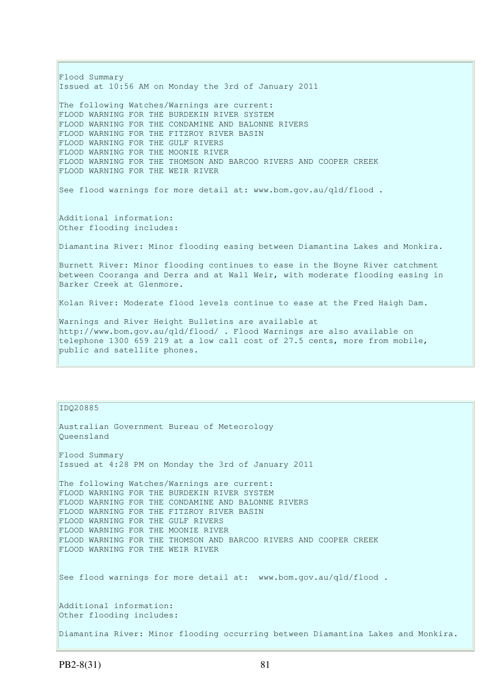Flood Summary Issued at 10:56 AM on Monday the 3rd of January 2011 The following Watches/Warnings are current: FLOOD WARNING FOR THE BURDEKIN RIVER SYSTEM FLOOD WARNING FOR THE CONDAMINE AND BALONNE RIVERS FLOOD WARNING FOR THE FITZROY RIVER BASIN FLOOD WARNING FOR THE GULF RIVERS FLOOD WARNING FOR THE MOONIE RIVER FLOOD WARNING FOR THE THOMSON AND BARCOO RIVERS AND COOPER CREEK FLOOD WARNING FOR THE WEIR RIVER See flood warnings for more detail at: www.bom.gov.au/qld/flood . Additional information: Other flooding includes: Diamantina River: Minor flooding easing between Diamantina Lakes and Monkira. Burnett River: Minor flooding continues to ease in the Boyne River catchment between Cooranga and Derra and at Wall Weir, with moderate flooding easing in Barker Creek at Glenmore. Kolan River: Moderate flood levels continue to ease at the Fred Haigh Dam. Warnings and River Height Bulletins are available at http://www.bom.gov.au/qld/flood/ . Flood Warnings are also available on telephone 1300 659 219 at a low call cost of 27.5 cents, more from mobile, public and satellite phones.

#### IDQ20885

```
Australian Government Bureau of Meteorology 
Queensland 
Flood Summary 
Issued at 4:28 PM on Monday the 3rd of January 2011 
The following Watches/Warnings are current: 
FLOOD WARNING FOR THE BURDEKIN RIVER SYSTEM 
FLOOD WARNING FOR THE CONDAMINE AND BALONNE RIVERS 
FLOOD WARNING FOR THE FITZROY RIVER BASIN 
FLOOD WARNING FOR THE GULF RIVERS 
FLOOD WARNING FOR THE MOONIE RIVER 
FLOOD WARNING FOR THE THOMSON AND BARCOO RIVERS AND COOPER CREEK 
FLOOD WARNING FOR THE WEIR RIVER 
See flood warnings for more detail at: www.bom.gov.au/qld/flood.
Additional information: 
Other flooding includes: 
Diamantina River: Minor flooding occurring between Diamantina Lakes and Monkira.
```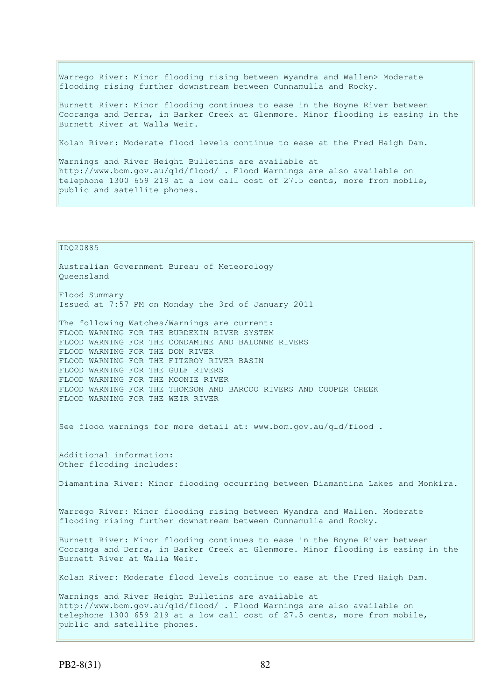Warrego River: Minor flooding rising between Wyandra and Wallen> Moderate flooding rising further downstream between Cunnamulla and Rocky.

Burnett River: Minor flooding continues to ease in the Boyne River between Cooranga and Derra, in Barker Creek at Glenmore. Minor flooding is easing in the Burnett River at Walla Weir.

Kolan River: Moderate flood levels continue to ease at the Fred Haigh Dam.

Warnings and River Height Bulletins are available at http://www.bom.gov.au/qld/flood/ . Flood Warnings are also available on telephone 1300 659 219 at a low call cost of 27.5 cents, more from mobile, public and satellite phones.

#### IDQ20885

Australian Government Bureau of Meteorology Queensland

Flood Summary Issued at 7:57 PM on Monday the 3rd of January 2011

The following Watches/Warnings are current: FLOOD WARNING FOR THE BURDEKIN RIVER SYSTEM FLOOD WARNING FOR THE CONDAMINE AND BALONNE RIVERS FLOOD WARNING FOR THE DON RIVER FLOOD WARNING FOR THE FITZROY RIVER BASIN FLOOD WARNING FOR THE GULF RIVERS FLOOD WARNING FOR THE MOONIE RIVER FLOOD WARNING FOR THE THOMSON AND BARCOO RIVERS AND COOPER CREEK FLOOD WARNING FOR THE WEIR RIVER

See flood warnings for more detail at: www.bom.gov.au/qld/flood .

Additional information: Other flooding includes:

Diamantina River: Minor flooding occurring between Diamantina Lakes and Monkira.

Warrego River: Minor flooding rising between Wyandra and Wallen. Moderate flooding rising further downstream between Cunnamulla and Rocky.

Burnett River: Minor flooding continues to ease in the Boyne River between Cooranga and Derra, in Barker Creek at Glenmore. Minor flooding is easing in the Burnett River at Walla Weir.

Kolan River: Moderate flood levels continue to ease at the Fred Haigh Dam.

Warnings and River Height Bulletins are available at http://www.bom.gov.au/qld/flood/ . Flood Warnings are also available on telephone 1300 659 219 at a low call cost of 27.5 cents, more from mobile, public and satellite phones.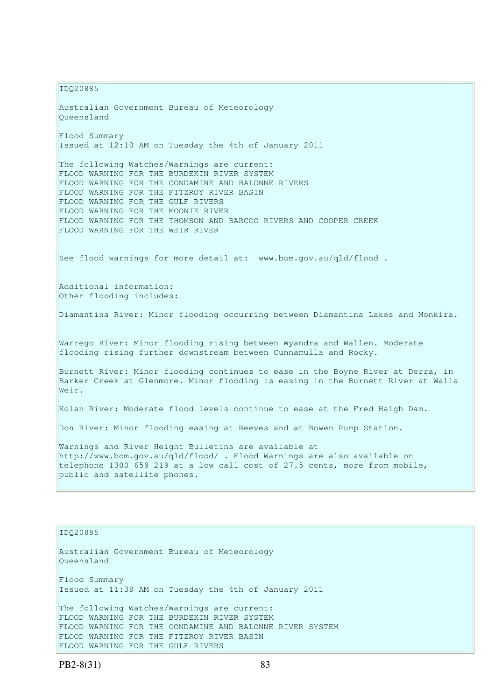IDQ20885 Australian Government Bureau of Meteorology Queensland Flood Summary Issued at 12:10 AM on Tuesday the 4th of January 2011 The following Watches/Warnings are current: FLOOD WARNING FOR THE BURDEKIN RIVER SYSTEM FLOOD WARNING FOR THE CONDAMINE AND BALONNE RIVERS FLOOD WARNING FOR THE FITZROY RIVER BASIN FLOOD WARNING FOR THE GULF RIVERS FLOOD WARNING FOR THE MOONIE RIVER FLOOD WARNING FOR THE THOMSON AND BARCOO RIVERS AND COOPER CREEK FLOOD WARNING FOR THE WEIR RIVER See flood warnings for more detail at: www.bom.gov.au/qld/flood. Additional information: Other flooding includes: Diamantina River: Minor flooding occurring between Diamantina Lakes and Monkira. Warrego River: Minor flooding rising between Wyandra and Wallen. Moderate flooding rising further downstream between Cunnamulla and Rocky. Burnett River: Minor flooding continues to ease in the Boyne River at Derra, in Barker Creek at Glenmore. Minor flooding is easing in the Burnett River at Walla Weir. Kolan River: Moderate flood levels continue to ease at the Fred Haigh Dam. Don River: Minor flooding easing at Reeves and at Bowen Pump Station. Warnings and River Height Bulletins are available at http://www.bom.gov.au/qld/flood/ . Flood Warnings are also available on telephone 1300 659 219 at a low call cost of 27.5 cents, more from mobile, public and satellite phones.

IDQ20885

Australian Government Bureau of Meteorology Queensland Flood Summary Issued at 11:38 AM on Tuesday the 4th of January 2011 The following Watches/Warnings are current: FLOOD WARNING FOR THE BURDEKIN RIVER SYSTEM FLOOD WARNING FOR THE CONDAMINE AND BALONNE RIVER SYSTEM FLOOD WARNING FOR THE FITZROY RIVER BASIN FLOOD WARNING FOR THE GULF RIVERS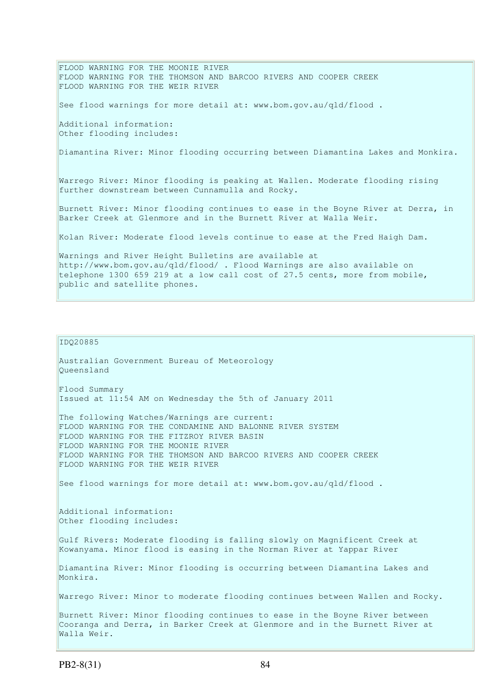FLOOD WARNING FOR THE MOONIE RIVER FLOOD WARNING FOR THE THOMSON AND BARCOO RIVERS AND COOPER CREEK FLOOD WARNING FOR THE WEIR RIVER See flood warnings for more detail at: www.bom.gov.au/qld/flood . Additional information: Other flooding includes: Diamantina River: Minor flooding occurring between Diamantina Lakes and Monkira. Warrego River: Minor flooding is peaking at Wallen. Moderate flooding rising further downstream between Cunnamulla and Rocky. Burnett River: Minor flooding continues to ease in the Boyne River at Derra, in Barker Creek at Glenmore and in the Burnett River at Walla Weir. Kolan River: Moderate flood levels continue to ease at the Fred Haigh Dam. Warnings and River Height Bulletins are available at http://www.bom.gov.au/qld/flood/ . Flood Warnings are also available on telephone 1300 659 219 at a low call cost of 27.5 cents, more from mobile, public and satellite phones.

### IDQ20885

Australian Government Bureau of Meteorology Queensland Flood Summary Issued at 11:54 AM on Wednesday the 5th of January 2011 The following Watches/Warnings are current: FLOOD WARNING FOR THE CONDAMINE AND BALONNE RIVER SYSTEM FLOOD WARNING FOR THE FITZROY RIVER BASIN FLOOD WARNING FOR THE MOONIE RIVER FLOOD WARNING FOR THE THOMSON AND BARCOO RIVERS AND COOPER CREEK FLOOD WARNING FOR THE WEIR RIVER See flood warnings for more detail at: www.bom.gov.au/qld/flood. Additional information: Other flooding includes: Gulf Rivers: Moderate flooding is falling slowly on Magnificent Creek at Kowanyama. Minor flood is easing in the Norman River at Yappar River Diamantina River: Minor flooding is occurring between Diamantina Lakes and Monkira. Warrego River: Minor to moderate flooding continues between Wallen and Rocky. Burnett River: Minor flooding continues to ease in the Boyne River between Cooranga and Derra, in Barker Creek at Glenmore and in the Burnett River at Walla Weir.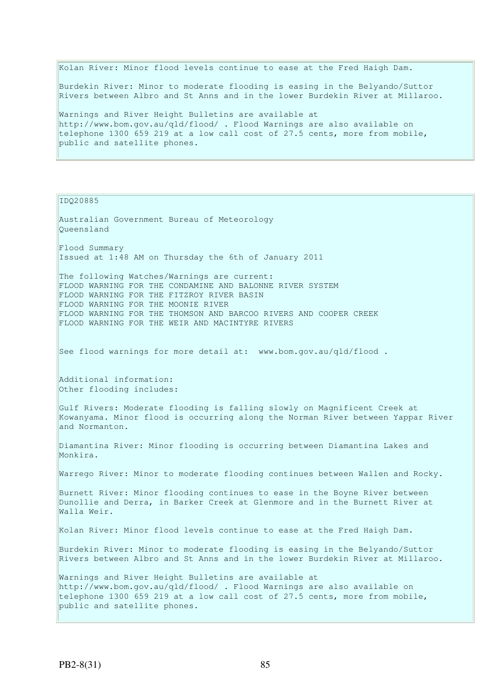Kolan River: Minor flood levels continue to ease at the Fred Haigh Dam. Burdekin River: Minor to moderate flooding is easing in the Belyando/Suttor Rivers between Albro and St Anns and in the lower Burdekin River at Millaroo. Warnings and River Height Bulletins are available at http://www.bom.gov.au/qld/flood/ . Flood Warnings are also available on telephone 1300 659 219 at a low call cost of 27.5 cents, more from mobile,

IDQ20885

public and satellite phones.

Australian Government Bureau of Meteorology Queensland Flood Summary Issued at 1:48 AM on Thursday the 6th of January 2011 The following Watches/Warnings are current: FLOOD WARNING FOR THE CONDAMINE AND BALONNE RIVER SYSTEM FLOOD WARNING FOR THE FITZROY RIVER BASIN FLOOD WARNING FOR THE MOONIE RIVER FLOOD WARNING FOR THE THOMSON AND BARCOO RIVERS AND COOPER CREEK FLOOD WARNING FOR THE WEIR AND MACINTYRE RIVERS See flood warnings for more detail at: www.bom.gov.au/gld/flood. Additional information: Other flooding includes: Gulf Rivers: Moderate flooding is falling slowly on Magnificent Creek at Kowanyama. Minor flood is occurring along the Norman River between Yappar River and Normanton. Diamantina River: Minor flooding is occurring between Diamantina Lakes and Monkira. Warrego River: Minor to moderate flooding continues between Wallen and Rocky. Burnett River: Minor flooding continues to ease in the Boyne River between Dunollie and Derra, in Barker Creek at Glenmore and in the Burnett River at Walla Weir. Kolan River: Minor flood levels continue to ease at the Fred Haigh Dam. Burdekin River: Minor to moderate flooding is easing in the Belyando/Suttor Rivers between Albro and St Anns and in the lower Burdekin River at Millaroo. Warnings and River Height Bulletins are available at http://www.bom.gov.au/qld/flood/ . Flood Warnings are also available on telephone 1300 659 219 at a low call cost of 27.5 cents, more from mobile, public and satellite phones.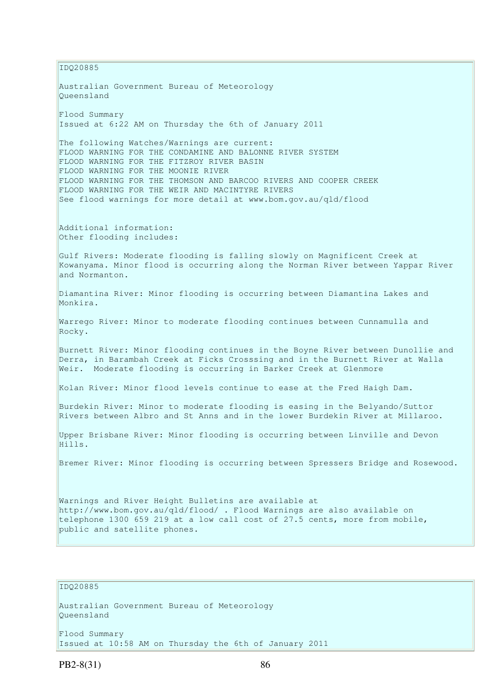IDQ20885 Australian Government Bureau of Meteorology Queensland Flood Summary Issued at 6:22 AM on Thursday the 6th of January 2011 The following Watches/Warnings are current: FLOOD WARNING FOR THE CONDAMINE AND BALONNE RIVER SYSTEM FLOOD WARNING FOR THE FITZROY RIVER BASIN FLOOD WARNING FOR THE MOONIE RIVER FLOOD WARNING FOR THE THOMSON AND BARCOO RIVERS AND COOPER CREEK FLOOD WARNING FOR THE WEIR AND MACINTYRE RIVERS See flood warnings for more detail at www.bom.gov.au/qld/flood Additional information: Other flooding includes: Gulf Rivers: Moderate flooding is falling slowly on Magnificent Creek at Kowanyama. Minor flood is occurring along the Norman River between Yappar River and Normanton. Diamantina River: Minor flooding is occurring between Diamantina Lakes and Monkira. Warrego River: Minor to moderate flooding continues between Cunnamulla and Rocky. Burnett River: Minor flooding continues in the Boyne River between Dunollie and Derra, in Barambah Creek at Ficks Crosssing and in the Burnett River at Walla Weir. Moderate flooding is occurring in Barker Creek at Glenmore Kolan River: Minor flood levels continue to ease at the Fred Haigh Dam. Burdekin River: Minor to moderate flooding is easing in the Belyando/Suttor Rivers between Albro and St Anns and in the lower Burdekin River at Millaroo. Upper Brisbane River: Minor flooding is occurring between Linville and Devon Hills. Bremer River: Minor flooding is occurring between Spressers Bridge and Rosewood. Warnings and River Height Bulletins are available at http://www.bom.gov.au/qld/flood/ . Flood Warnings are also available on telephone 1300 659 219 at a low call cost of 27.5 cents, more from mobile, public and satellite phones.

# IDQ20885

Australian Government Bureau of Meteorology Queensland

Flood Summary Issued at 10:58 AM on Thursday the 6th of January 2011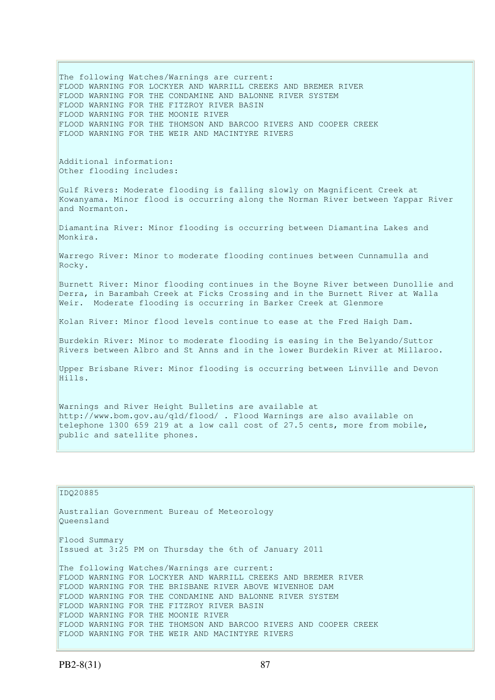The following Watches/Warnings are current: FLOOD WARNING FOR LOCKYER AND WARRILL CREEKS AND BREMER RIVER FLOOD WARNING FOR THE CONDAMINE AND BALONNE RIVER SYSTEM FLOOD WARNING FOR THE FITZROY RIVER BASIN FLOOD WARNING FOR THE MOONIE RIVER FLOOD WARNING FOR THE THOMSON AND BARCOO RIVERS AND COOPER CREEK FLOOD WARNING FOR THE WEIR AND MACINTYRE RIVERS Additional information: Other flooding includes: Gulf Rivers: Moderate flooding is falling slowly on Magnificent Creek at Kowanyama. Minor flood is occurring along the Norman River between Yappar River and Normanton. Diamantina River: Minor flooding is occurring between Diamantina Lakes and Monkira. Warrego River: Minor to moderate flooding continues between Cunnamulla and Rocky. Burnett River: Minor flooding continues in the Boyne River between Dunollie and Derra, in Barambah Creek at Ficks Crossing and in the Burnett River at Walla Weir. Moderate flooding is occurring in Barker Creek at Glenmore Kolan River: Minor flood levels continue to ease at the Fred Haigh Dam. Burdekin River: Minor to moderate flooding is easing in the Belyando/Suttor Rivers between Albro and St Anns and in the lower Burdekin River at Millaroo. Upper Brisbane River: Minor flooding is occurring between Linville and Devon Hills. Warnings and River Height Bulletins are available at http://www.bom.gov.au/qld/flood/ . Flood Warnings are also available on telephone 1300 659 219 at a low call cost of 27.5 cents, more from mobile,

```
IDQ20885
```
public and satellite phones.

Australian Government Bureau of Meteorology Queensland Flood Summary Issued at 3:25 PM on Thursday the 6th of January 2011 The following Watches/Warnings are current: FLOOD WARNING FOR LOCKYER AND WARRILL CREEKS AND BREMER RIVER FLOOD WARNING FOR THE BRISBANE RIVER ABOVE WIVENHOE DAM FLOOD WARNING FOR THE CONDAMINE AND BALONNE RIVER SYSTEM FLOOD WARNING FOR THE FITZROY RIVER BASIN FLOOD WARNING FOR THE MOONIE RIVER FLOOD WARNING FOR THE THOMSON AND BARCOO RIVERS AND COOPER CREEK FLOOD WARNING FOR THE WEIR AND MACINTYRE RIVERS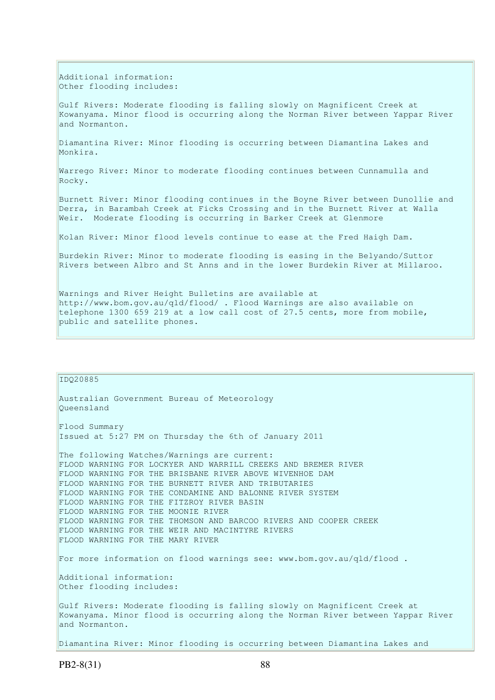Additional information: Other flooding includes:

Gulf Rivers: Moderate flooding is falling slowly on Magnificent Creek at Kowanyama. Minor flood is occurring along the Norman River between Yappar River and Normanton.

Diamantina River: Minor flooding is occurring between Diamantina Lakes and Monkira.

Warrego River: Minor to moderate flooding continues between Cunnamulla and Rocky.

Burnett River: Minor flooding continues in the Boyne River between Dunollie and Derra, in Barambah Creek at Ficks Crossing and in the Burnett River at Walla Weir. Moderate flooding is occurring in Barker Creek at Glenmore

Kolan River: Minor flood levels continue to ease at the Fred Haigh Dam.

Burdekin River: Minor to moderate flooding is easing in the Belyando/Suttor Rivers between Albro and St Anns and in the lower Burdekin River at Millaroo.

Warnings and River Height Bulletins are available at http://www.bom.gov.au/qld/flood/ . Flood Warnings are also available on telephone 1300 659 219 at a low call cost of 27.5 cents, more from mobile, public and satellite phones.

| ID020885                                                                                                                                                                      |
|-------------------------------------------------------------------------------------------------------------------------------------------------------------------------------|
| Australian Government Bureau of Meteorology<br>Oueensland                                                                                                                     |
| Flood Summary<br>Issued at 5:27 PM on Thursday the 6th of January 2011                                                                                                        |
| The following Watches/Warnings are current:<br>FLOOD WARNING FOR LOCKYER AND WARRILL CREEKS AND BREMER RIVER<br>FLOOD WARNING FOR THE BRISBANE RIVER ABOVE WIVENHOE DAM       |
| FLOOD WARNING FOR THE BURNETT RIVER AND TRIBUTARIES<br>FLOOD WARNING FOR THE CONDAMINE AND BALONNE RIVER SYSTEM<br>FLOOD WARNING FOR THE FITZROY RIVER BASIN                  |
| FLOOD WARNING FOR THE MOONIE RIVER<br>FLOOD WARNING FOR THE THOMSON AND BARCOO RIVERS AND COOPER CREEK<br>FLOOD WARNING FOR THE WEIR AND MACINTYRE RIVERS                     |
| FLOOD WARNING FOR THE MARY RIVER<br>For more information on flood warnings see: www.bom.gov.au/qld/flood.                                                                     |
| Additional information:<br>Other flooding includes:                                                                                                                           |
| Gulf Rivers: Moderate flooding is falling slowly on Magnificent Creek at<br>Kowanyama. Minor flood is occurring along the Norman River between Yappar River<br>and Normanton. |
| Diamantina River: Minor flooding is occurring between Diamantina Lakes and                                                                                                    |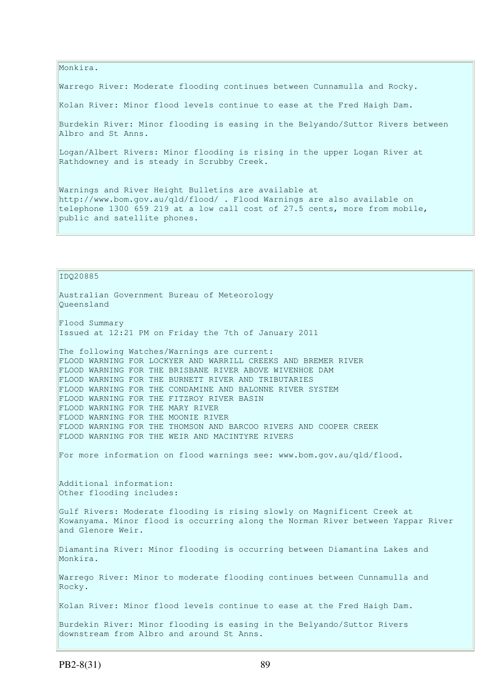Monkira.

Warrego River: Moderate flooding continues between Cunnamulla and Rocky.

Kolan River: Minor flood levels continue to ease at the Fred Haigh Dam.

Burdekin River: Minor flooding is easing in the Belyando/Suttor Rivers between Albro and St Anns.

Logan/Albert Rivers: Minor flooding is rising in the upper Logan River at Rathdowney and is steady in Scrubby Creek.

Warnings and River Height Bulletins are available at http://www.bom.gov.au/qld/flood/ . Flood Warnings are also available on telephone 1300 659 219 at a low call cost of 27.5 cents, more from mobile, public and satellite phones.

IDQ20885 Australian Government Bureau of Meteorology Queensland Flood Summary Issued at 12:21 PM on Friday the 7th of January 2011 The following Watches/Warnings are current: FLOOD WARNING FOR LOCKYER AND WARRILL CREEKS AND BREMER RIVER FLOOD WARNING FOR THE BRISBANE RIVER ABOVE WIVENHOE DAM FLOOD WARNING FOR THE BURNETT RIVER AND TRIBUTARIES FLOOD WARNING FOR THE CONDAMINE AND BALONNE RIVER SYSTEM FLOOD WARNING FOR THE FITZROY RIVER BASIN FLOOD WARNING FOR THE MARY RIVER FLOOD WARNING FOR THE MOONIE RIVER FLOOD WARNING FOR THE THOMSON AND BARCOO RIVERS AND COOPER CREEK FLOOD WARNING FOR THE WEIR AND MACINTYRE RIVERS For more information on flood warnings see: www.bom.gov.au/qld/flood. Additional information: Other flooding includes: Gulf Rivers: Moderate flooding is rising slowly on Magnificent Creek at Kowanyama. Minor flood is occurring along the Norman River between Yappar River and Glenore Weir. Diamantina River: Minor flooding is occurring between Diamantina Lakes and Monkira. Warrego River: Minor to moderate flooding continues between Cunnamulla and Rocky. Kolan River: Minor flood levels continue to ease at the Fred Haigh Dam. Burdekin River: Minor flooding is easing in the Belyando/Suttor Rivers downstream from Albro and around St Anns.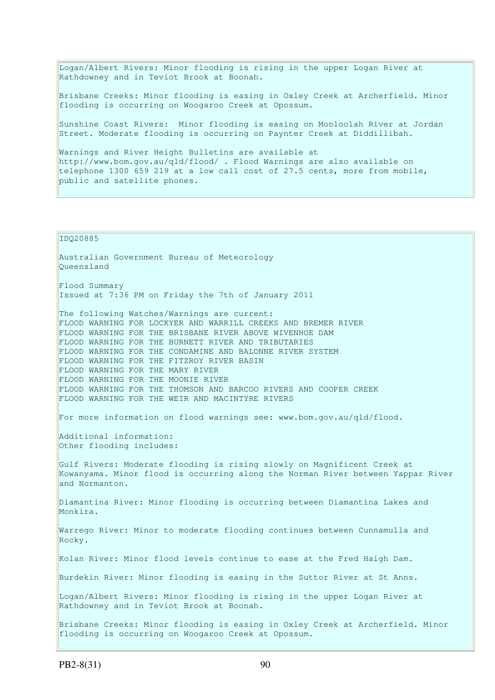Logan/Albert Rivers: Minor flooding is rising in the upper Logan River at Rathdowney and in Teviot Brook at Boonah.

Brisbane Creeks: Minor flooding is easing in Oxley Creek at Archerfield. Minor flooding is occurring on Woogaroo Creek at Opossum.

Sunshine Coast Rivers: Minor flooding is easing on Mooloolah River at Jordan Street. Moderate flooding is occurring on Paynter Creek at Diddillibah.

Warnings and River Height Bulletins are available at http://www.bom.gov.au/qld/flood/ . Flood Warnings are also available on telephone 1300 659 219 at a low call cost of 27.5 cents, more from mobile, public and satellite phones.

IDQ20885

Australian Government Bureau of Meteorology Queensland Flood Summary Issued at 7:36 PM on Friday the 7th of January 2011 The following Watches/Warnings are current: FLOOD WARNING FOR LOCKYER AND WARRILL CREEKS AND BREMER RIVER FLOOD WARNING FOR THE BRISBANE RIVER ABOVE WIVENHOE DAM FLOOD WARNING FOR THE BURNETT RIVER AND TRIBUTARIES FLOOD WARNING FOR THE CONDAMINE AND BALONNE RIVER SYSTEM FLOOD WARNING FOR THE FITZROY RIVER BASIN FLOOD WARNING FOR THE MARY RIVER FLOOD WARNING FOR THE MOONIE RIVER FLOOD WARNING FOR THE THOMSON AND BARCOO RIVERS AND COOPER CREEK FLOOD WARNING FOR THE WEIR AND MACINTYRE RIVERS For more information on flood warnings see: www.bom.gov.au/qld/flood. Additional information: Other flooding includes: Gulf Rivers: Moderate flooding is rising slowly on Magnificent Creek at Kowanyama. Minor flood is occurring along the Norman River between Yappar River and Normanton. Diamantina River: Minor flooding is occurring between Diamantina Lakes and Monkira. Warrego River: Minor to moderate flooding continues between Cunnamulla and Rocky. Kolan River: Minor flood levels continue to ease at the Fred Haigh Dam. Burdekin River: Minor flooding is easing in the Suttor River at St Anns. Logan/Albert Rivers: Minor flooding is rising in the upper Logan River at Rathdowney and in Teviot Brook at Boonah. Brisbane Creeks: Minor flooding is easing in Oxley Creek at Archerfield. Minor flooding is occurring on Woogaroo Creek at Opossum.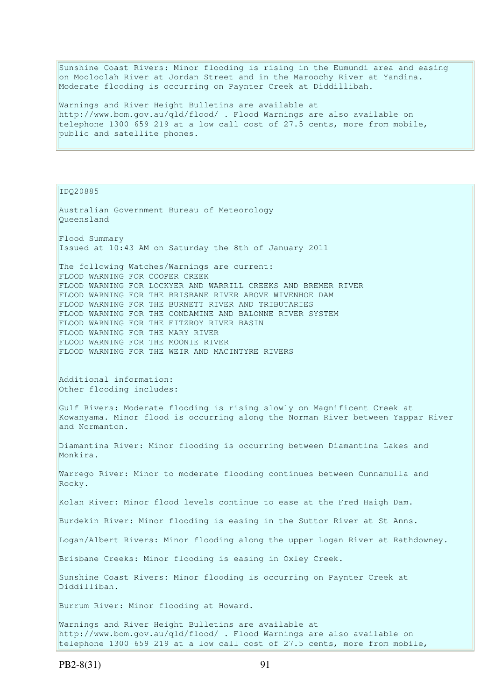Sunshine Coast Rivers: Minor flooding is rising in the Eumundi area and easing on Mooloolah River at Jordan Street and in the Maroochy River at Yandina. Moderate flooding is occurring on Paynter Creek at Diddillibah.

Warnings and River Height Bulletins are available at http://www.bom.gov.au/qld/flood/ . Flood Warnings are also available on telephone 1300 659 219 at a low call cost of 27.5 cents, more from mobile, public and satellite phones.

IDQ20885

Australian Government Bureau of Meteorology Queensland Flood Summary Issued at 10:43 AM on Saturday the 8th of January 2011 The following Watches/Warnings are current: FLOOD WARNING FOR COOPER CREEK FLOOD WARNING FOR LOCKYER AND WARRILL CREEKS AND BREMER RIVER FLOOD WARNING FOR THE BRISBANE RIVER ABOVE WIVENHOE DAM FLOOD WARNING FOR THE BURNETT RIVER AND TRIBUTARIES FLOOD WARNING FOR THE CONDAMINE AND BALONNE RIVER SYSTEM FLOOD WARNING FOR THE FITZROY RIVER BASIN FLOOD WARNING FOR THE MARY RIVER FLOOD WARNING FOR THE MOONIE RIVER FLOOD WARNING FOR THE WEIR AND MACINTYRE RIVERS Additional information: Other flooding includes: Gulf Rivers: Moderate flooding is rising slowly on Magnificent Creek at Kowanyama. Minor flood is occurring along the Norman River between Yappar River and Normanton. Diamantina River: Minor flooding is occurring between Diamantina Lakes and Monkira. Warrego River: Minor to moderate flooding continues between Cunnamulla and Rocky. Kolan River: Minor flood levels continue to ease at the Fred Haigh Dam. Burdekin River: Minor flooding is easing in the Suttor River at St Anns. Logan/Albert Rivers: Minor flooding along the upper Logan River at Rathdowney. Brisbane Creeks: Minor flooding is easing in Oxley Creek. Sunshine Coast Rivers: Minor flooding is occurring on Paynter Creek at Diddillibah. Burrum River: Minor flooding at Howard. Warnings and River Height Bulletins are available at http://www.bom.gov.au/qld/flood/ . Flood Warnings are also available on telephone 1300 659 219 at a low call cost of 27.5 cents, more from mobile,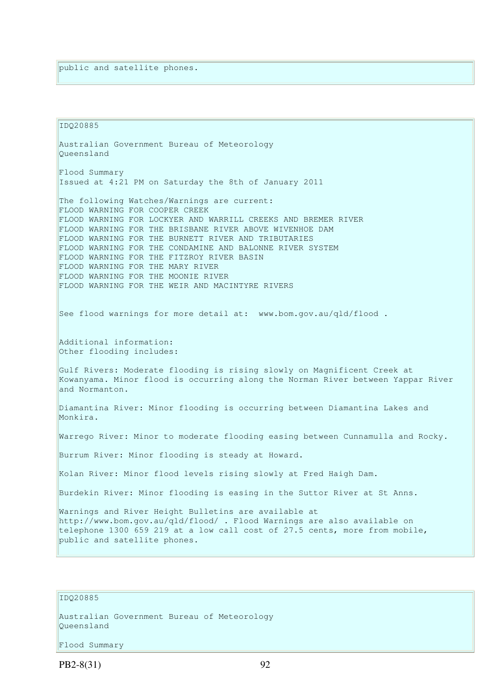IDQ20885 Australian Government Bureau of Meteorology Queensland Flood Summary Issued at 4:21 PM on Saturday the 8th of January 2011 The following Watches/Warnings are current: FLOOD WARNING FOR COOPER CREEK FLOOD WARNING FOR LOCKYER AND WARRILL CREEKS AND BREMER RIVER FLOOD WARNING FOR THE BRISBANE RIVER ABOVE WIVENHOE DAM FLOOD WARNING FOR THE BURNETT RIVER AND TRIBUTARIES FLOOD WARNING FOR THE CONDAMINE AND BALONNE RIVER SYSTEM FLOOD WARNING FOR THE FITZROY RIVER BASIN FLOOD WARNING FOR THE MARY RIVER FLOOD WARNING FOR THE MOONIE RIVER FLOOD WARNING FOR THE WEIR AND MACINTYRE RIVERS See flood warnings for more detail at: www.bom.gov.au/qld/flood. Additional information: Other flooding includes: Gulf Rivers: Moderate flooding is rising slowly on Magnificent Creek at Kowanyama. Minor flood is occurring along the Norman River between Yappar River and Normanton. Diamantina River: Minor flooding is occurring between Diamantina Lakes and Monkira. Warrego River: Minor to moderate flooding easing between Cunnamulla and Rocky. Burrum River: Minor flooding is steady at Howard. Kolan River: Minor flood levels rising slowly at Fred Haigh Dam. Burdekin River: Minor flooding is easing in the Suttor River at St Anns. Warnings and River Height Bulletins are available at http://www.bom.gov.au/qld/flood/ . Flood Warnings are also available on telephone 1300 659 219 at a low call cost of 27.5 cents, more from mobile, public and satellite phones.

## IDQ20885

Australian Government Bureau of Meteorology Queensland

Flood Summary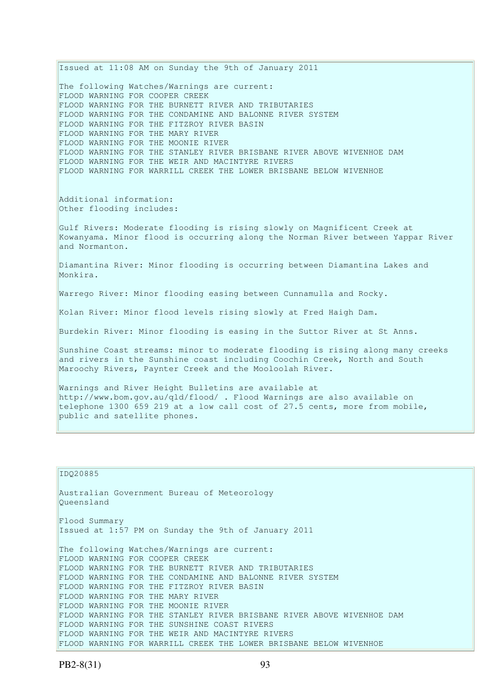Issued at 11:08 AM on Sunday the 9th of January 2011 The following Watches/Warnings are current: FLOOD WARNING FOR COOPER CREEK FLOOD WARNING FOR THE BURNETT RIVER AND TRIBUTARIES FLOOD WARNING FOR THE CONDAMINE AND BALONNE RIVER SYSTEM FLOOD WARNING FOR THE FITZROY RIVER BASIN FLOOD WARNING FOR THE MARY RIVER FLOOD WARNING FOR THE MOONIE RIVER FLOOD WARNING FOR THE STANLEY RIVER BRISBANE RIVER ABOVE WIVENHOE DAM FLOOD WARNING FOR THE WEIR AND MACINTYRE RIVERS FLOOD WARNING FOR WARRILL CREEK THE LOWER BRISBANE BELOW WIVENHOE Additional information: Other flooding includes: Gulf Rivers: Moderate flooding is rising slowly on Magnificent Creek at Kowanyama. Minor flood is occurring along the Norman River between Yappar River and Normanton. Diamantina River: Minor flooding is occurring between Diamantina Lakes and Monkira. Warrego River: Minor flooding easing between Cunnamulla and Rocky. Kolan River: Minor flood levels rising slowly at Fred Haigh Dam. Burdekin River: Minor flooding is easing in the Suttor River at St Anns. Sunshine Coast streams: minor to moderate flooding is rising along many creeks and rivers in the Sunshine coast including Coochin Creek, North and South Maroochy Rivers, Paynter Creek and the Mooloolah River. Warnings and River Height Bulletins are available at http://www.bom.gov.au/qld/flood/ . Flood Warnings are also available on telephone 1300 659 219 at a low call cost of 27.5 cents, more from mobile, public and satellite phones.

```
IDQ20885 
Australian Government Bureau of Meteorology 
Queensland 
Flood Summary 
Issued at 1:57 PM on Sunday the 9th of January 2011 
The following Watches/Warnings are current: 
FLOOD WARNING FOR COOPER CREEK 
FLOOD WARNING FOR THE BURNETT RIVER AND TRIBUTARIES 
FLOOD WARNING FOR THE CONDAMINE AND BALONNE RIVER SYSTEM 
FLOOD WARNING FOR THE FITZROY RIVER BASIN 
FLOOD WARNING FOR THE MARY RIVER 
FLOOD WARNING FOR THE MOONIE RIVER 
FLOOD WARNING FOR THE STANLEY RIVER BRISBANE RIVER ABOVE WIVENHOE DAM 
FLOOD WARNING FOR THE SUNSHINE COAST RIVERS 
FLOOD WARNING FOR THE WEIR AND MACINTYRE RIVERS 
FLOOD WARNING FOR WARRILL CREEK THE LOWER BRISBANE BELOW WIVENHOE
```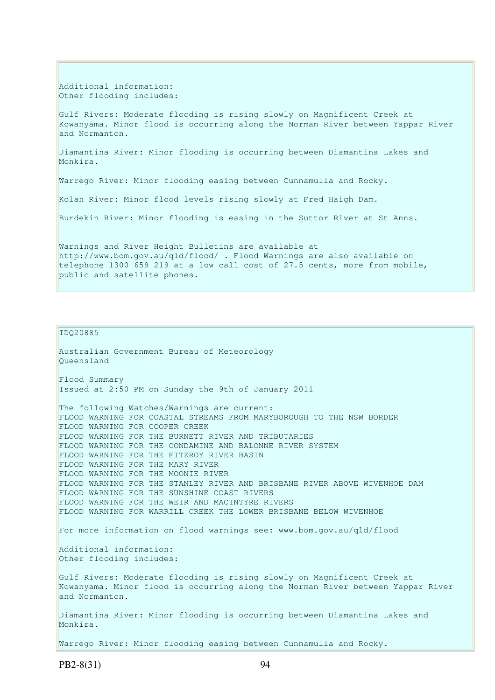Additional information: Other flooding includes:

Gulf Rivers: Moderate flooding is rising slowly on Magnificent Creek at Kowanyama. Minor flood is occurring along the Norman River between Yappar River and Normanton.

Diamantina River: Minor flooding is occurring between Diamantina Lakes and Monkira.

Warrego River: Minor flooding easing between Cunnamulla and Rocky.

Kolan River: Minor flood levels rising slowly at Fred Haigh Dam.

Burdekin River: Minor flooding is easing in the Suttor River at St Anns.

Warnings and River Height Bulletins are available at http://www.bom.gov.au/qld/flood/ . Flood Warnings are also available on telephone 1300 659 219 at a low call cost of 27.5 cents, more from mobile, public and satellite phones.

#### IDQ20885

```
Australian Government Bureau of Meteorology 
Queensland 
Flood Summary 
Issued at 2:50 PM on Sunday the 9th of January 2011 
The following Watches/Warnings are current: 
FLOOD WARNING FOR COASTAL STREAMS FROM MARYBOROUGH TO THE NSW BORDER 
FLOOD WARNING FOR COOPER CREEK 
FLOOD WARNING FOR THE BURNETT RIVER AND TRIBUTARIES 
FLOOD WARNING FOR THE CONDAMINE AND BALONNE RIVER SYSTEM 
FLOOD WARNING FOR THE FITZROY RIVER BASIN 
FLOOD WARNING FOR THE MARY RIVER 
FLOOD WARNING FOR THE MOONIE RIVER 
FLOOD WARNING FOR THE STANLEY RIVER AND BRISBANE RIVER ABOVE WIVENHOE DAM 
FLOOD WARNING FOR THE SUNSHINE COAST RIVERS 
FLOOD WARNING FOR THE WEIR AND MACINTYRE RIVERS 
FLOOD WARNING FOR WARRILL CREEK THE LOWER BRISBANE BELOW WIVENHOE 
For more information on flood warnings see: www.bom.gov.au/qld/flood 
Additional information: 
Other flooding includes: 
Gulf Rivers: Moderate flooding is rising slowly on Magnificent Creek at 
Kowanyama. Minor flood is occurring along the Norman River between Yappar River 
and Normanton. 
Diamantina River: Minor flooding is occurring between Diamantina Lakes and 
Monkira. 
Warrego River: Minor flooding easing between Cunnamulla and Rocky.
```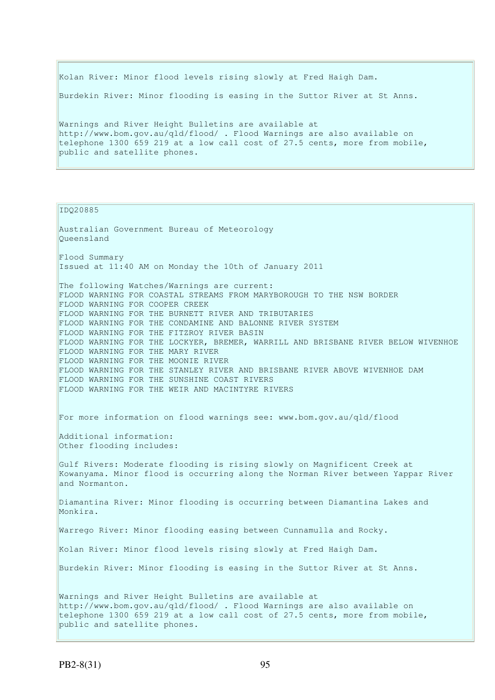Kolan River: Minor flood levels rising slowly at Fred Haigh Dam. Burdekin River: Minor flooding is easing in the Suttor River at St Anns. Warnings and River Height Bulletins are available at http://www.bom.gov.au/qld/flood/ . Flood Warnings are also available on telephone 1300 659 219 at a low call cost of 27.5 cents, more from mobile, public and satellite phones.

IDQ20885

Australian Government Bureau of Meteorology Queensland Flood Summary Issued at 11:40 AM on Monday the 10th of January 2011 The following Watches/Warnings are current: FLOOD WARNING FOR COASTAL STREAMS FROM MARYBOROUGH TO THE NSW BORDER FLOOD WARNING FOR COOPER CREEK FLOOD WARNING FOR THE BURNETT RIVER AND TRIBUTARIES FLOOD WARNING FOR THE CONDAMINE AND BALONNE RIVER SYSTEM FLOOD WARNING FOR THE FITZROY RIVER BASIN FLOOD WARNING FOR THE LOCKYER, BREMER, WARRILL AND BRISBANE RIVER BELOW WIVENHOE FLOOD WARNING FOR THE MARY RIVER FLOOD WARNING FOR THE MOONIE RIVER FLOOD WARNING FOR THE STANLEY RIVER AND BRISBANE RIVER ABOVE WIVENHOE DAM FLOOD WARNING FOR THE SUNSHINE COAST RIVERS FLOOD WARNING FOR THE WEIR AND MACINTYRE RIVERS For more information on flood warnings see: www.bom.gov.au/qld/flood Additional information: Other flooding includes: Gulf Rivers: Moderate flooding is rising slowly on Magnificent Creek at Kowanyama. Minor flood is occurring along the Norman River between Yappar River and Normanton. Diamantina River: Minor flooding is occurring between Diamantina Lakes and Monkira. Warrego River: Minor flooding easing between Cunnamulla and Rocky. Kolan River: Minor flood levels rising slowly at Fred Haigh Dam. Burdekin River: Minor flooding is easing in the Suttor River at St Anns. Warnings and River Height Bulletins are available at http://www.bom.gov.au/qld/flood/ . Flood Warnings are also available on telephone 1300 659 219 at a low call cost of 27.5 cents, more from mobile, public and satellite phones.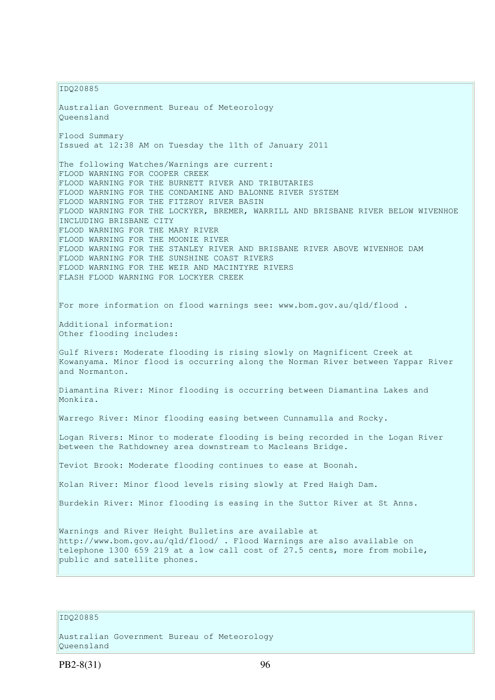IDQ20885

Australian Government Bureau of Meteorology Queensland Flood Summary Issued at 12:38 AM on Tuesday the 11th of January 2011 The following Watches/Warnings are current: FLOOD WARNING FOR COOPER CREEK FLOOD WARNING FOR THE BURNETT RIVER AND TRIBUTARIES FLOOD WARNING FOR THE CONDAMINE AND BALONNE RIVER SYSTEM FLOOD WARNING FOR THE FITZROY RIVER BASIN FLOOD WARNING FOR THE LOCKYER, BREMER, WARRILL AND BRISBANE RIVER BELOW WIVENHOE INCLUDING BRISBANE CITY FLOOD WARNING FOR THE MARY RIVER FLOOD WARNING FOR THE MOONIE RIVER FLOOD WARNING FOR THE STANLEY RIVER AND BRISBANE RIVER ABOVE WIVENHOE DAM FLOOD WARNING FOR THE SUNSHINE COAST RIVERS FLOOD WARNING FOR THE WEIR AND MACINTYRE RIVERS FLASH FLOOD WARNING FOR LOCKYER CREEK For more information on flood warnings see: www.bom.gov.au/qld/flood . Additional information: Other flooding includes: Gulf Rivers: Moderate flooding is rising slowly on Magnificent Creek at Kowanyama. Minor flood is occurring along the Norman River between Yappar River and Normanton. Diamantina River: Minor flooding is occurring between Diamantina Lakes and Monkira. Warrego River: Minor flooding easing between Cunnamulla and Rocky. Logan Rivers: Minor to moderate flooding is being recorded in the Logan River between the Rathdowney area downstream to Macleans Bridge. Teviot Brook: Moderate flooding continues to ease at Boonah. Kolan River: Minor flood levels rising slowly at Fred Haigh Dam. Burdekin River: Minor flooding is easing in the Suttor River at St Anns. Warnings and River Height Bulletins are available at http://www.bom.gov.au/qld/flood/ . Flood Warnings are also available on telephone 1300 659 219 at a low call cost of 27.5 cents, more from mobile, public and satellite phones.

### IDQ20885

Australian Government Bureau of Meteorology Queensland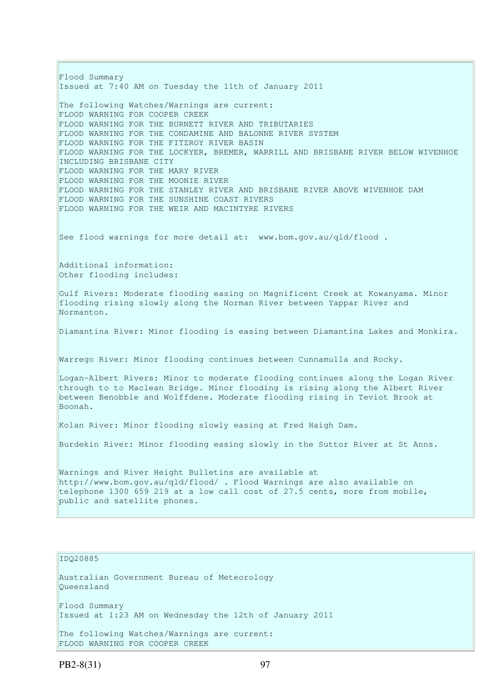Flood Summary Issued at 7:40 AM on Tuesday the 11th of January 2011 The following Watches/Warnings are current: FLOOD WARNING FOR COOPER CREEK FLOOD WARNING FOR THE BURNETT RIVER AND TRIBUTARIES FLOOD WARNING FOR THE CONDAMINE AND BALONNE RIVER SYSTEM FLOOD WARNING FOR THE FITZROY RIVER BASIN FLOOD WARNING FOR THE LOCKYER, BREMER, WARRILL AND BRISBANE RIVER BELOW WIVENHOE INCLUDING BRISBANE CITY FLOOD WARNING FOR THE MARY RIVER FLOOD WARNING FOR THE MOONIE RIVER FLOOD WARNING FOR THE STANLEY RIVER AND BRISBANE RIVER ABOVE WIVENHOE DAM FLOOD WARNING FOR THE SUNSHINE COAST RIVERS FLOOD WARNING FOR THE WEIR AND MACINTYRE RIVERS See flood warnings for more detail at: www.bom.gov.au/qld/flood . Additional information: Other flooding includes: Gulf Rivers: Moderate flooding easing on Magnificent Creek at Kowanyama. Minor flooding rising slowly along the Norman River between Yappar River and Normanton. Diamantina River: Minor flooding is easing between Diamantina Lakes and Monkira. Warrego River: Minor flooding continues between Cunnamulla and Rocky. Logan-Albert Rivers: Minor to moderate flooding continues along the Logan River through to to Maclean Bridge. Minor flooding is rising along the Albert River between Benobble and Wolffdene. Moderate flooding rising in Teviot Brook at Boonah. Kolan River: Minor flooding slowly easing at Fred Haigh Dam. Burdekin River: Minor flooding easing slowly in the Suttor River at St Anns. Warnings and River Height Bulletins are available at http://www.bom.gov.au/qld/flood/ . Flood Warnings are also available on telephone 1300 659 219 at a low call cost of 27.5 cents, more from mobile, public and satellite phones.

## IDQ20885

Australian Government Bureau of Meteorology Queensland Flood Summary

Issued at 1:23 AM on Wednesday the 12th of January 2011

The following Watches/Warnings are current: FLOOD WARNING FOR COOPER CREEK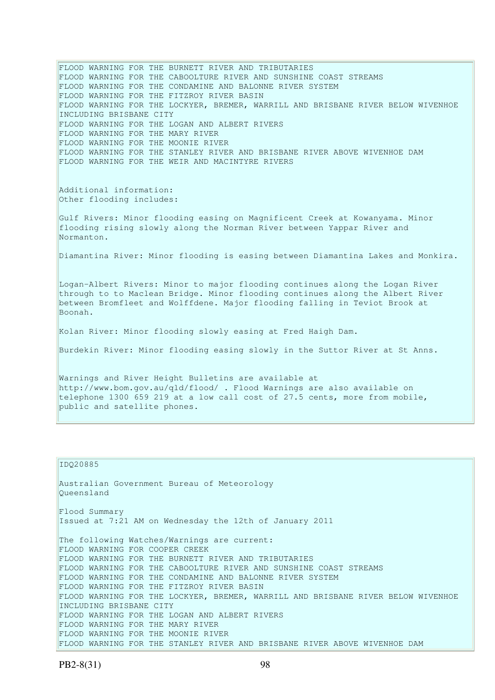FLOOD WARNING FOR THE BURNETT RIVER AND TRIBUTARIES FLOOD WARNING FOR THE CABOOLTURE RIVER AND SUNSHINE COAST STREAMS FLOOD WARNING FOR THE CONDAMINE AND BALONNE RIVER SYSTEM FLOOD WARNING FOR THE FITZROY RIVER BASIN FLOOD WARNING FOR THE LOCKYER, BREMER, WARRILL AND BRISBANE RIVER BELOW WIVENHOE INCLUDING BRISBANE CITY FLOOD WARNING FOR THE LOGAN AND ALBERT RIVERS FLOOD WARNING FOR THE MARY RIVER FLOOD WARNING FOR THE MOONIE RIVER FLOOD WARNING FOR THE STANLEY RIVER AND BRISBANE RIVER ABOVE WIVENHOE DAM FLOOD WARNING FOR THE WEIR AND MACINTYRE RIVERS Additional information: Other flooding includes: Gulf Rivers: Minor flooding easing on Magnificent Creek at Kowanyama. Minor flooding rising slowly along the Norman River between Yappar River and Normanton. Diamantina River: Minor flooding is easing between Diamantina Lakes and Monkira. Logan-Albert Rivers: Minor to major flooding continues along the Logan River through to to Maclean Bridge. Minor flooding continues along the Albert River between Bromfleet and Wolffdene. Major flooding falling in Teviot Brook at Boonah. Kolan River: Minor flooding slowly easing at Fred Haigh Dam. Burdekin River: Minor flooding easing slowly in the Suttor River at St Anns. Warnings and River Height Bulletins are available at http://www.bom.gov.au/qld/flood/ . Flood Warnings are also available on telephone 1300 659 219 at a low call cost of 27.5 cents, more from mobile, public and satellite phones.

```
IDQ20885
```
Australian Government Bureau of Meteorology Queensland Flood Summary Issued at 7:21 AM on Wednesday the 12th of January 2011 The following Watches/Warnings are current: FLOOD WARNING FOR COOPER CREEK FLOOD WARNING FOR THE BURNETT RIVER AND TRIBUTARIES FLOOD WARNING FOR THE CABOOLTURE RIVER AND SUNSHINE COAST STREAMS FLOOD WARNING FOR THE CONDAMINE AND BALONNE RIVER SYSTEM FLOOD WARNING FOR THE FITZROY RIVER BASIN FLOOD WARNING FOR THE LOCKYER, BREMER, WARRILL AND BRISBANE RIVER BELOW WIVENHOE INCLUDING BRISBANE CITY FLOOD WARNING FOR THE LOGAN AND ALBERT RIVERS FLOOD WARNING FOR THE MARY RIVER FLOOD WARNING FOR THE MOONIE RIVER FLOOD WARNING FOR THE STANLEY RIVER AND BRISBANE RIVER ABOVE WIVENHOE DAM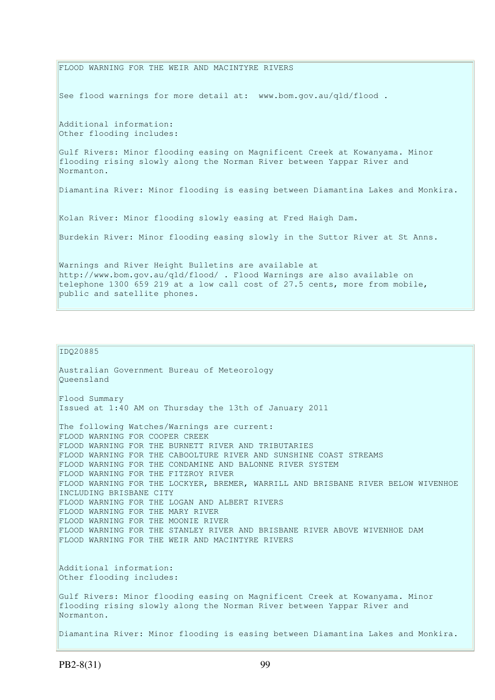FLOOD WARNING FOR THE WEIR AND MACINTYRE RIVERS See flood warnings for more detail at: www.bom.gov.au/qld/flood. Additional information: Other flooding includes: Gulf Rivers: Minor flooding easing on Magnificent Creek at Kowanyama. Minor flooding rising slowly along the Norman River between Yappar River and Normanton. Diamantina River: Minor flooding is easing between Diamantina Lakes and Monkira. Kolan River: Minor flooding slowly easing at Fred Haigh Dam. Burdekin River: Minor flooding easing slowly in the Suttor River at St Anns. Warnings and River Height Bulletins are available at http://www.bom.gov.au/qld/flood/ . Flood Warnings are also available on telephone 1300 659 219 at a low call cost of 27.5 cents, more from mobile, public and satellite phones.

```
IDQ20885
```
Australian Government Bureau of Meteorology Queensland Flood Summary Issued at 1:40 AM on Thursday the 13th of January 2011 The following Watches/Warnings are current: FLOOD WARNING FOR COOPER CREEK FLOOD WARNING FOR THE BURNETT RIVER AND TRIBUTARIES FLOOD WARNING FOR THE CABOOLTURE RIVER AND SUNSHINE COAST STREAMS FLOOD WARNING FOR THE CONDAMINE AND BALONNE RIVER SYSTEM FLOOD WARNING FOR THE FITZROY RIVER FLOOD WARNING FOR THE LOCKYER, BREMER, WARRILL AND BRISBANE RIVER BELOW WIVENHOE INCLUDING BRISBANE CITY FLOOD WARNING FOR THE LOGAN AND ALBERT RIVERS FLOOD WARNING FOR THE MARY RIVER FLOOD WARNING FOR THE MOONIE RIVER FLOOD WARNING FOR THE STANLEY RIVER AND BRISBANE RIVER ABOVE WIVENHOE DAM FLOOD WARNING FOR THE WEIR AND MACINTYRE RIVERS Additional information: Other flooding includes: Gulf Rivers: Minor flooding easing on Magnificent Creek at Kowanyama. Minor flooding rising slowly along the Norman River between Yappar River and Normanton. Diamantina River: Minor flooding is easing between Diamantina Lakes and Monkira.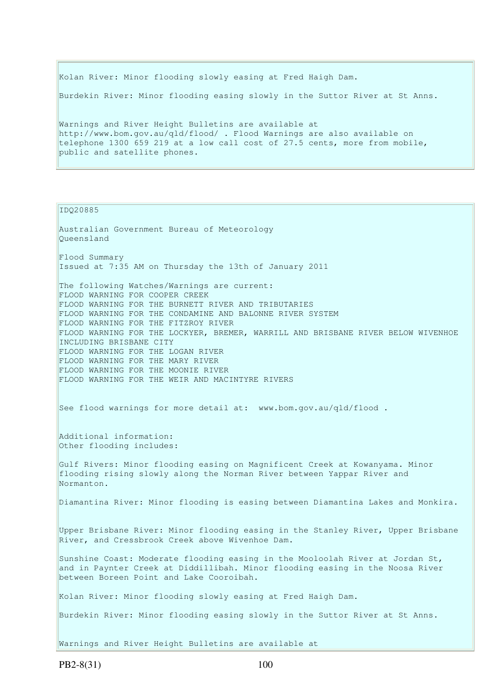Kolan River: Minor flooding slowly easing at Fred Haigh Dam.

Burdekin River: Minor flooding easing slowly in the Suttor River at St Anns.

Warnings and River Height Bulletins are available at http://www.bom.gov.au/qld/flood/ . Flood Warnings are also available on telephone 1300 659 219 at a low call cost of 27.5 cents, more from mobile, public and satellite phones.

IDQ20885

Australian Government Bureau of Meteorology Queensland Flood Summary Issued at 7:35 AM on Thursday the 13th of January 2011 The following Watches/Warnings are current: FLOOD WARNING FOR COOPER CREEK FLOOD WARNING FOR THE BURNETT RIVER AND TRIBUTARIES FLOOD WARNING FOR THE CONDAMINE AND BALONNE RIVER SYSTEM FLOOD WARNING FOR THE FITZROY RIVER FLOOD WARNING FOR THE LOCKYER, BREMER, WARRILL AND BRISBANE RIVER BELOW WIVENHOE INCLUDING BRISBANE CITY FLOOD WARNING FOR THE LOGAN RIVER FLOOD WARNING FOR THE MARY RIVER FLOOD WARNING FOR THE MOONIE RIVER FLOOD WARNING FOR THE WEIR AND MACINTYRE RIVERS See flood warnings for more detail at: www.bom.gov.au/qld/flood . Additional information: Other flooding includes: Gulf Rivers: Minor flooding easing on Magnificent Creek at Kowanyama. Minor flooding rising slowly along the Norman River between Yappar River and Normanton. Diamantina River: Minor flooding is easing between Diamantina Lakes and Monkira. Upper Brisbane River: Minor flooding easing in the Stanley River, Upper Brisbane River, and Cressbrook Creek above Wivenhoe Dam. Sunshine Coast: Moderate flooding easing in the Mooloolah River at Jordan St, and in Paynter Creek at Diddillibah. Minor flooding easing in the Noosa River between Boreen Point and Lake Cooroibah. Kolan River: Minor flooding slowly easing at Fred Haigh Dam. Burdekin River: Minor flooding easing slowly in the Suttor River at St Anns. Warnings and River Height Bulletins are available at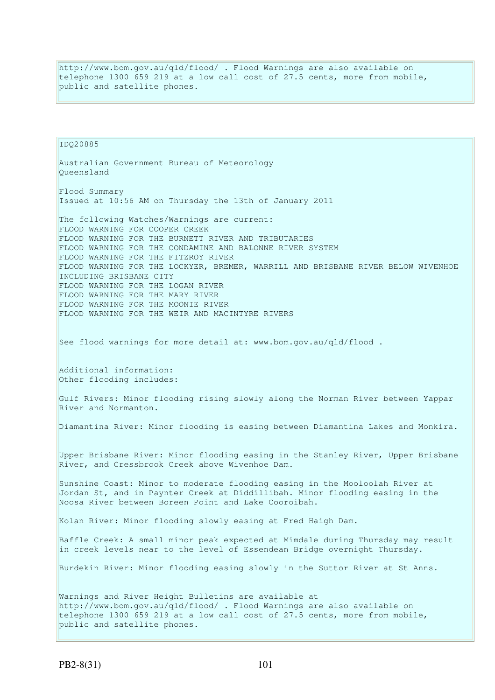http://www.bom.gov.au/qld/flood/ . Flood Warnings are also available on telephone 1300 659 219 at a low call cost of 27.5 cents, more from mobile, public and satellite phones.

IDQ20885 Australian Government Bureau of Meteorology Queensland Flood Summary Issued at 10:56 AM on Thursday the 13th of January 2011 The following Watches/Warnings are current: FLOOD WARNING FOR COOPER CREEK FLOOD WARNING FOR THE BURNETT RIVER AND TRIBUTARIES FLOOD WARNING FOR THE CONDAMINE AND BALONNE RIVER SYSTEM FLOOD WARNING FOR THE FITZROY RIVER FLOOD WARNING FOR THE LOCKYER, BREMER, WARRILL AND BRISBANE RIVER BELOW WIVENHOE INCLUDING BRISBANE CITY FLOOD WARNING FOR THE LOGAN RIVER FLOOD WARNING FOR THE MARY RIVER FLOOD WARNING FOR THE MOONIE RIVER FLOOD WARNING FOR THE WEIR AND MACINTYRE RIVERS See flood warnings for more detail at: www.bom.gov.au/qld/flood . Additional information: Other flooding includes: Gulf Rivers: Minor flooding rising slowly along the Norman River between Yappar River and Normanton. Diamantina River: Minor flooding is easing between Diamantina Lakes and Monkira. Upper Brisbane River: Minor flooding easing in the Stanley River, Upper Brisbane River, and Cressbrook Creek above Wivenhoe Dam. Sunshine Coast: Minor to moderate flooding easing in the Mooloolah River at Jordan St, and in Paynter Creek at Diddillibah. Minor flooding easing in the Noosa River between Boreen Point and Lake Cooroibah. Kolan River: Minor flooding slowly easing at Fred Haigh Dam. Baffle Creek: A small minor peak expected at Mimdale during Thursday may result in creek levels near to the level of Essendean Bridge overnight Thursday. Burdekin River: Minor flooding easing slowly in the Suttor River at St Anns. Warnings and River Height Bulletins are available at http://www.bom.gov.au/qld/flood/ . Flood Warnings are also available on telephone 1300 659 219 at a low call cost of 27.5 cents, more from mobile, public and satellite phones.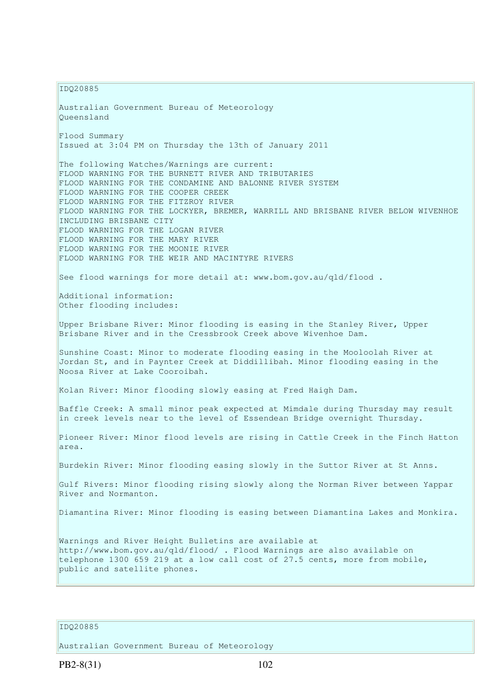IDQ20885

Australian Government Bureau of Meteorology Queensland Flood Summary Issued at 3:04 PM on Thursday the 13th of January 2011 The following Watches/Warnings are current: FLOOD WARNING FOR THE BURNETT RIVER AND TRIBUTARIES FLOOD WARNING FOR THE CONDAMINE AND BALONNE RIVER SYSTEM FLOOD WARNING FOR THE COOPER CREEK FLOOD WARNING FOR THE FITZROY RIVER FLOOD WARNING FOR THE LOCKYER, BREMER, WARRILL AND BRISBANE RIVER BELOW WIVENHOE INCLUDING BRISBANE CITY FLOOD WARNING FOR THE LOGAN RIVER FLOOD WARNING FOR THE MARY RIVER FLOOD WARNING FOR THE MOONIE RIVER FLOOD WARNING FOR THE WEIR AND MACINTYRE RIVERS See flood warnings for more detail at: www.bom.gov.au/qld/flood. Additional information: Other flooding includes: Upper Brisbane River: Minor flooding is easing in the Stanley River, Upper Brisbane River and in the Cressbrook Creek above Wivenhoe Dam. Sunshine Coast: Minor to moderate flooding easing in the Mooloolah River at Jordan St, and in Paynter Creek at Diddillibah. Minor flooding easing in the Noosa River at Lake Cooroibah. Kolan River: Minor flooding slowly easing at Fred Haigh Dam. Baffle Creek: A small minor peak expected at Mimdale during Thursday may result in creek levels near to the level of Essendean Bridge overnight Thursday. Pioneer River: Minor flood levels are rising in Cattle Creek in the Finch Hatton area. Burdekin River: Minor flooding easing slowly in the Suttor River at St Anns. Gulf Rivers: Minor flooding rising slowly along the Norman River between Yappar River and Normanton. Diamantina River: Minor flooding is easing between Diamantina Lakes and Monkira. Warnings and River Height Bulletins are available at http://www.bom.gov.au/qld/flood/ . Flood Warnings are also available on telephone 1300 659 219 at a low call cost of 27.5 cents, more from mobile, public and satellite phones.

### IDQ20885

Australian Government Bureau of Meteorology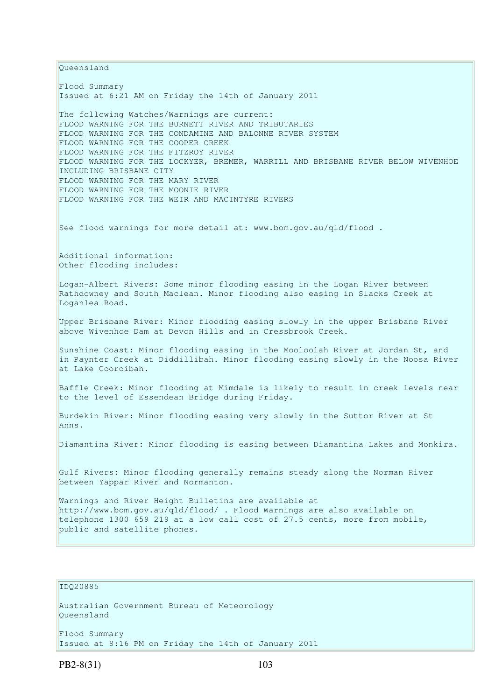Queensland Flood Summary Issued at 6:21 AM on Friday the 14th of January 2011 The following Watches/Warnings are current: FLOOD WARNING FOR THE BURNETT RIVER AND TRIBUTARIES FLOOD WARNING FOR THE CONDAMINE AND BALONNE RIVER SYSTEM FLOOD WARNING FOR THE COOPER CREEK FLOOD WARNING FOR THE FITZROY RIVER FLOOD WARNING FOR THE LOCKYER, BREMER, WARRILL AND BRISBANE RIVER BELOW WIVENHOE INCLUDING BRISBANE CITY FLOOD WARNING FOR THE MARY RIVER FLOOD WARNING FOR THE MOONIE RIVER FLOOD WARNING FOR THE WEIR AND MACINTYRE RIVERS See flood warnings for more detail at: www.bom.gov.au/qld/flood. Additional information: Other flooding includes: Logan-Albert Rivers: Some minor flooding easing in the Logan River between Rathdowney and South Maclean. Minor flooding also easing in Slacks Creek at Loganlea Road. Upper Brisbane River: Minor flooding easing slowly in the upper Brisbane River above Wivenhoe Dam at Devon Hills and in Cressbrook Creek. Sunshine Coast: Minor flooding easing in the Mooloolah River at Jordan St, and in Paynter Creek at Diddillibah. Minor flooding easing slowly in the Noosa River at Lake Cooroibah. Baffle Creek: Minor flooding at Mimdale is likely to result in creek levels near to the level of Essendean Bridge during Friday. Burdekin River: Minor flooding easing very slowly in the Suttor River at St Anns. Diamantina River: Minor flooding is easing between Diamantina Lakes and Monkira. Gulf Rivers: Minor flooding generally remains steady along the Norman River between Yappar River and Normanton. Warnings and River Height Bulletins are available at http://www.bom.gov.au/qld/flood/ . Flood Warnings are also available on telephone 1300 659 219 at a low call cost of 27.5 cents, more from mobile, public and satellite phones.

## IDQ20885

Australian Government Bureau of Meteorology Queensland

Flood Summary Issued at 8:16 PM on Friday the 14th of January 2011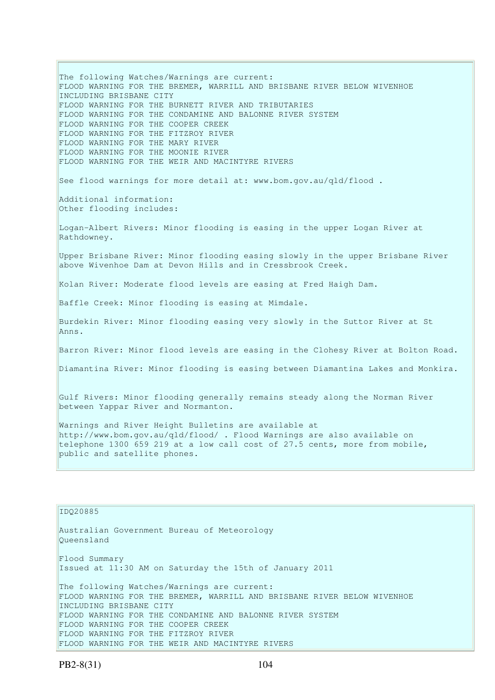The following Watches/Warnings are current: FLOOD WARNING FOR THE BREMER, WARRILL AND BRISBANE RIVER BELOW WIVENHOE INCLUDING BRISBANE CITY FLOOD WARNING FOR THE BURNETT RIVER AND TRIBUTARIES FLOOD WARNING FOR THE CONDAMINE AND BALONNE RIVER SYSTEM FLOOD WARNING FOR THE COOPER CREEK FLOOD WARNING FOR THE FITZROY RIVER FLOOD WARNING FOR THE MARY RIVER FLOOD WARNING FOR THE MOONIE RIVER FLOOD WARNING FOR THE WEIR AND MACINTYRE RIVERS See flood warnings for more detail at: www.bom.gov.au/qld/flood. Additional information: Other flooding includes: Logan-Albert Rivers: Minor flooding is easing in the upper Logan River at Rathdowney. Upper Brisbane River: Minor flooding easing slowly in the upper Brisbane River above Wivenhoe Dam at Devon Hills and in Cressbrook Creek. Kolan River: Moderate flood levels are easing at Fred Haigh Dam. Baffle Creek: Minor flooding is easing at Mimdale. Burdekin River: Minor flooding easing very slowly in the Suttor River at St Anns. Barron River: Minor flood levels are easing in the Clohesy River at Bolton Road. Diamantina River: Minor flooding is easing between Diamantina Lakes and Monkira. Gulf Rivers: Minor flooding generally remains steady along the Norman River between Yappar River and Normanton. Warnings and River Height Bulletins are available at http://www.bom.gov.au/qld/flood/ . Flood Warnings are also available on telephone 1300 659 219 at a low call cost of 27.5 cents, more from mobile, public and satellite phones. IDQ20885 Australian Government Bureau of Meteorology

Flood Summary Issued at 11:30 AM on Saturday the 15th of January 2011 The following Watches/Warnings are current: FLOOD WARNING FOR THE BREMER, WARRILL AND BRISBANE RIVER BELOW WIVENHOE INCLUDING BRISBANE CITY FLOOD WARNING FOR THE CONDAMINE AND BALONNE RIVER SYSTEM

FLOOD WARNING FOR THE COOPER CREEK FLOOD WARNING FOR THE FITZROY RIVER

FLOOD WARNING FOR THE WEIR AND MACINTYRE RIVERS

Queensland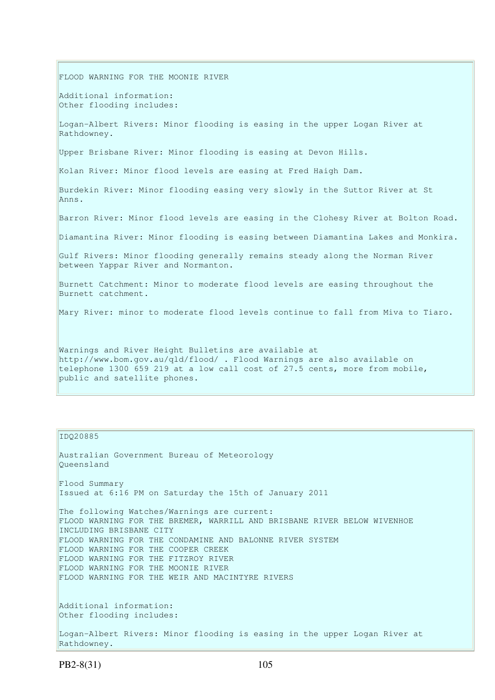FLOOD WARNING FOR THE MOONIE RIVER Additional information: Other flooding includes: Logan-Albert Rivers: Minor flooding is easing in the upper Logan River at Rathdowney. Upper Brisbane River: Minor flooding is easing at Devon Hills. Kolan River: Minor flood levels are easing at Fred Haigh Dam. Burdekin River: Minor flooding easing very slowly in the Suttor River at St Anns. Barron River: Minor flood levels are easing in the Clohesy River at Bolton Road. Diamantina River: Minor flooding is easing between Diamantina Lakes and Monkira. Gulf Rivers: Minor flooding generally remains steady along the Norman River between Yappar River and Normanton. Burnett Catchment: Minor to moderate flood levels are easing throughout the Burnett catchment. Mary River: minor to moderate flood levels continue to fall from Miva to Tiaro. Warnings and River Height Bulletins are available at http://www.bom.gov.au/qld/flood/ . Flood Warnings are also available on

telephone 1300 659 219 at a low call cost of 27.5 cents, more from mobile, public and satellite phones.

### IDQ20885

Australian Government Bureau of Meteorology Queensland Flood Summary Issued at 6:16 PM on Saturday the 15th of January 2011 The following Watches/Warnings are current: FLOOD WARNING FOR THE BREMER, WARRILL AND BRISBANE RIVER BELOW WIVENHOE INCLUDING BRISBANE CITY FLOOD WARNING FOR THE CONDAMINE AND BALONNE RIVER SYSTEM FLOOD WARNING FOR THE COOPER CREEK FLOOD WARNING FOR THE FITZROY RIVER FLOOD WARNING FOR THE MOONIE RIVER FLOOD WARNING FOR THE WEIR AND MACINTYRE RIVERS Additional information: Other flooding includes: Logan-Albert Rivers: Minor flooding is easing in the upper Logan River at

Rathdowney.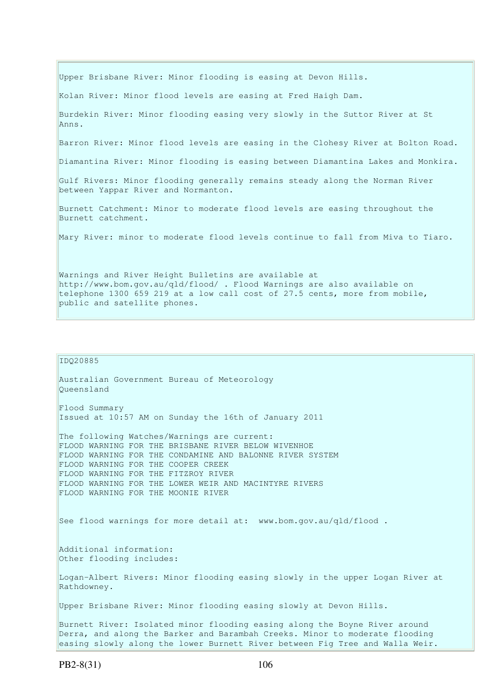Upper Brisbane River: Minor flooding is easing at Devon Hills. Kolan River: Minor flood levels are easing at Fred Haigh Dam. Burdekin River: Minor flooding easing very slowly in the Suttor River at St Anns. Barron River: Minor flood levels are easing in the Clohesy River at Bolton Road. Diamantina River: Minor flooding is easing between Diamantina Lakes and Monkira. Gulf Rivers: Minor flooding generally remains steady along the Norman River between Yappar River and Normanton. Burnett Catchment: Minor to moderate flood levels are easing throughout the Burnett catchment. Mary River: minor to moderate flood levels continue to fall from Miva to Tiaro. Warnings and River Height Bulletins are available at

http://www.bom.gov.au/qld/flood/ . Flood Warnings are also available on telephone 1300 659 219 at a low call cost of 27.5 cents, more from mobile, public and satellite phones.

IDQ20885 Australian Government Bureau of Meteorology Queensland Flood Summary Issued at 10:57 AM on Sunday the 16th of January 2011 The following Watches/Warnings are current: FLOOD WARNING FOR THE BRISBANE RIVER BELOW WIVENHOE FLOOD WARNING FOR THE CONDAMINE AND BALONNE RIVER SYSTEM FLOOD WARNING FOR THE COOPER CREEK FLOOD WARNING FOR THE FITZROY RIVER FLOOD WARNING FOR THE LOWER WEIR AND MACINTYRE RIVERS FLOOD WARNING FOR THE MOONIE RIVER See flood warnings for more detail at: www.bom.gov.au/qld/flood. Additional information: Other flooding includes: Logan-Albert Rivers: Minor flooding easing slowly in the upper Logan River at Rathdowney. Upper Brisbane River: Minor flooding easing slowly at Devon Hills. Burnett River: Isolated minor flooding easing along the Boyne River around Derra, and along the Barker and Barambah Creeks. Minor to moderate flooding easing slowly along the lower Burnett River between Fig Tree and Walla Weir.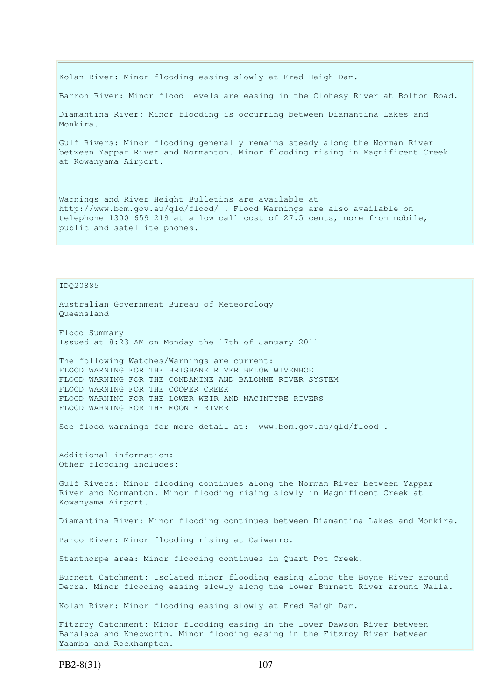Kolan River: Minor flooding easing slowly at Fred Haigh Dam.

Barron River: Minor flood levels are easing in the Clohesy River at Bolton Road.

Diamantina River: Minor flooding is occurring between Diamantina Lakes and Monkira.

Gulf Rivers: Minor flooding generally remains steady along the Norman River between Yappar River and Normanton. Minor flooding rising in Magnificent Creek at Kowanyama Airport.

Warnings and River Height Bulletins are available at http://www.bom.gov.au/qld/flood/ . Flood Warnings are also available on telephone 1300 659 219 at a low call cost of 27.5 cents, more from mobile, public and satellite phones.

IDQ20885

Australian Government Bureau of Meteorology Queensland Flood Summary Issued at 8:23 AM on Monday the 17th of January 2011

The following Watches/Warnings are current: FLOOD WARNING FOR THE BRISBANE RIVER BELOW WIVENHOE FLOOD WARNING FOR THE CONDAMINE AND BALONNE RIVER SYSTEM FLOOD WARNING FOR THE COOPER CREEK FLOOD WARNING FOR THE LOWER WEIR AND MACINTYRE RIVERS FLOOD WARNING FOR THE MOONIE RIVER

See flood warnings for more detail at:  $www.bom.gov.au/qld/flood$ .

Additional information: Other flooding includes:

Gulf Rivers: Minor flooding continues along the Norman River between Yappar River and Normanton. Minor flooding rising slowly in Magnificent Creek at Kowanyama Airport.

Diamantina River: Minor flooding continues between Diamantina Lakes and Monkira.

Paroo River: Minor flooding rising at Caiwarro.

Stanthorpe area: Minor flooding continues in Quart Pot Creek.

Burnett Catchment: Isolated minor flooding easing along the Boyne River around Derra. Minor flooding easing slowly along the lower Burnett River around Walla.

Kolan River: Minor flooding easing slowly at Fred Haigh Dam.

Fitzroy Catchment: Minor flooding easing in the lower Dawson River between Baralaba and Knebworth. Minor flooding easing in the Fitzroy River between Yaamba and Rockhampton.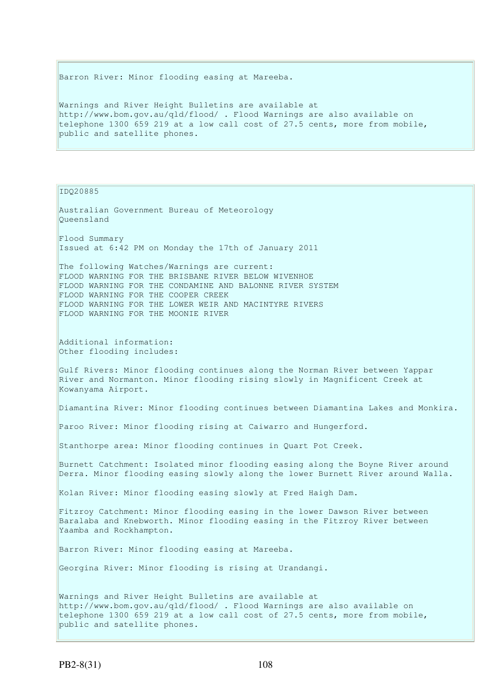Barron River: Minor flooding easing at Mareeba.

Warnings and River Height Bulletins are available at http://www.bom.gov.au/qld/flood/ . Flood Warnings are also available on telephone 1300 659 219 at a low call cost of 27.5 cents, more from mobile, public and satellite phones.

IDQ20885

Australian Government Bureau of Meteorology Queensland Flood Summary Issued at 6:42 PM on Monday the 17th of January 2011 The following Watches/Warnings are current: FLOOD WARNING FOR THE BRISBANE RIVER BELOW WIVENHOE FLOOD WARNING FOR THE CONDAMINE AND BALONNE RIVER SYSTEM FLOOD WARNING FOR THE COOPER CREEK FLOOD WARNING FOR THE LOWER WEIR AND MACINTYRE RIVERS FLOOD WARNING FOR THE MOONIE RIVER Additional information: Other flooding includes: Gulf Rivers: Minor flooding continues along the Norman River between Yappar River and Normanton. Minor flooding rising slowly in Magnificent Creek at Kowanyama Airport. Diamantina River: Minor flooding continues between Diamantina Lakes and Monkira. Paroo River: Minor flooding rising at Caiwarro and Hungerford. Stanthorpe area: Minor flooding continues in Quart Pot Creek. Burnett Catchment: Isolated minor flooding easing along the Boyne River around Derra. Minor flooding easing slowly along the lower Burnett River around Walla. Kolan River: Minor flooding easing slowly at Fred Haigh Dam. Fitzroy Catchment: Minor flooding easing in the lower Dawson River between Baralaba and Knebworth. Minor flooding easing in the Fitzroy River between Yaamba and Rockhampton. Barron River: Minor flooding easing at Mareeba. Georgina River: Minor flooding is rising at Urandangi. Warnings and River Height Bulletins are available at http://www.bom.gov.au/qld/flood/ . Flood Warnings are also available on telephone 1300 659 219 at a low call cost of 27.5 cents, more from mobile,

public and satellite phones.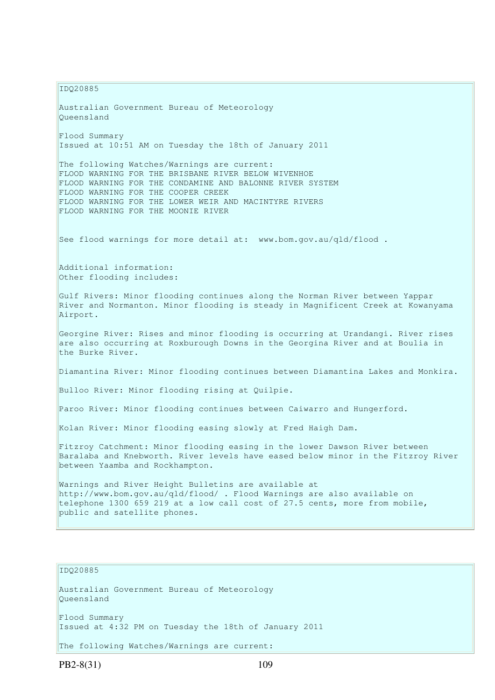IDQ20885 Australian Government Bureau of Meteorology Queensland Flood Summary Issued at 10:51 AM on Tuesday the 18th of January 2011 The following Watches/Warnings are current: FLOOD WARNING FOR THE BRISBANE RIVER BELOW WIVENHOE FLOOD WARNING FOR THE CONDAMINE AND BALONNE RIVER SYSTEM FLOOD WARNING FOR THE COOPER CREEK FLOOD WARNING FOR THE LOWER WEIR AND MACINTYRE RIVERS FLOOD WARNING FOR THE MOONIE RIVER See flood warnings for more detail at: www.bom.gov.au/qld/flood. Additional information: Other flooding includes: Gulf Rivers: Minor flooding continues along the Norman River between Yappar River and Normanton. Minor flooding is steady in Magnificent Creek at Kowanyama Airport. Georgine River: Rises and minor flooding is occurring at Urandangi. River rises are also occurring at Roxburough Downs in the Georgina River and at Boulia in the Burke River. Diamantina River: Minor flooding continues between Diamantina Lakes and Monkira. Bulloo River: Minor flooding rising at Quilpie. Paroo River: Minor flooding continues between Caiwarro and Hungerford. Kolan River: Minor flooding easing slowly at Fred Haigh Dam. Fitzroy Catchment: Minor flooding easing in the lower Dawson River between Baralaba and Knebworth. River levels have eased below minor in the Fitzroy River between Yaamba and Rockhampton. Warnings and River Height Bulletins are available at http://www.bom.gov.au/qld/flood/ . Flood Warnings are also available on telephone 1300 659 219 at a low call cost of 27.5 cents, more from mobile, public and satellite phones.

## IDQ20885

Australian Government Bureau of Meteorology Queensland

Flood Summary Issued at 4:32 PM on Tuesday the 18th of January 2011

The following Watches/Warnings are current: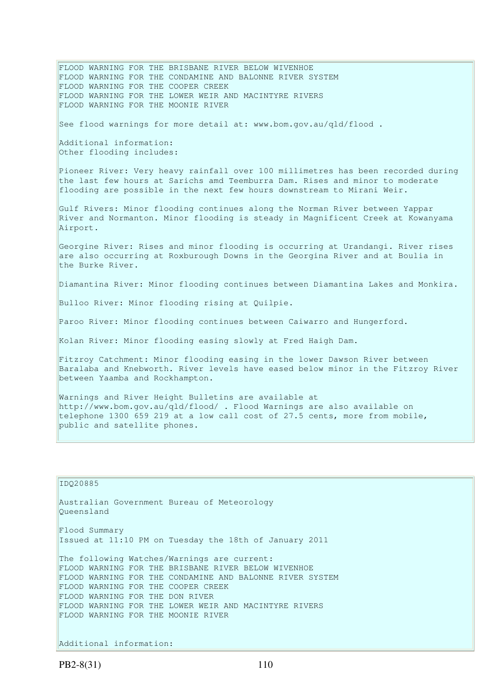FLOOD WARNING FOR THE BRISBANE RIVER BELOW WIVENHOE FLOOD WARNING FOR THE CONDAMINE AND BALONNE RIVER SYSTEM FLOOD WARNING FOR THE COOPER CREEK FLOOD WARNING FOR THE LOWER WEIR AND MACINTYRE RIVERS FLOOD WARNING FOR THE MOONIE RIVER See flood warnings for more detail at: www.bom.gov.au/qld/flood . Additional information: Other flooding includes: Pioneer River: Very heavy rainfall over 100 millimetres has been recorded during the last few hours at Sarichs amd Teemburra Dam. Rises and minor to moderate flooding are possible in the next few hours downstream to Mirani Weir. Gulf Rivers: Minor flooding continues along the Norman River between Yappar River and Normanton. Minor flooding is steady in Magnificent Creek at Kowanyama Airport. Georgine River: Rises and minor flooding is occurring at Urandangi. River rises are also occurring at Roxburough Downs in the Georgina River and at Boulia in the Burke River. Diamantina River: Minor flooding continues between Diamantina Lakes and Monkira. Bulloo River: Minor flooding rising at Quilpie. Paroo River: Minor flooding continues between Caiwarro and Hungerford. Kolan River: Minor flooding easing slowly at Fred Haigh Dam. Fitzroy Catchment: Minor flooding easing in the lower Dawson River between Baralaba and Knebworth. River levels have eased below minor in the Fitzroy River between Yaamba and Rockhampton. Warnings and River Height Bulletins are available at http://www.bom.gov.au/qld/flood/ . Flood Warnings are also available on telephone 1300 659 219 at a low call cost of 27.5 cents, more from mobile, public and satellite phones.

## IDQ20885

Queensland Flood Summary Issued at 11:10 PM on Tuesday the 18th of January 2011

Australian Government Bureau of Meteorology

The following Watches/Warnings are current: FLOOD WARNING FOR THE BRISBANE RIVER BELOW WIVENHOE FLOOD WARNING FOR THE CONDAMINE AND BALONNE RIVER SYSTEM FLOOD WARNING FOR THE COOPER CREEK FLOOD WARNING FOR THE DON RIVER FLOOD WARNING FOR THE LOWER WEIR AND MACINTYRE RIVERS FLOOD WARNING FOR THE MOONIE RIVER

Additional information: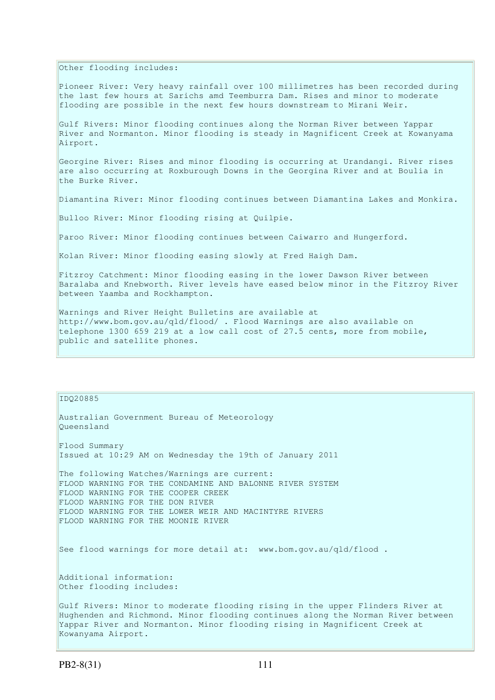Other flooding includes:

Pioneer River: Very heavy rainfall over 100 millimetres has been recorded during the last few hours at Sarichs amd Teemburra Dam. Rises and minor to moderate flooding are possible in the next few hours downstream to Mirani Weir.

Gulf Rivers: Minor flooding continues along the Norman River between Yappar River and Normanton. Minor flooding is steady in Magnificent Creek at Kowanyama Airport.

Georgine River: Rises and minor flooding is occurring at Urandangi. River rises are also occurring at Roxburough Downs in the Georgina River and at Boulia in the Burke River.

Diamantina River: Minor flooding continues between Diamantina Lakes and Monkira.

Bulloo River: Minor flooding rising at Quilpie.

Paroo River: Minor flooding continues between Caiwarro and Hungerford.

Kolan River: Minor flooding easing slowly at Fred Haigh Dam.

Fitzroy Catchment: Minor flooding easing in the lower Dawson River between Baralaba and Knebworth. River levels have eased below minor in the Fitzroy River between Yaamba and Rockhampton.

Warnings and River Height Bulletins are available at http://www.bom.gov.au/qld/flood/ . Flood Warnings are also available on telephone 1300 659 219 at a low call cost of 27.5 cents, more from mobile, public and satellite phones.

## IDQ20885

Australian Government Bureau of Meteorology Queensland

Flood Summary Issued at 10:29 AM on Wednesday the 19th of January 2011

The following Watches/Warnings are current: FLOOD WARNING FOR THE CONDAMINE AND BALONNE RIVER SYSTEM FLOOD WARNING FOR THE COOPER CREEK FLOOD WARNING FOR THE DON RIVER FLOOD WARNING FOR THE LOWER WEIR AND MACINTYRE RIVERS FLOOD WARNING FOR THE MOONIE RIVER

See flood warnings for more detail at: www.bom.gov.au/qld/flood.

Additional information: Other flooding includes:

Gulf Rivers: Minor to moderate flooding rising in the upper Flinders River at Hughenden and Richmond. Minor flooding continues along the Norman River between Yappar River and Normanton. Minor flooding rising in Magnificent Creek at Kowanyama Airport.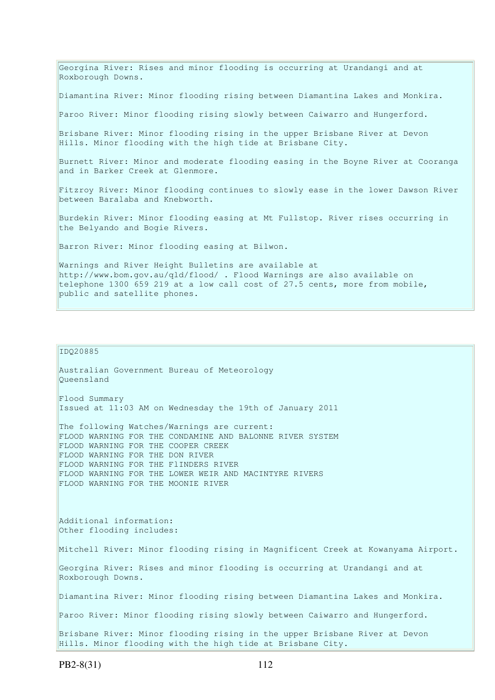Georgina River: Rises and minor flooding is occurring at Urandangi and at Roxborough Downs. Diamantina River: Minor flooding rising between Diamantina Lakes and Monkira. Paroo River: Minor flooding rising slowly between Caiwarro and Hungerford. Brisbane River: Minor flooding rising in the upper Brisbane River at Devon Hills. Minor flooding with the high tide at Brisbane City. Burnett River: Minor and moderate flooding easing in the Boyne River at Cooranga and in Barker Creek at Glenmore. Fitzroy River: Minor flooding continues to slowly ease in the lower Dawson River between Baralaba and Knebworth. Burdekin River: Minor flooding easing at Mt Fullstop. River rises occurring in the Belyando and Bogie Rivers. Barron River: Minor flooding easing at Bilwon. Warnings and River Height Bulletins are available at http://www.bom.gov.au/qld/flood/ . Flood Warnings are also available on telephone 1300 659 219 at a low call cost of 27.5 cents, more from mobile, public and satellite phones.

#### IDQ20885

Australian Government Bureau of Meteorology Queensland Flood Summary Issued at 11:03 AM on Wednesday the 19th of January 2011 The following Watches/Warnings are current: FLOOD WARNING FOR THE CONDAMINE AND BALONNE RIVER SYSTEM FLOOD WARNING FOR THE COOPER CREEK FLOOD WARNING FOR THE DON RIVER FLOOD WARNING FOR THE FlINDERS RIVER FLOOD WARNING FOR THE LOWER WEIR AND MACINTYRE RIVERS FLOOD WARNING FOR THE MOONIE RIVER

Additional information: Other flooding includes:

Mitchell River: Minor flooding rising in Magnificent Creek at Kowanyama Airport.

Georgina River: Rises and minor flooding is occurring at Urandangi and at Roxborough Downs.

Diamantina River: Minor flooding rising between Diamantina Lakes and Monkira.

Paroo River: Minor flooding rising slowly between Caiwarro and Hungerford.

Brisbane River: Minor flooding rising in the upper Brisbane River at Devon Hills. Minor flooding with the high tide at Brisbane City.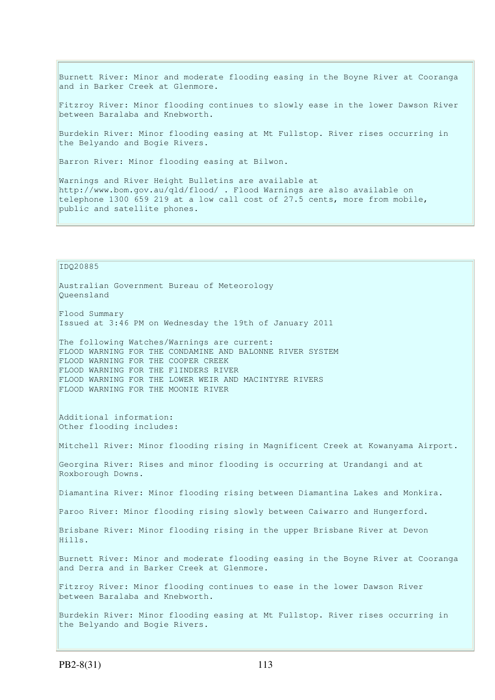Burnett River: Minor and moderate flooding easing in the Boyne River at Cooranga and in Barker Creek at Glenmore.

Fitzroy River: Minor flooding continues to slowly ease in the lower Dawson River between Baralaba and Knebworth.

Burdekin River: Minor flooding easing at Mt Fullstop. River rises occurring in the Belyando and Bogie Rivers.

Barron River: Minor flooding easing at Bilwon.

Warnings and River Height Bulletins are available at http://www.bom.gov.au/qld/flood/ . Flood Warnings are also available on telephone 1300 659 219 at a low call cost of 27.5 cents, more from mobile, public and satellite phones.

IDQ20885

Australian Government Bureau of Meteorology Queensland

Flood Summary Issued at 3:46 PM on Wednesday the 19th of January 2011

The following Watches/Warnings are current: FLOOD WARNING FOR THE CONDAMINE AND BALONNE RIVER SYSTEM FLOOD WARNING FOR THE COOPER CREEK FLOOD WARNING FOR THE FlINDERS RIVER FLOOD WARNING FOR THE LOWER WEIR AND MACINTYRE RIVERS FLOOD WARNING FOR THE MOONIE RIVER

Additional information: Other flooding includes:

Mitchell River: Minor flooding rising in Magnificent Creek at Kowanyama Airport.

Georgina River: Rises and minor flooding is occurring at Urandangi and at Roxborough Downs.

Diamantina River: Minor flooding rising between Diamantina Lakes and Monkira.

Paroo River: Minor flooding rising slowly between Caiwarro and Hungerford.

Brisbane River: Minor flooding rising in the upper Brisbane River at Devon Hills.

Burnett River: Minor and moderate flooding easing in the Boyne River at Cooranga and Derra and in Barker Creek at Glenmore.

Fitzroy River: Minor flooding continues to ease in the lower Dawson River between Baralaba and Knebworth.

Burdekin River: Minor flooding easing at Mt Fullstop. River rises occurring in the Belyando and Bogie Rivers.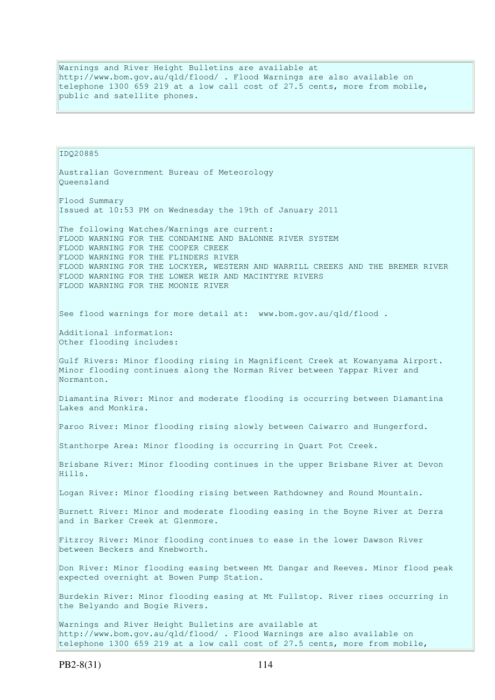Warnings and River Height Bulletins are available at http://www.bom.gov.au/qld/flood/ . Flood Warnings are also available on telephone 1300 659 219 at a low call cost of 27.5 cents, more from mobile, public and satellite phones.

IDQ20885 Australian Government Bureau of Meteorology Queensland Flood Summary Issued at 10:53 PM on Wednesday the 19th of January 2011 The following Watches/Warnings are current: FLOOD WARNING FOR THE CONDAMINE AND BALONNE RIVER SYSTEM FLOOD WARNING FOR THE COOPER CREEK FLOOD WARNING FOR THE FLINDERS RIVER FLOOD WARNING FOR THE LOCKYER, WESTERN AND WARRILL CREEKS AND THE BREMER RIVER FLOOD WARNING FOR THE LOWER WEIR AND MACINTYRE RIVERS FLOOD WARNING FOR THE MOONIE RIVER See flood warnings for more detail at: www.bom.gov.au/qld/flood. Additional information: Other flooding includes: Gulf Rivers: Minor flooding rising in Magnificent Creek at Kowanyama Airport. Minor flooding continues along the Norman River between Yappar River and Normanton. Diamantina River: Minor and moderate flooding is occurring between Diamantina Lakes and Monkira. Paroo River: Minor flooding rising slowly between Caiwarro and Hungerford. Stanthorpe Area: Minor flooding is occurring in Quart Pot Creek. Brisbane River: Minor flooding continues in the upper Brisbane River at Devon Hills. Logan River: Minor flooding rising between Rathdowney and Round Mountain. Burnett River: Minor and moderate flooding easing in the Boyne River at Derra and in Barker Creek at Glenmore. Fitzroy River: Minor flooding continues to ease in the lower Dawson River between Beckers and Knebworth. Don River: Minor flooding easing between Mt Dangar and Reeves. Minor flood peak expected overnight at Bowen Pump Station. Burdekin River: Minor flooding easing at Mt Fullstop. River rises occurring in the Belyando and Bogie Rivers. Warnings and River Height Bulletins are available at http://www.bom.gov.au/qld/flood/ . Flood Warnings are also available on telephone 1300 659 219 at a low call cost of 27.5 cents, more from mobile,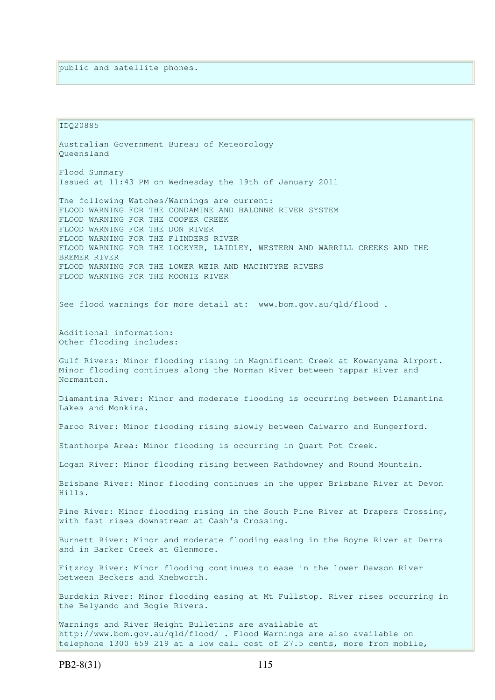IDQ20885 Australian Government Bureau of Meteorology Queensland Flood Summary Issued at 11:43 PM on Wednesday the 19th of January 2011 The following Watches/Warnings are current: FLOOD WARNING FOR THE CONDAMINE AND BALONNE RIVER SYSTEM FLOOD WARNING FOR THE COOPER CREEK FLOOD WARNING FOR THE DON RIVER FLOOD WARNING FOR THE FlINDERS RIVER FLOOD WARNING FOR THE LOCKYER, LAIDLEY, WESTERN AND WARRILL CREEKS AND THE BREMER RIVER FLOOD WARNING FOR THE LOWER WEIR AND MACINTYRE RIVERS FLOOD WARNING FOR THE MOONIE RIVER See flood warnings for more detail at: www.bom.gov.au/qld/flood. Additional information: Other flooding includes: Gulf Rivers: Minor flooding rising in Magnificent Creek at Kowanyama Airport. Minor flooding continues along the Norman River between Yappar River and Normanton. Diamantina River: Minor and moderate flooding is occurring between Diamantina Lakes and Monkira. Paroo River: Minor flooding rising slowly between Caiwarro and Hungerford. Stanthorpe Area: Minor flooding is occurring in Quart Pot Creek. Logan River: Minor flooding rising between Rathdowney and Round Mountain. Brisbane River: Minor flooding continues in the upper Brisbane River at Devon Hills. Pine River: Minor flooding rising in the South Pine River at Drapers Crossing, with fast rises downstream at Cash's Crossing. Burnett River: Minor and moderate flooding easing in the Boyne River at Derra and in Barker Creek at Glenmore. Fitzroy River: Minor flooding continues to ease in the lower Dawson River between Beckers and Knebworth. Burdekin River: Minor flooding easing at Mt Fullstop. River rises occurring in the Belyando and Bogie Rivers. Warnings and River Height Bulletins are available at http://www.bom.gov.au/qld/flood/ . Flood Warnings are also available on telephone 1300 659 219 at a low call cost of 27.5 cents, more from mobile,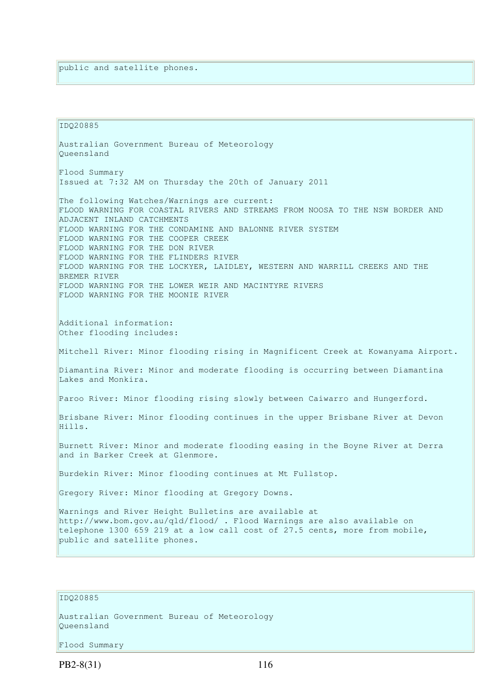IDQ20885 Australian Government Bureau of Meteorology Queensland Flood Summary Issued at 7:32 AM on Thursday the 20th of January 2011 The following Watches/Warnings are current: FLOOD WARNING FOR COASTAL RIVERS AND STREAMS FROM NOOSA TO THE NSW BORDER AND ADJACENT INLAND CATCHMENTS FLOOD WARNING FOR THE CONDAMINE AND BALONNE RIVER SYSTEM FLOOD WARNING FOR THE COOPER CREEK FLOOD WARNING FOR THE DON RIVER FLOOD WARNING FOR THE FLINDERS RIVER FLOOD WARNING FOR THE LOCKYER, LAIDLEY, WESTERN AND WARRILL CREEKS AND THE BREMER RIVER FLOOD WARNING FOR THE LOWER WEIR AND MACINTYRE RIVERS FLOOD WARNING FOR THE MOONIE RIVER Additional information: Other flooding includes: Mitchell River: Minor flooding rising in Magnificent Creek at Kowanyama Airport. Diamantina River: Minor and moderate flooding is occurring between Diamantina Lakes and Monkira. Paroo River: Minor flooding rising slowly between Caiwarro and Hungerford. Brisbane River: Minor flooding continues in the upper Brisbane River at Devon Hills. Burnett River: Minor and moderate flooding easing in the Boyne River at Derra and in Barker Creek at Glenmore. Burdekin River: Minor flooding continues at Mt Fullstop. Gregory River: Minor flooding at Gregory Downs. Warnings and River Height Bulletins are available at http://www.bom.gov.au/qld/flood/ . Flood Warnings are also available on telephone 1300 659 219 at a low call cost of 27.5 cents, more from mobile, public and satellite phones.

## IDQ20885

Australian Government Bureau of Meteorology Queensland

Flood Summary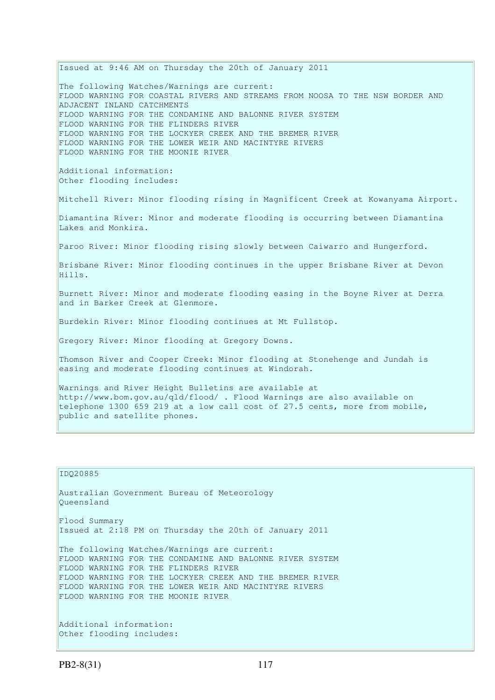Issued at 9:46 AM on Thursday the 20th of January 2011 The following Watches/Warnings are current: FLOOD WARNING FOR COASTAL RIVERS AND STREAMS FROM NOOSA TO THE NSW BORDER AND ADJACENT INLAND CATCHMENTS FLOOD WARNING FOR THE CONDAMINE AND BALONNE RIVER SYSTEM FLOOD WARNING FOR THE FLINDERS RIVER FLOOD WARNING FOR THE LOCKYER CREEK AND THE BREMER RIVER FLOOD WARNING FOR THE LOWER WEIR AND MACINTYRE RIVERS FLOOD WARNING FOR THE MOONIE RIVER Additional information: Other flooding includes: Mitchell River: Minor flooding rising in Magnificent Creek at Kowanyama Airport. Diamantina River: Minor and moderate flooding is occurring between Diamantina Lakes and Monkira. Paroo River: Minor flooding rising slowly between Caiwarro and Hungerford. Brisbane River: Minor flooding continues in the upper Brisbane River at Devon Hills. Burnett River: Minor and moderate flooding easing in the Boyne River at Derra and in Barker Creek at Glenmore. Burdekin River: Minor flooding continues at Mt Fullstop. Gregory River: Minor flooding at Gregory Downs. Thomson River and Cooper Creek: Minor flooding at Stonehenge and Jundah is easing and moderate flooding continues at Windorah. Warnings and River Height Bulletins are available at http://www.bom.gov.au/qld/flood/ . Flood Warnings are also available on telephone 1300 659 219 at a low call cost of 27.5 cents, more from mobile, public and satellite phones.

```
IDQ20885 
Australian Government Bureau of Meteorology 
Queensland 
Flood Summary 
Issued at 2:18 PM on Thursday the 20th of January 2011 
The following Watches/Warnings are current: 
FLOOD WARNING FOR THE CONDAMINE AND BALONNE RIVER SYSTEM 
FLOOD WARNING FOR THE FLINDERS RIVER 
FLOOD WARNING FOR THE LOCKYER CREEK AND THE BREMER RIVER 
FLOOD WARNING FOR THE LOWER WEIR AND MACINTYRE RIVERS 
FLOOD WARNING FOR THE MOONIE RIVER 
Additional information: 
Other flooding includes:
```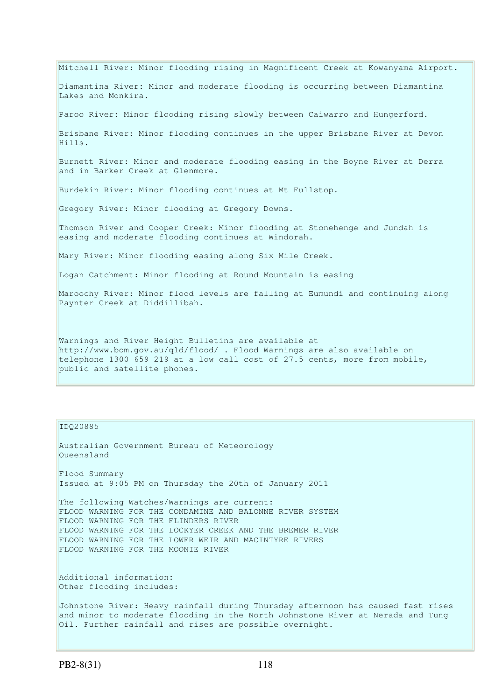Mitchell River: Minor flooding rising in Magnificent Creek at Kowanyama Airport. Diamantina River: Minor and moderate flooding is occurring between Diamantina Lakes and Monkira. Paroo River: Minor flooding rising slowly between Caiwarro and Hungerford. Brisbane River: Minor flooding continues in the upper Brisbane River at Devon Hills. Burnett River: Minor and moderate flooding easing in the Boyne River at Derra and in Barker Creek at Glenmore. Burdekin River: Minor flooding continues at Mt Fullstop. Gregory River: Minor flooding at Gregory Downs. Thomson River and Cooper Creek: Minor flooding at Stonehenge and Jundah is easing and moderate flooding continues at Windorah. Mary River: Minor flooding easing along Six Mile Creek. Logan Catchment: Minor flooding at Round Mountain is easing Maroochy River: Minor flood levels are falling at Eumundi and continuing along Paynter Creek at Diddillibah. Warnings and River Height Bulletins are available at http://www.bom.gov.au/qld/flood/ . Flood Warnings are also available on telephone 1300 659 219 at a low call cost of 27.5 cents, more from mobile,

#### IDQ20885

Queensland Flood Summary Issued at 9:05 PM on Thursday the 20th of January 2011

Australian Government Bureau of Meteorology

The following Watches/Warnings are current: FLOOD WARNING FOR THE CONDAMINE AND BALONNE RIVER SYSTEM FLOOD WARNING FOR THE FLINDERS RIVER FLOOD WARNING FOR THE LOCKYER CREEK AND THE BREMER RIVER FLOOD WARNING FOR THE LOWER WEIR AND MACINTYRE RIVERS FLOOD WARNING FOR THE MOONIE RIVER

Additional information: Other flooding includes:

public and satellite phones.

Johnstone River: Heavy rainfall during Thursday afternoon has caused fast rises and minor to moderate flooding in the North Johnstone River at Nerada and Tung Oil. Further rainfall and rises are possible overnight.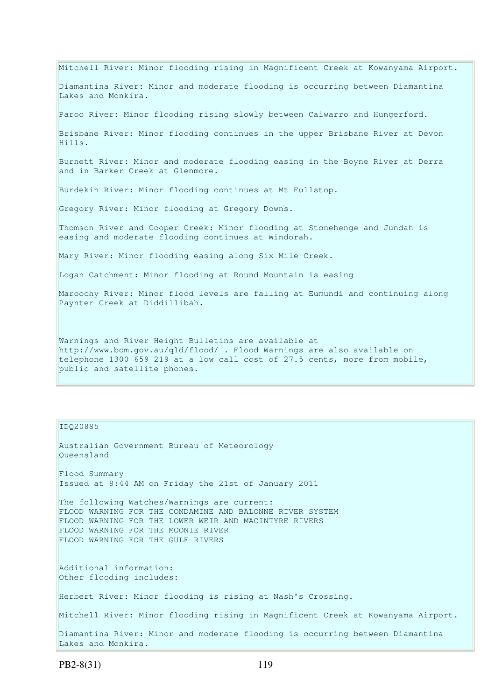Mitchell River: Minor flooding rising in Magnificent Creek at Kowanyama Airport. Diamantina River: Minor and moderate flooding is occurring between Diamantina Lakes and Monkira. Paroo River: Minor flooding rising slowly between Caiwarro and Hungerford. Brisbane River: Minor flooding continues in the upper Brisbane River at Devon Hills. Burnett River: Minor and moderate flooding easing in the Boyne River at Derra and in Barker Creek at Glenmore. Burdekin River: Minor flooding continues at Mt Fullstop. Gregory River: Minor flooding at Gregory Downs. Thomson River and Cooper Creek: Minor flooding at Stonehenge and Jundah is easing and moderate flooding continues at Windorah. Mary River: Minor flooding easing along Six Mile Creek. Logan Catchment: Minor flooding at Round Mountain is easing Maroochy River: Minor flood levels are falling at Eumundi and continuing along Paynter Creek at Diddillibah. Warnings and River Height Bulletins are available at http://www.bom.gov.au/qld/flood/ . Flood Warnings are also available on telephone 1300 659 219 at a low call cost of 27.5 cents, more from mobile, public and satellite phones.

IDQ20885

Australian Government Bureau of Meteorology Queensland Flood Summary Issued at 8:44 AM on Friday the 21st of January 2011 The following Watches/Warnings are current: FLOOD WARNING FOR THE CONDAMINE AND BALONNE RIVER SYSTEM FLOOD WARNING FOR THE LOWER WEIR AND MACINTYRE RIVERS FLOOD WARNING FOR THE MOONIE RIVER FLOOD WARNING FOR THE GULF RIVERS Additional information: Other flooding includes: Herbert River: Minor flooding is rising at Nash's Crossing. Mitchell River: Minor flooding rising in Magnificent Creek at Kowanyama Airport. Diamantina River: Minor and moderate flooding is occurring between Diamantina Lakes and Monkira.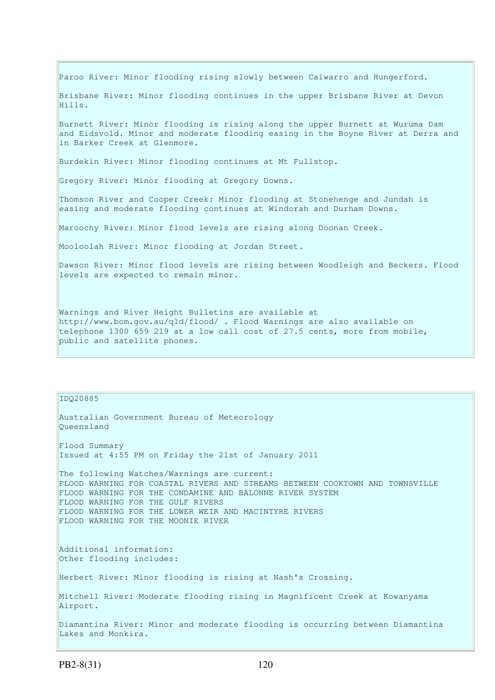Paroo River: Minor flooding rising slowly between Caiwarro and Hungerford.

Brisbane River: Minor flooding continues in the upper Brisbane River at Devon Hills.

Burnett River: Minor flooding is rising along the upper Burnett at Wuruma Dam and Eidsvold. Minor and moderate flooding easing in the Boyne River at Derra and in Barker Creek at Glenmore.

Burdekin River: Minor flooding continues at Mt Fullstop.

Gregory River: Minor flooding at Gregory Downs.

Thomson River and Cooper Creek: Minor flooding at Stonehenge and Jundah is easing and moderate flooding continues at Windorah and Durham Downs.

Maroochy River: Minor flood levels are rising along Doonan Creek.

Mooloolah River: Minor flooding at Jordan Street.

Dawson River: Minor flood levels are rising between Woodleigh and Beckers. Flood levels are expected to remain minor.

Warnings and River Height Bulletins are available at http://www.bom.gov.au/qld/flood/ . Flood Warnings are also available on telephone 1300 659 219 at a low call cost of 27.5 cents, more from mobile, public and satellite phones.

IDQ20885 Australian Government Bureau of Meteorology Queensland Flood Summary Issued at 4:55 PM on Friday the 21st of January 2011 The following Watches/Warnings are current: FLOOD WARNING FOR COASTAL RIVERS AND STREAMS BETWEEN COOKTOWN AND TOWNSVILLE FLOOD WARNING FOR THE CONDAMINE AND BALONNE RIVER SYSTEM FLOOD WARNING FOR THE GULF RIVERS FLOOD WARNING FOR THE LOWER WEIR AND MACINTYRE RIVERS FLOOD WARNING FOR THE MOONIE RIVER Additional information: Other flooding includes: Herbert River: Minor flooding is rising at Nash's Crossing. Mitchell River: Moderate flooding rising in Magnificent Creek at Kowanyama Airport. Diamantina River: Minor and moderate flooding is occurring between Diamantina Lakes and Monkira.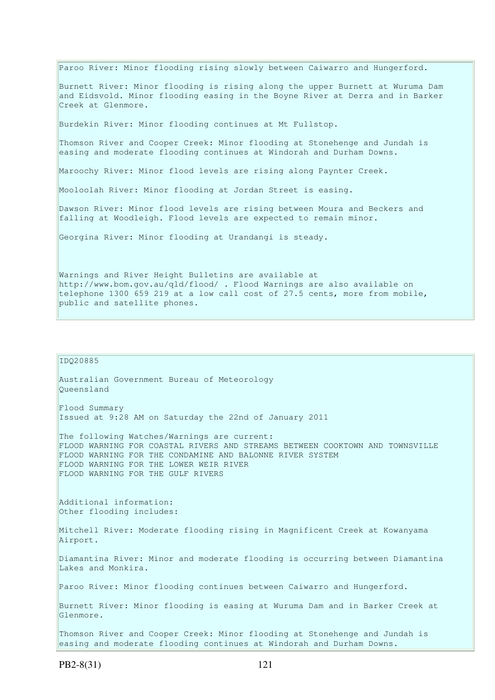Paroo River: Minor flooding rising slowly between Caiwarro and Hungerford. Burnett River: Minor flooding is rising along the upper Burnett at Wuruma Dam and Eidsvold. Minor flooding easing in the Boyne River at Derra and in Barker Creek at Glenmore. Burdekin River: Minor flooding continues at Mt Fullstop. Thomson River and Cooper Creek: Minor flooding at Stonehenge and Jundah is easing and moderate flooding continues at Windorah and Durham Downs. Maroochy River: Minor flood levels are rising along Paynter Creek. Mooloolah River: Minor flooding at Jordan Street is easing. Dawson River: Minor flood levels are rising between Moura and Beckers and falling at Woodleigh. Flood levels are expected to remain minor. Georgina River: Minor flooding at Urandangi is steady. Warnings and River Height Bulletins are available at http://www.bom.gov.au/qld/flood/ . Flood Warnings are also available on

telephone 1300 659 219 at a low call cost of 27.5 cents, more from mobile,

public and satellite phones.

IDQ20885 Australian Government Bureau of Meteorology Queensland Flood Summary Issued at 9:28 AM on Saturday the 22nd of January 2011 The following Watches/Warnings are current: FLOOD WARNING FOR COASTAL RIVERS AND STREAMS BETWEEN COOKTOWN AND TOWNSVILLE FLOOD WARNING FOR THE CONDAMINE AND BALONNE RIVER SYSTEM FLOOD WARNING FOR THE LOWER WEIR RIVER FLOOD WARNING FOR THE GULF RIVERS Additional information: Other flooding includes: Mitchell River: Moderate flooding rising in Magnificent Creek at Kowanyama Airport. Diamantina River: Minor and moderate flooding is occurring between Diamantina Lakes and Monkira. Paroo River: Minor flooding continues between Caiwarro and Hungerford. Burnett River: Minor flooding is easing at Wuruma Dam and in Barker Creek at Glenmore. Thomson River and Cooper Creek: Minor flooding at Stonehenge and Jundah is easing and moderate flooding continues at Windorah and Durham Downs.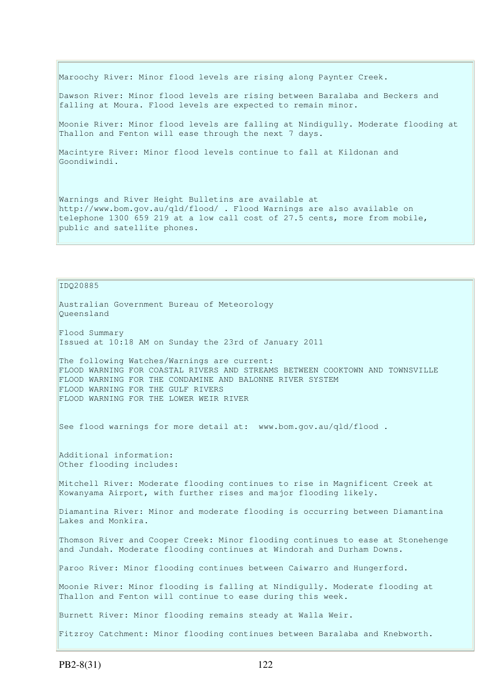Maroochy River: Minor flood levels are rising along Paynter Creek.

Dawson River: Minor flood levels are rising between Baralaba and Beckers and falling at Moura. Flood levels are expected to remain minor.

Moonie River: Minor flood levels are falling at Nindigully. Moderate flooding at Thallon and Fenton will ease through the next 7 days.

Macintyre River: Minor flood levels continue to fall at Kildonan and Goondiwindi.

Warnings and River Height Bulletins are available at http://www.bom.gov.au/qld/flood/ . Flood Warnings are also available on telephone 1300 659 219 at a low call cost of 27.5 cents, more from mobile, public and satellite phones.

IDQ20885

Australian Government Bureau of Meteorology Queensland Flood Summary

Issued at 10:18 AM on Sunday the 23rd of January 2011

The following Watches/Warnings are current: FLOOD WARNING FOR COASTAL RIVERS AND STREAMS BETWEEN COOKTOWN AND TOWNSVILLE FLOOD WARNING FOR THE CONDAMINE AND BALONNE RIVER SYSTEM FLOOD WARNING FOR THE GULF RIVERS FLOOD WARNING FOR THE LOWER WEIR RIVER

See flood warnings for more detail at: www.bom.gov.au/qld/flood.

Additional information: Other flooding includes:

Mitchell River: Moderate flooding continues to rise in Magnificent Creek at Kowanyama Airport, with further rises and major flooding likely.

Diamantina River: Minor and moderate flooding is occurring between Diamantina Lakes and Monkira.

Thomson River and Cooper Creek: Minor flooding continues to ease at Stonehenge and Jundah. Moderate flooding continues at Windorah and Durham Downs.

Paroo River: Minor flooding continues between Caiwarro and Hungerford.

Moonie River: Minor flooding is falling at Nindigully. Moderate flooding at Thallon and Fenton will continue to ease during this week.

Burnett River: Minor flooding remains steady at Walla Weir.

Fitzroy Catchment: Minor flooding continues between Baralaba and Knebworth.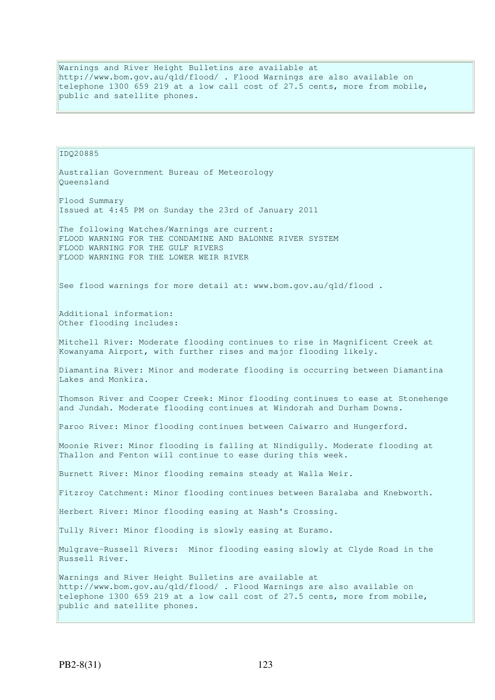Warnings and River Height Bulletins are available at http://www.bom.gov.au/qld/flood/ . Flood Warnings are also available on telephone 1300 659 219 at a low call cost of 27.5 cents, more from mobile, public and satellite phones.

IDQ20885 Australian Government Bureau of Meteorology Queensland Flood Summary Issued at 4:45 PM on Sunday the 23rd of January 2011 The following Watches/Warnings are current: FLOOD WARNING FOR THE CONDAMINE AND BALONNE RIVER SYSTEM FLOOD WARNING FOR THE GULF RIVERS FLOOD WARNING FOR THE LOWER WEIR RIVER See flood warnings for more detail at: www.bom.gov.au/qld/flood. Additional information: Other flooding includes: Mitchell River: Moderate flooding continues to rise in Magnificent Creek at Kowanyama Airport, with further rises and major flooding likely. Diamantina River: Minor and moderate flooding is occurring between Diamantina Lakes and Monkira. Thomson River and Cooper Creek: Minor flooding continues to ease at Stonehenge and Jundah. Moderate flooding continues at Windorah and Durham Downs. Paroo River: Minor flooding continues between Caiwarro and Hungerford. Moonie River: Minor flooding is falling at Nindigully. Moderate flooding at Thallon and Fenton will continue to ease during this week. Burnett River: Minor flooding remains steady at Walla Weir. Fitzroy Catchment: Minor flooding continues between Baralaba and Knebworth. Herbert River: Minor flooding easing at Nash's Crossing. Tully River: Minor flooding is slowly easing at Euramo. Mulgrave-Russell Rivers: Minor flooding easing slowly at Clyde Road in the Russell River. Warnings and River Height Bulletins are available at http://www.bom.gov.au/qld/flood/ . Flood Warnings are also available on telephone 1300 659 219 at a low call cost of 27.5 cents, more from mobile, public and satellite phones.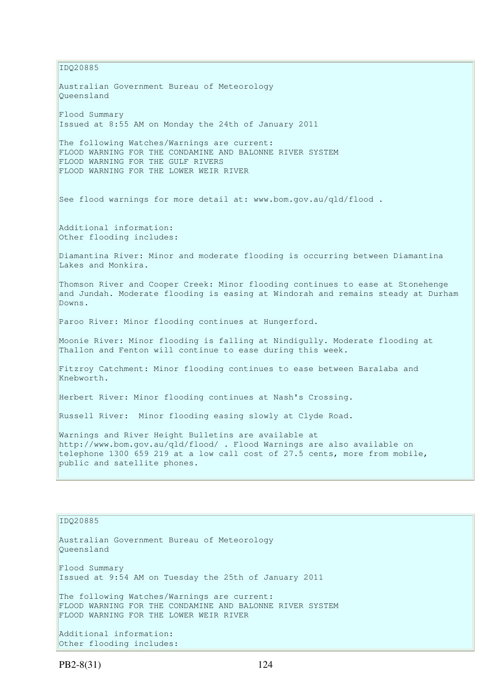IDQ20885 Australian Government Bureau of Meteorology Queensland Flood Summary Issued at 8:55 AM on Monday the 24th of January 2011 The following Watches/Warnings are current: FLOOD WARNING FOR THE CONDAMINE AND BALONNE RIVER SYSTEM FLOOD WARNING FOR THE GULF RIVERS FLOOD WARNING FOR THE LOWER WEIR RIVER See flood warnings for more detail at: www.bom.gov.au/qld/flood . Additional information: Other flooding includes: Diamantina River: Minor and moderate flooding is occurring between Diamantina Lakes and Monkira. Thomson River and Cooper Creek: Minor flooding continues to ease at Stonehenge and Jundah. Moderate flooding is easing at Windorah and remains steady at Durham Downs. Paroo River: Minor flooding continues at Hungerford. Moonie River: Minor flooding is falling at Nindigully. Moderate flooding at Thallon and Fenton will continue to ease during this week. Fitzroy Catchment: Minor flooding continues to ease between Baralaba and Knebworth. Herbert River: Minor flooding continues at Nash's Crossing. Russell River: Minor flooding easing slowly at Clyde Road. Warnings and River Height Bulletins are available at http://www.bom.gov.au/qld/flood/ . Flood Warnings are also available on telephone 1300 659 219 at a low call cost of 27.5 cents, more from mobile, public and satellite phones.

## IDQ20885

Australian Government Bureau of Meteorology Queensland Flood Summary Issued at 9:54 AM on Tuesday the 25th of January 2011 The following Watches/Warnings are current: FLOOD WARNING FOR THE CONDAMINE AND BALONNE RIVER SYSTEM FLOOD WARNING FOR THE LOWER WEIR RIVER Additional information:

PB2-8(31) 124

Other flooding includes: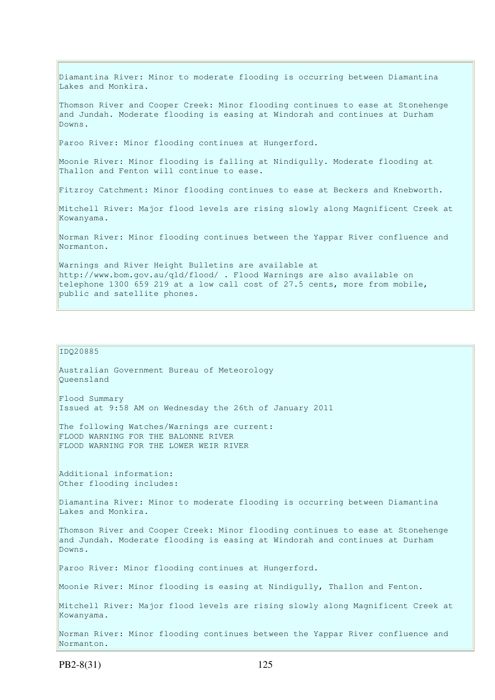Diamantina River: Minor to moderate flooding is occurring between Diamantina Lakes and Monkira. Thomson River and Cooper Creek: Minor flooding continues to ease at Stonehenge and Jundah. Moderate flooding is easing at Windorah and continues at Durham Downs. Paroo River: Minor flooding continues at Hungerford. Moonie River: Minor flooding is falling at Nindigully. Moderate flooding at Thallon and Fenton will continue to ease. Fitzroy Catchment: Minor flooding continues to ease at Beckers and Knebworth. Mitchell River: Major flood levels are rising slowly along Magnificent Creek at Kowanyama. Norman River: Minor flooding continues between the Yappar River confluence and Normanton. Warnings and River Height Bulletins are available at http://www.bom.gov.au/qld/flood/ . Flood Warnings are also available on telephone 1300 659 219 at a low call cost of 27.5 cents, more from mobile, public and satellite phones.

## IDQ20885

Australian Government Bureau of Meteorology Queensland

Flood Summary Issued at 9:58 AM on Wednesday the 26th of January 2011

The following Watches/Warnings are current: FLOOD WARNING FOR THE BALONNE RIVER FLOOD WARNING FOR THE LOWER WEIR RIVER

Additional information: Other flooding includes:

Diamantina River: Minor to moderate flooding is occurring between Diamantina Lakes and Monkira.

Thomson River and Cooper Creek: Minor flooding continues to ease at Stonehenge and Jundah. Moderate flooding is easing at Windorah and continues at Durham Downs.

Paroo River: Minor flooding continues at Hungerford.

Moonie River: Minor flooding is easing at Nindigully, Thallon and Fenton.

Mitchell River: Major flood levels are rising slowly along Magnificent Creek at Kowanyama.

Norman River: Minor flooding continues between the Yappar River confluence and Normanton.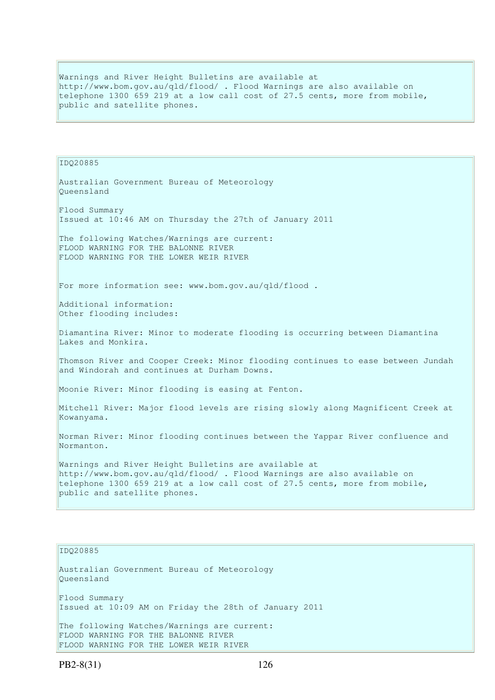Warnings and River Height Bulletins are available at http://www.bom.gov.au/qld/flood/ . Flood Warnings are also available on telephone 1300 659 219 at a low call cost of 27.5 cents, more from mobile, public and satellite phones.

## IDQ20885 Australian Government Bureau of Meteorology Queensland Flood Summary Issued at 10:46 AM on Thursday the 27th of January 2011 The following Watches/Warnings are current: FLOOD WARNING FOR THE BALONNE RIVER FLOOD WARNING FOR THE LOWER WEIR RIVER For more information see: www.bom.gov.au/qld/flood . Additional information: Other flooding includes: Diamantina River: Minor to moderate flooding is occurring between Diamantina Lakes and Monkira. Thomson River and Cooper Creek: Minor flooding continues to ease between Jundah and Windorah and continues at Durham Downs. Moonie River: Minor flooding is easing at Fenton. Mitchell River: Major flood levels are rising slowly along Magnificent Creek at Kowanyama. Norman River: Minor flooding continues between the Yappar River confluence and Normanton. Warnings and River Height Bulletins are available at http://www.bom.gov.au/qld/flood/ . Flood Warnings are also available on telephone 1300 659 219 at a low call cost of 27.5 cents, more from mobile, public and satellite phones. IDQ20885

Australian Government Bureau of Meteorology Queensland Flood Summary Issued at 10:09 AM on Friday the 28th of January 2011 The following Watches/Warnings are current: FLOOD WARNING FOR THE BALONNE RIVER FLOOD WARNING FOR THE LOWER WEIR RIVER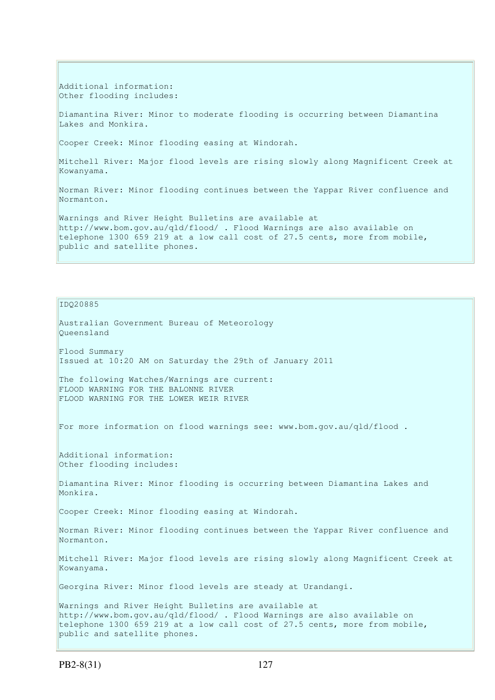Additional information: Other flooding includes:

Diamantina River: Minor to moderate flooding is occurring between Diamantina Lakes and Monkira.

Cooper Creek: Minor flooding easing at Windorah.

Mitchell River: Major flood levels are rising slowly along Magnificent Creek at Kowanyama.

Norman River: Minor flooding continues between the Yappar River confluence and Normanton.

Warnings and River Height Bulletins are available at http://www.bom.gov.au/qld/flood/ . Flood Warnings are also available on telephone 1300 659 219 at a low call cost of 27.5 cents, more from mobile, public and satellite phones.

IDQ20885

Australian Government Bureau of Meteorology Queensland Flood Summary Issued at 10:20 AM on Saturday the 29th of January 2011 The following Watches/Warnings are current: FLOOD WARNING FOR THE BALONNE RIVER FLOOD WARNING FOR THE LOWER WEIR RIVER For more information on flood warnings see: www.bom.gov.au/qld/flood . Additional information: Other flooding includes: Diamantina River: Minor flooding is occurring between Diamantina Lakes and Monkira. Cooper Creek: Minor flooding easing at Windorah. Norman River: Minor flooding continues between the Yappar River confluence and Normanton. Mitchell River: Major flood levels are rising slowly along Magnificent Creek at Kowanyama. Georgina River: Minor flood levels are steady at Urandangi. Warnings and River Height Bulletins are available at http://www.bom.gov.au/qld/flood/ . Flood Warnings are also available on telephone 1300 659 219 at a low call cost of 27.5 cents, more from mobile, public and satellite phones.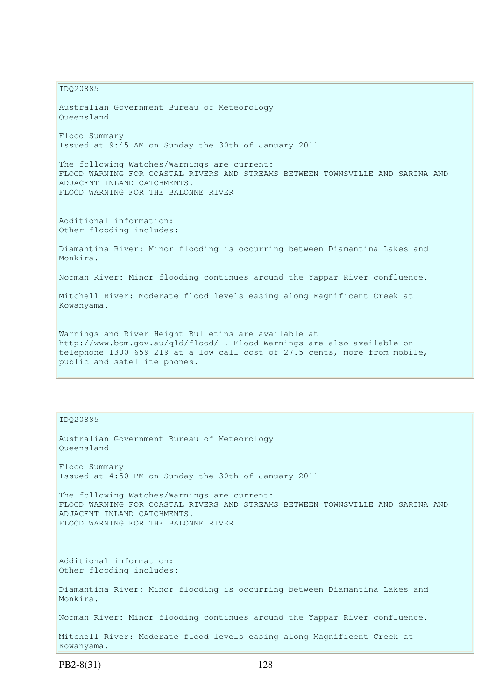IDQ20885 Australian Government Bureau of Meteorology Queensland Flood Summary Issued at 9:45 AM on Sunday the 30th of January 2011 The following Watches/Warnings are current: FLOOD WARNING FOR COASTAL RIVERS AND STREAMS BETWEEN TOWNSVILLE AND SARINA AND ADJACENT INLAND CATCHMENTS. FLOOD WARNING FOR THE BALONNE RIVER Additional information: Other flooding includes: Diamantina River: Minor flooding is occurring between Diamantina Lakes and Monkira. Norman River: Minor flooding continues around the Yappar River confluence. Mitchell River: Moderate flood levels easing along Magnificent Creek at Kowanyama. Warnings and River Height Bulletins are available at http://www.bom.gov.au/qld/flood/ . Flood Warnings are also available on telephone 1300 659 219 at a low call cost of 27.5 cents, more from mobile, public and satellite phones.

## IDQ20885

Australian Government Bureau of Meteorology Queensland Flood Summary Issued at 4:50 PM on Sunday the 30th of January 2011 The following Watches/Warnings are current: FLOOD WARNING FOR COASTAL RIVERS AND STREAMS BETWEEN TOWNSVILLE AND SARINA AND ADJACENT INLAND CATCHMENTS. FLOOD WARNING FOR THE BALONNE RIVER Additional information: Other flooding includes: Diamantina River: Minor flooding is occurring between Diamantina Lakes and Monkira. Norman River: Minor flooding continues around the Yappar River confluence. Mitchell River: Moderate flood levels easing along Magnificent Creek at Kowanyama.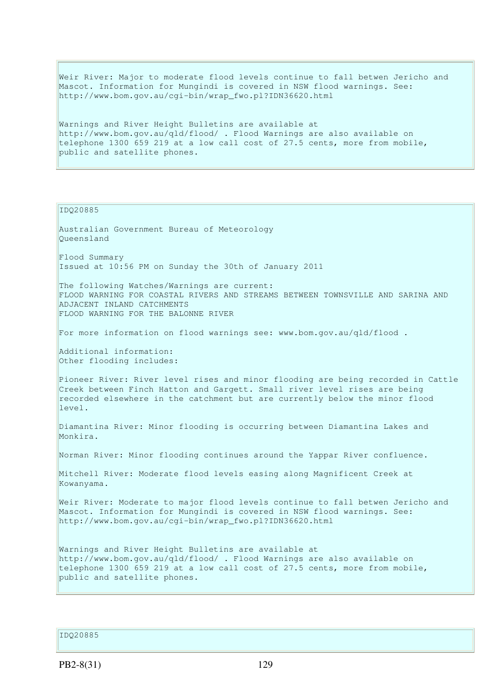Weir River: Major to moderate flood levels continue to fall betwen Jericho and Mascot. Information for Mungindi is covered in NSW flood warnings. See: http://www.bom.gov.au/cgi-bin/wrap\_fwo.pl?IDN36620.html

Warnings and River Height Bulletins are available at http://www.bom.gov.au/qld/flood/ . Flood Warnings are also available on telephone 1300 659 219 at a low call cost of 27.5 cents, more from mobile, public and satellite phones.

IDQ20885

Australian Government Bureau of Meteorology Queensland

Flood Summary Issued at 10:56 PM on Sunday the 30th of January 2011

The following Watches/Warnings are current: FLOOD WARNING FOR COASTAL RIVERS AND STREAMS BETWEEN TOWNSVILLE AND SARINA AND ADJACENT INLAND CATCHMENTS FLOOD WARNING FOR THE BALONNE RIVER

For more information on flood warnings see: www.bom.gov.au/qld/flood .

Additional information: Other flooding includes:

Pioneer River: River level rises and minor flooding are being recorded in Cattle Creek between Finch Hatton and Gargett. Small river level rises are being recorded elsewhere in the catchment but are currently below the minor flood  $\vert$  1 Ave 1

Diamantina River: Minor flooding is occurring between Diamantina Lakes and Monkira.

Norman River: Minor flooding continues around the Yappar River confluence.

Mitchell River: Moderate flood levels easing along Magnificent Creek at Kowanyama.

Weir River: Moderate to major flood levels continue to fall betwen Jericho and Mascot. Information for Mungindi is covered in NSW flood warnings. See: http://www.bom.gov.au/cgi-bin/wrap\_fwo.pl?IDN36620.html

Warnings and River Height Bulletins are available at http://www.bom.gov.au/qld/flood/ . Flood Warnings are also available on telephone 1300 659 219 at a low call cost of 27.5 cents, more from mobile, public and satellite phones.

IDQ20885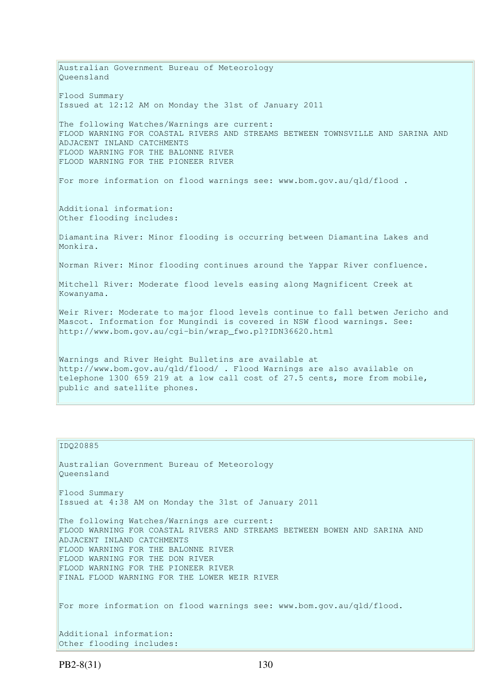Australian Government Bureau of Meteorology Queensland Flood Summary Issued at 12:12 AM on Monday the 31st of January 2011 The following Watches/Warnings are current: FLOOD WARNING FOR COASTAL RIVERS AND STREAMS BETWEEN TOWNSVILLE AND SARINA AND ADJACENT INLAND CATCHMENTS FLOOD WARNING FOR THE BALONNE RIVER FLOOD WARNING FOR THE PIONEER RIVER For more information on flood warnings see: www.bom.gov.au/qld/flood . Additional information: Other flooding includes: Diamantina River: Minor flooding is occurring between Diamantina Lakes and Monkira. Norman River: Minor flooding continues around the Yappar River confluence. Mitchell River: Moderate flood levels easing along Magnificent Creek at Kowanyama. Weir River: Moderate to major flood levels continue to fall betwen Jericho and Mascot. Information for Mungindi is covered in NSW flood warnings. See: http://www.bom.gov.au/cgi-bin/wrap\_fwo.pl?IDN36620.html Warnings and River Height Bulletins are available at http://www.bom.gov.au/qld/flood/ . Flood Warnings are also available on telephone 1300 659 219 at a low call cost of 27.5 cents, more from mobile, public and satellite phones.

#### IDQ20885

Australian Government Bureau of Meteorology Queensland Flood Summary Issued at 4:38 AM on Monday the 31st of January 2011 The following Watches/Warnings are current: FLOOD WARNING FOR COASTAL RIVERS AND STREAMS BETWEEN BOWEN AND SARINA AND ADJACENT INLAND CATCHMENTS

FLOOD WARNING FOR THE BALONNE RIVER FLOOD WARNING FOR THE DON RIVER FLOOD WARNING FOR THE PIONEER RIVER FINAL FLOOD WARNING FOR THE LOWER WEIR RIVER

For more information on flood warnings see: www.bom.gov.au/qld/flood.

Additional information: Other flooding includes: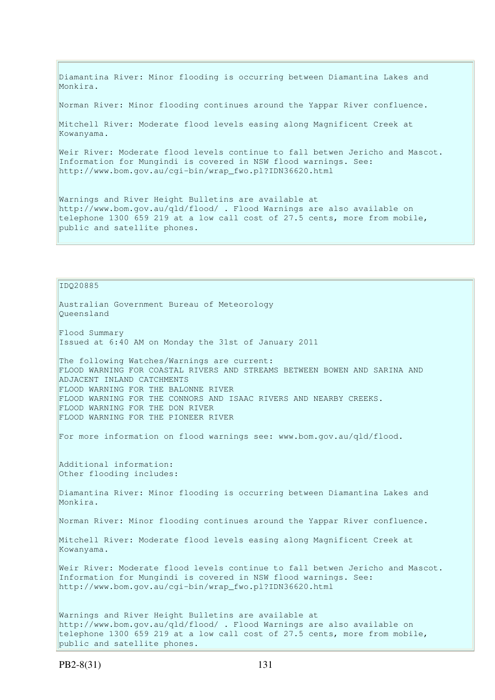Diamantina River: Minor flooding is occurring between Diamantina Lakes and Monkira.

Norman River: Minor flooding continues around the Yappar River confluence.

Mitchell River: Moderate flood levels easing along Magnificent Creek at Kowanyama.

Weir River: Moderate flood levels continue to fall betwen Jericho and Mascot. Information for Mungindi is covered in NSW flood warnings. See: http://www.bom.gov.au/cgi-bin/wrap\_fwo.pl?IDN36620.html

Warnings and River Height Bulletins are available at http://www.bom.gov.au/qld/flood/ . Flood Warnings are also available on telephone 1300 659 219 at a low call cost of 27.5 cents, more from mobile, public and satellite phones.

IDQ20885 Australian Government Bureau of Meteorology Queensland Flood Summary Issued at 6:40 AM on Monday the 31st of January 2011 The following Watches/Warnings are current: FLOOD WARNING FOR COASTAL RIVERS AND STREAMS BETWEEN BOWEN AND SARINA AND ADJACENT INLAND CATCHMENTS FLOOD WARNING FOR THE BALONNE RIVER FLOOD WARNING FOR THE CONNORS AND ISAAC RIVERS AND NEARBY CREEKS. FLOOD WARNING FOR THE DON RIVER FLOOD WARNING FOR THE PIONEER RIVER For more information on flood warnings see: www.bom.gov.au/qld/flood. Additional information: Other flooding includes: Diamantina River: Minor flooding is occurring between Diamantina Lakes and Monkira. Norman River: Minor flooding continues around the Yappar River confluence. Mitchell River: Moderate flood levels easing along Magnificent Creek at Kowanyama. Weir River: Moderate flood levels continue to fall betwen Jericho and Mascot. Information for Mungindi is covered in NSW flood warnings. See: http://www.bom.gov.au/cgi-bin/wrap\_fwo.pl?IDN36620.html Warnings and River Height Bulletins are available at http://www.bom.gov.au/qld/flood/ . Flood Warnings are also available on telephone 1300 659 219 at a low call cost of 27.5 cents, more from mobile, public and satellite phones.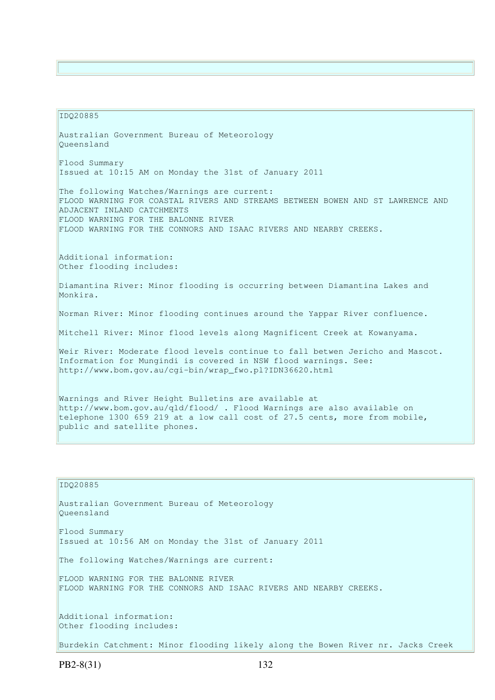#### IDQ20885

Australian Government Bureau of Meteorology Queensland Flood Summary Issued at 10:15 AM on Monday the 31st of January 2011 The following Watches/Warnings are current: FLOOD WARNING FOR COASTAL RIVERS AND STREAMS BETWEEN BOWEN AND ST LAWRENCE AND ADJACENT INLAND CATCHMENTS FLOOD WARNING FOR THE BALONNE RIVER FLOOD WARNING FOR THE CONNORS AND ISAAC RIVERS AND NEARBY CREEKS. Additional information: Other flooding includes: Diamantina River: Minor flooding is occurring between Diamantina Lakes and Monkira. Norman River: Minor flooding continues around the Yappar River confluence. Mitchell River: Minor flood levels along Magnificent Creek at Kowanyama. Weir River: Moderate flood levels continue to fall betwen Jericho and Mascot. Information for Mungindi is covered in NSW flood warnings. See: http://www.bom.gov.au/cgi-bin/wrap\_fwo.pl?IDN36620.html Warnings and River Height Bulletins are available at http://www.bom.gov.au/qld/flood/ . Flood Warnings are also available on telephone 1300 659 219 at a low call cost of 27.5 cents, more from mobile, public and satellite phones.

# IDQ20885 Australian Government Bureau of Meteorology Queensland Flood Summary Issued at 10:56 AM on Monday the 31st of January 2011 The following Watches/Warnings are current: FLOOD WARNING FOR THE BALONNE RIVER FLOOD WARNING FOR THE CONNORS AND ISAAC RIVERS AND NEARBY CREEKS. Additional information: Other flooding includes: Burdekin Catchment: Minor flooding likely along the Bowen River nr. Jacks Creek